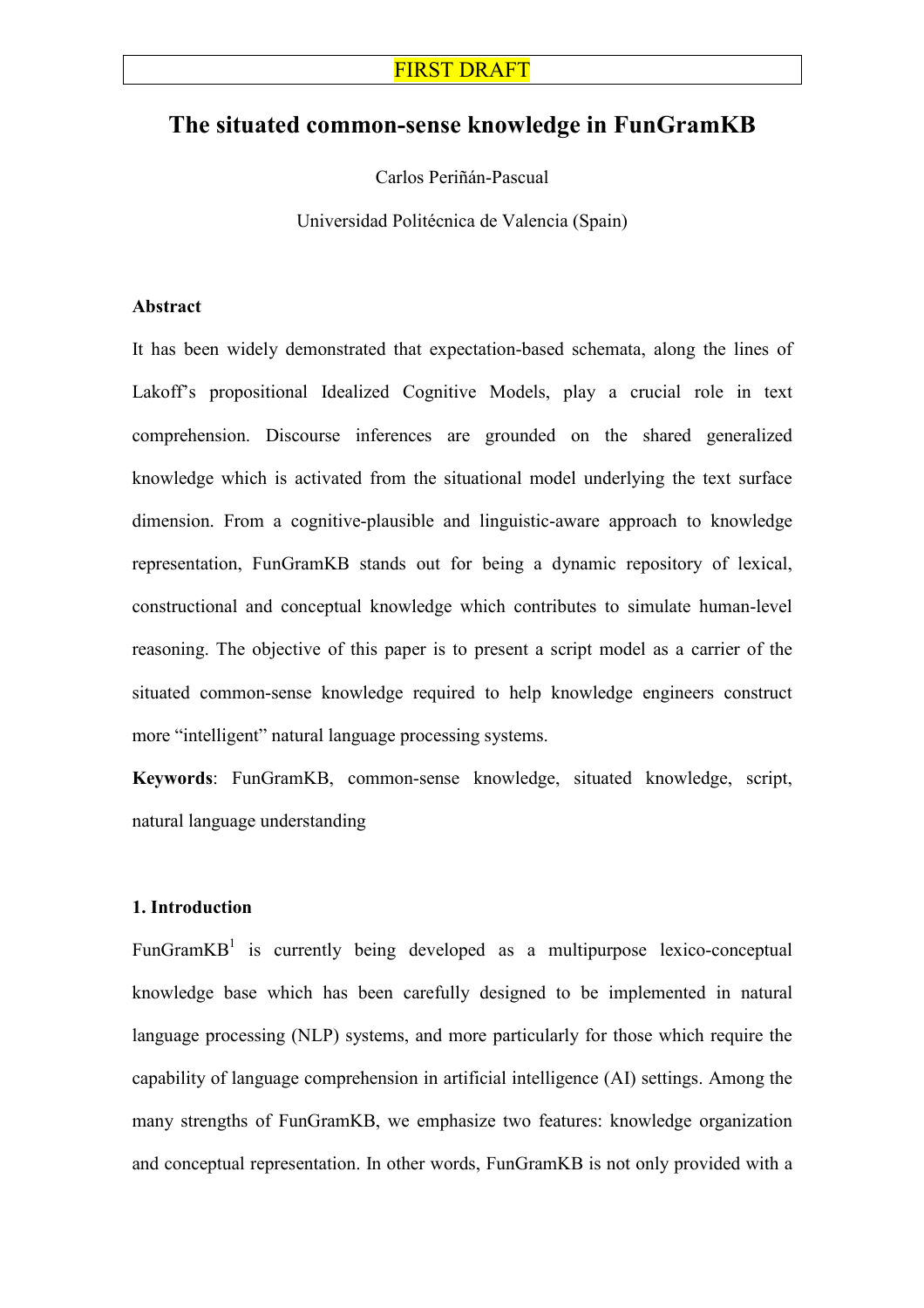# The situated common-sense knowledge in FunGramKB

Carlos Periñán-Pascual

Universidad Politécnica de Valencia (Spain)

### Abstract

It has been widely demonstrated that expectation-based schemata, along the lines of Lakoff's propositional Idealized Cognitive Models, play a crucial role in text comprehension. Discourse inferences are grounded on the shared generalized knowledge which is activated from the situational model underlying the text surface dimension. From a cognitive-plausible and linguistic-aware approach to knowledge representation, FunGramKB stands out for being a dynamic repository of lexical, constructional and conceptual knowledge which contributes to simulate human-level reasoning. The objective of this paper is to present a script model as a carrier of the situated common-sense knowledge required to help knowledge engineers construct more "intelligent" natural language processing systems.

Keywords: FunGramKB, common-sense knowledge, situated knowledge, script, natural language understanding

### 1. Introduction

FunGram $KB<sup>1</sup>$  is currently being developed as a multipurpose lexico-conceptual knowledge base which has been carefully designed to be implemented in natural language processing (NLP) systems, and more particularly for those which require the capability of language comprehension in artificial intelligence (AI) settings. Among the many strengths of FunGramKB, we emphasize two features: knowledge organization and conceptual representation. In other words, FunGramKB is not only provided with a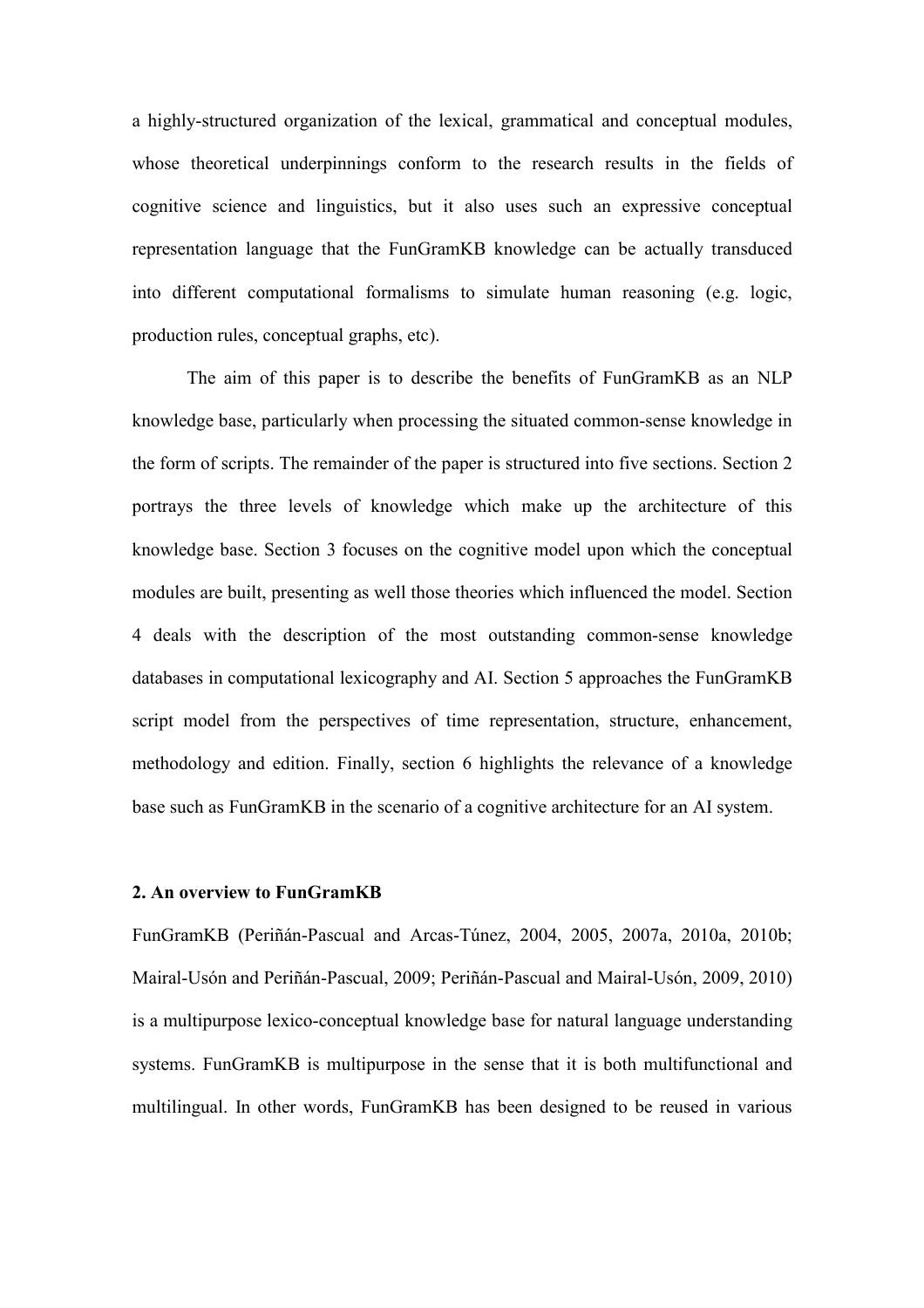a highly-structured organization of the lexical, grammatical and conceptual modules, whose theoretical underpinnings conform to the research results in the fields of cognitive science and linguistics, but it also uses such an expressive conceptual representation language that the FunGramKB knowledge can be actually transduced into different computational formalisms to simulate human reasoning (e.g. logic, production rules, conceptual graphs, etc).

The aim of this paper is to describe the benefits of FunGramKB as an NLP knowledge base, particularly when processing the situated common-sense knowledge in the form of scripts. The remainder of the paper is structured into five sections. Section 2 portrays the three levels of knowledge which make up the architecture of this knowledge base. Section 3 focuses on the cognitive model upon which the conceptual modules are built, presenting as well those theories which influenced the model. Section 4 deals with the description of the most outstanding common-sense knowledge databases in computational lexicography and AI. Section 5 approaches the FunGramKB script model from the perspectives of time representation, structure, enhancement, methodology and edition. Finally, section 6 highlights the relevance of a knowledge base such as FunGramKB in the scenario of a cognitive architecture for an AI system.

# 2. An overview to FunGramKB

FunGramKB (Periñán-Pascual and Arcas-Túnez, 2004, 2005, 2007a, 2010a, 2010b; Mairal-Usón and Periñán-Pascual, 2009; Periñán-Pascual and Mairal-Usón, 2009, 2010) is a multipurpose lexico-conceptual knowledge base for natural language understanding systems. FunGramKB is multipurpose in the sense that it is both multifunctional and multilingual. In other words, FunGramKB has been designed to be reused in various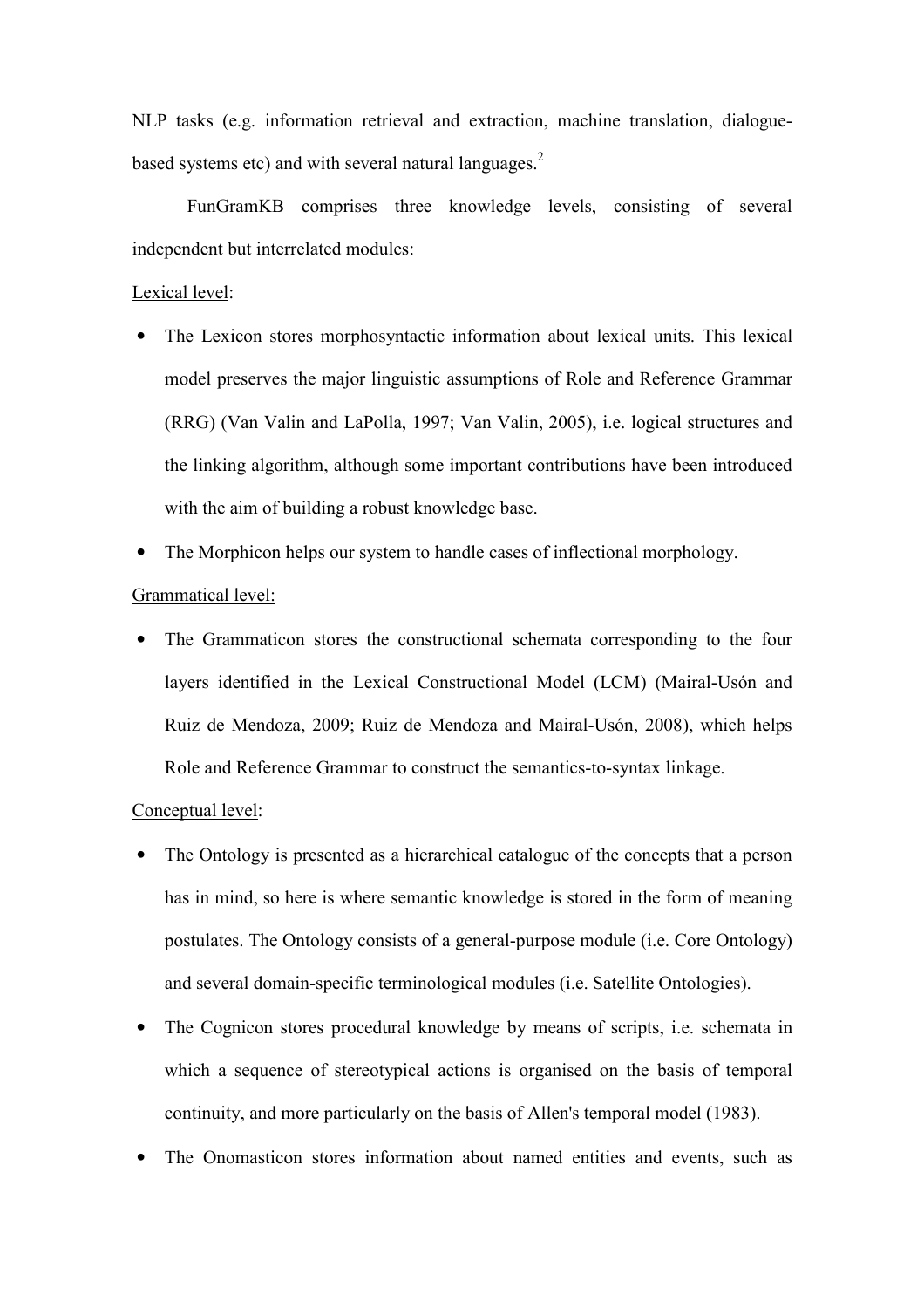NLP tasks (e.g. information retrieval and extraction, machine translation, dialoguebased systems etc) and with several natural languages. $2<sup>2</sup>$ 

FunGramKB comprises three knowledge levels, consisting of several independent but interrelated modules:

### Lexical level:

- The Lexicon stores morphosyntactic information about lexical units. This lexical model preserves the major linguistic assumptions of Role and Reference Grammar (RRG) (Van Valin and LaPolla, 1997; Van Valin, 2005), i.e. logical structures and the linking algorithm, although some important contributions have been introduced with the aim of building a robust knowledge base.
- The Morphicon helps our system to handle cases of inflectional morphology.

# Grammatical level:

• The Grammaticon stores the constructional schemata corresponding to the four layers identified in the Lexical Constructional Model (LCM) (Mairal-Usón and Ruiz de Mendoza, 2009; Ruiz de Mendoza and Mairal-Usón, 2008), which helps Role and Reference Grammar to construct the semantics-to-syntax linkage.

# Conceptual level:

- The Ontology is presented as a hierarchical catalogue of the concepts that a person has in mind, so here is where semantic knowledge is stored in the form of meaning postulates. The Ontology consists of a general-purpose module (i.e. Core Ontology) and several domain-specific terminological modules (i.e. Satellite Ontologies).
- The Cognicon stores procedural knowledge by means of scripts, i.e. schemata in which a sequence of stereotypical actions is organised on the basis of temporal continuity, and more particularly on the basis of Allen's temporal model (1983).
- The Onomasticon stores information about named entities and events, such as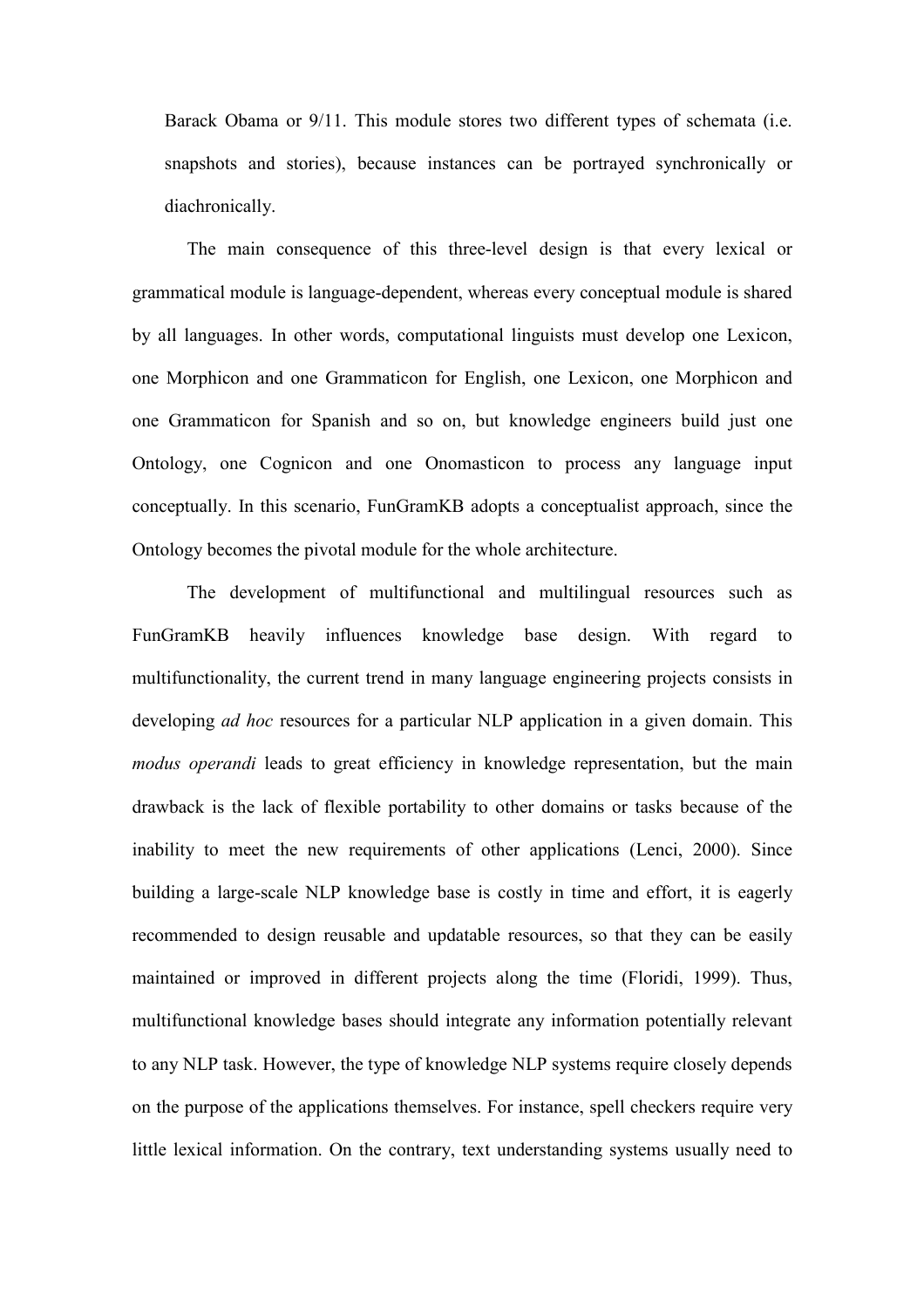Barack Obama or 9/11. This module stores two different types of schemata (i.e. snapshots and stories), because instances can be portrayed synchronically or diachronically.

The main consequence of this three-level design is that every lexical or grammatical module is language-dependent, whereas every conceptual module is shared by all languages. In other words, computational linguists must develop one Lexicon, one Morphicon and one Grammaticon for English, one Lexicon, one Morphicon and one Grammaticon for Spanish and so on, but knowledge engineers build just one Ontology, one Cognicon and one Onomasticon to process any language input conceptually. In this scenario, FunGramKB adopts a conceptualist approach, since the Ontology becomes the pivotal module for the whole architecture.

The development of multifunctional and multilingual resources such as FunGramKB heavily influences knowledge base design. With regard to multifunctionality, the current trend in many language engineering projects consists in developing *ad hoc* resources for a particular NLP application in a given domain. This modus operandi leads to great efficiency in knowledge representation, but the main drawback is the lack of flexible portability to other domains or tasks because of the inability to meet the new requirements of other applications (Lenci, 2000). Since building a large-scale NLP knowledge base is costly in time and effort, it is eagerly recommended to design reusable and updatable resources, so that they can be easily maintained or improved in different projects along the time (Floridi, 1999). Thus, multifunctional knowledge bases should integrate any information potentially relevant to any NLP task. However, the type of knowledge NLP systems require closely depends on the purpose of the applications themselves. For instance, spell checkers require very little lexical information. On the contrary, text understanding systems usually need to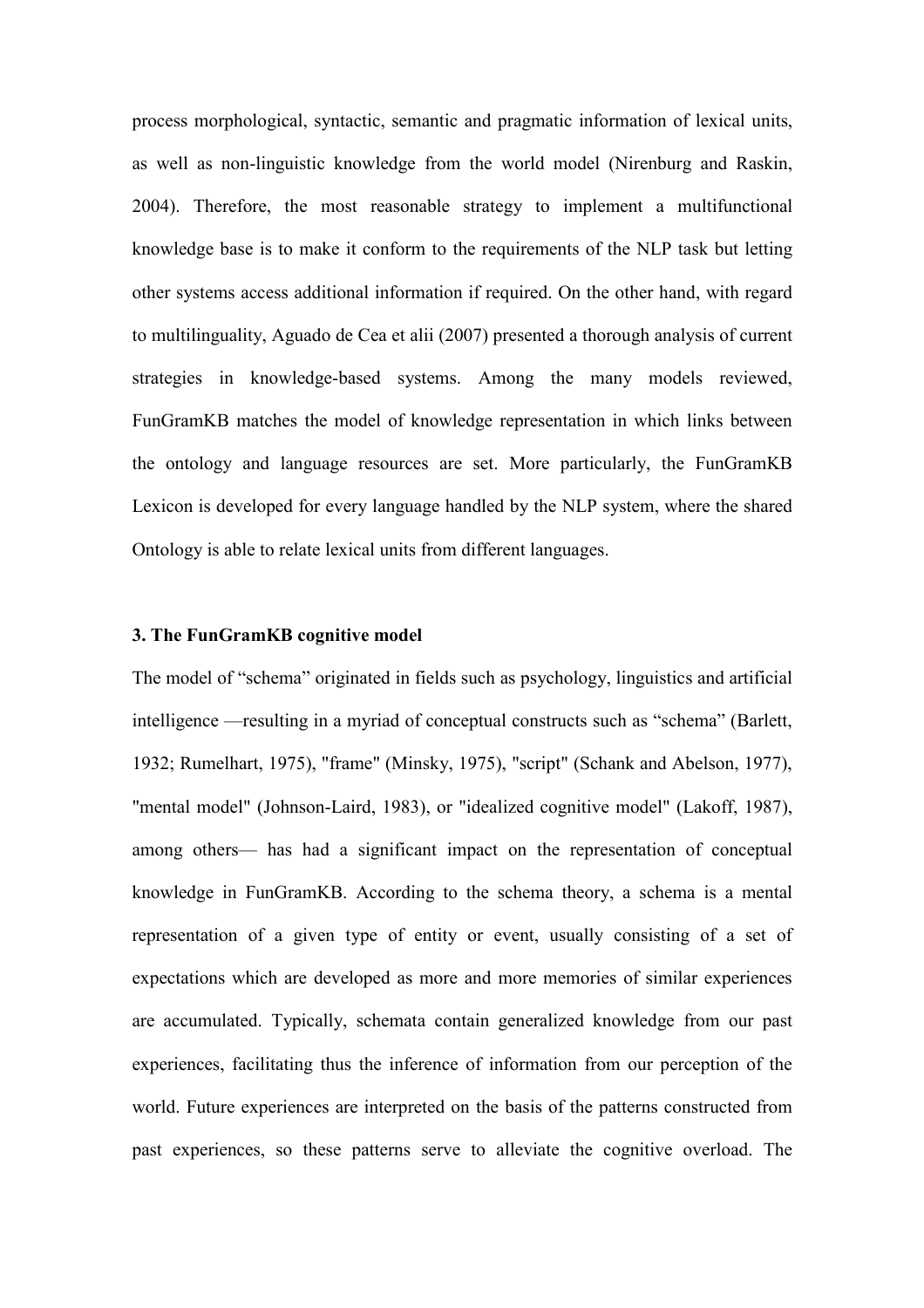process morphological, syntactic, semantic and pragmatic information of lexical units, as well as non-linguistic knowledge from the world model (Nirenburg and Raskin, 2004). Therefore, the most reasonable strategy to implement a multifunctional knowledge base is to make it conform to the requirements of the NLP task but letting other systems access additional information if required. On the other hand, with regard to multilinguality, Aguado de Cea et alii (2007) presented a thorough analysis of current strategies in knowledge-based systems. Among the many models reviewed, FunGramKB matches the model of knowledge representation in which links between the ontology and language resources are set. More particularly, the FunGramKB Lexicon is developed for every language handled by the NLP system, where the shared Ontology is able to relate lexical units from different languages.

### 3. The FunGramKB cognitive model

The model of "schema" originated in fields such as psychology, linguistics and artificial intelligence —resulting in a myriad of conceptual constructs such as "schema" (Barlett, 1932; Rumelhart, 1975), "frame" (Minsky, 1975), "script" (Schank and Abelson, 1977), "mental model" (Johnson-Laird, 1983), or "idealized cognitive model" (Lakoff, 1987), among others— has had a significant impact on the representation of conceptual knowledge in FunGramKB. According to the schema theory, a schema is a mental representation of a given type of entity or event, usually consisting of a set of expectations which are developed as more and more memories of similar experiences are accumulated. Typically, schemata contain generalized knowledge from our past experiences, facilitating thus the inference of information from our perception of the world. Future experiences are interpreted on the basis of the patterns constructed from past experiences, so these patterns serve to alleviate the cognitive overload. The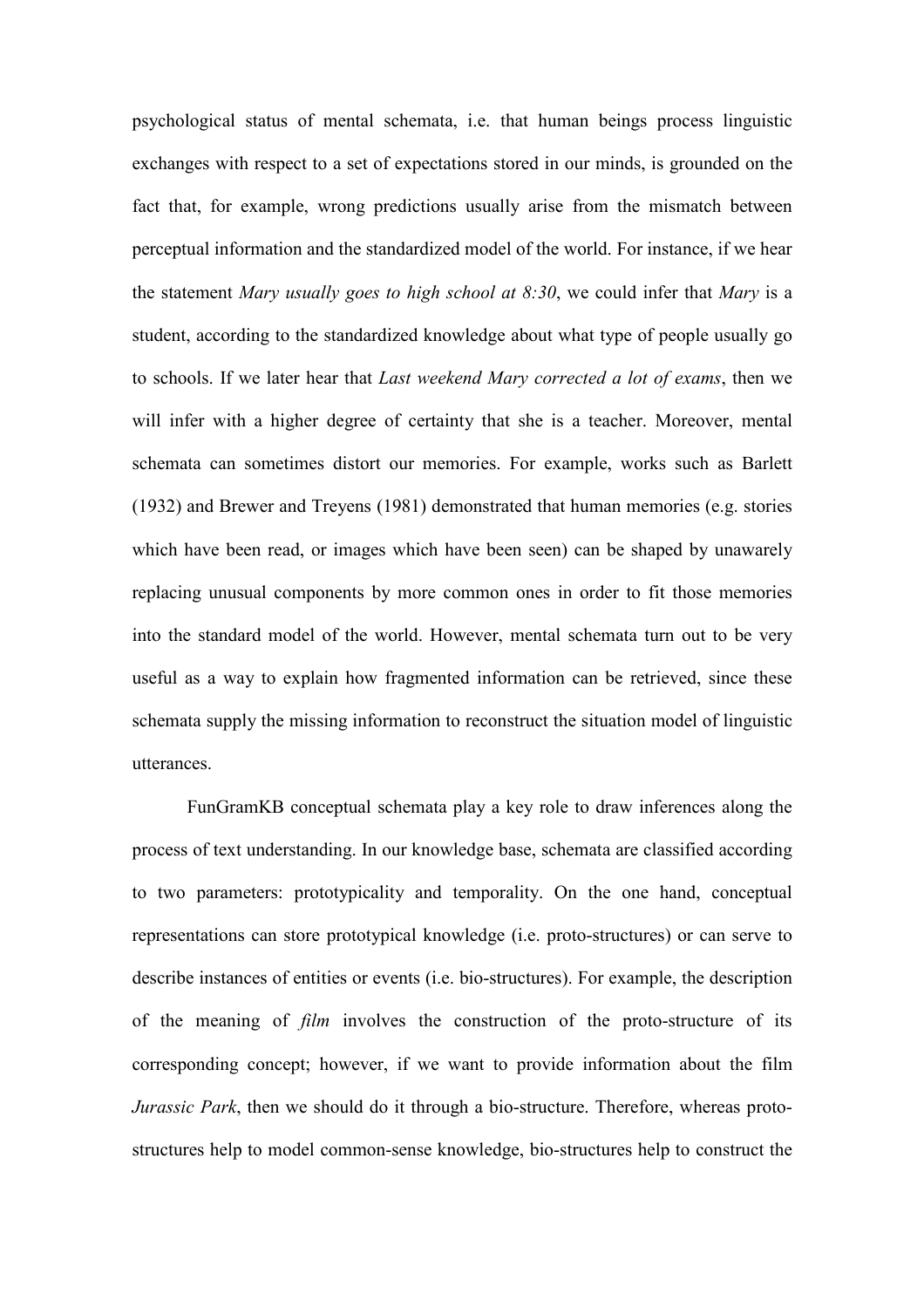psychological status of mental schemata, i.e. that human beings process linguistic exchanges with respect to a set of expectations stored in our minds, is grounded on the fact that, for example, wrong predictions usually arise from the mismatch between perceptual information and the standardized model of the world. For instance, if we hear the statement Mary usually goes to high school at 8:30, we could infer that Mary is a student, according to the standardized knowledge about what type of people usually go to schools. If we later hear that Last weekend Mary corrected a lot of exams, then we will infer with a higher degree of certainty that she is a teacher. Moreover, mental schemata can sometimes distort our memories. For example, works such as Barlett (1932) and Brewer and Treyens (1981) demonstrated that human memories (e.g. stories which have been read, or images which have been seen) can be shaped by unawarely replacing unusual components by more common ones in order to fit those memories into the standard model of the world. However, mental schemata turn out to be very useful as a way to explain how fragmented information can be retrieved, since these schemata supply the missing information to reconstruct the situation model of linguistic utterances.

FunGramKB conceptual schemata play a key role to draw inferences along the process of text understanding. In our knowledge base, schemata are classified according to two parameters: prototypicality and temporality. On the one hand, conceptual representations can store prototypical knowledge (i.e. proto-structures) or can serve to describe instances of entities or events (i.e. bio-structures). For example, the description of the meaning of film involves the construction of the proto-structure of its corresponding concept; however, if we want to provide information about the film Jurassic Park, then we should do it through a bio-structure. Therefore, whereas protostructures help to model common-sense knowledge, bio-structures help to construct the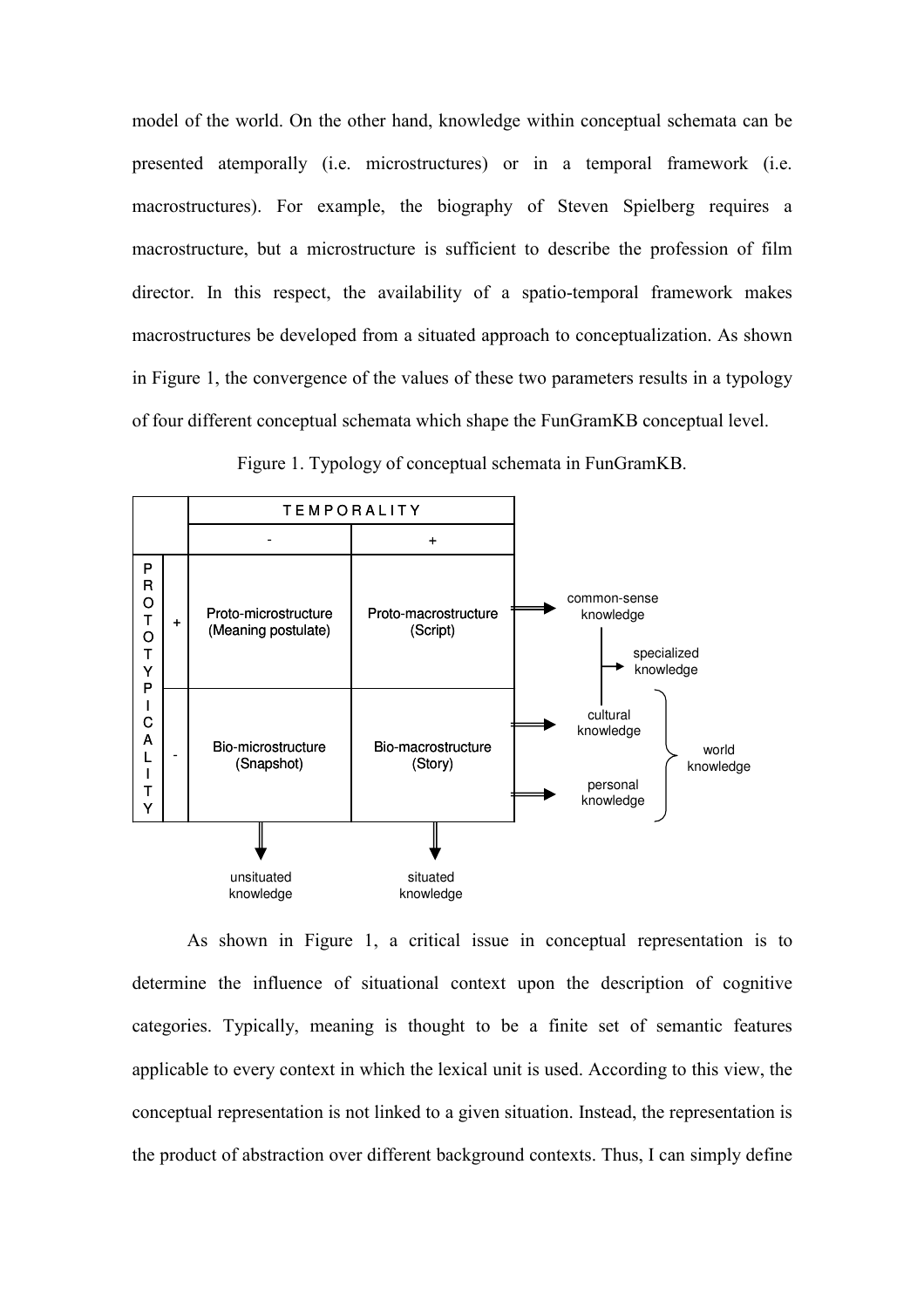model of the world. On the other hand, knowledge within conceptual schemata can be presented atemporally (i.e. microstructures) or in a temporal framework (i.e. macrostructures). For example, the biography of Steven Spielberg requires a macrostructure, but a microstructure is sufficient to describe the profession of film director. In this respect, the availability of a spatio-temporal framework makes macrostructures be developed from a situated approach to conceptualization. As shown in Figure 1, the convergence of the values of these two parameters results in a typology of four different conceptual schemata which shape the FunGramKB conceptual level.



Figure 1. Typology of conceptual schemata in FunGramKB.

As shown in Figure 1, a critical issue in conceptual representation is to determine the influence of situational context upon the description of cognitive categories. Typically, meaning is thought to be a finite set of semantic features applicable to every context in which the lexical unit is used. According to this view, the conceptual representation is not linked to a given situation. Instead, the representation is the product of abstraction over different background contexts. Thus, I can simply define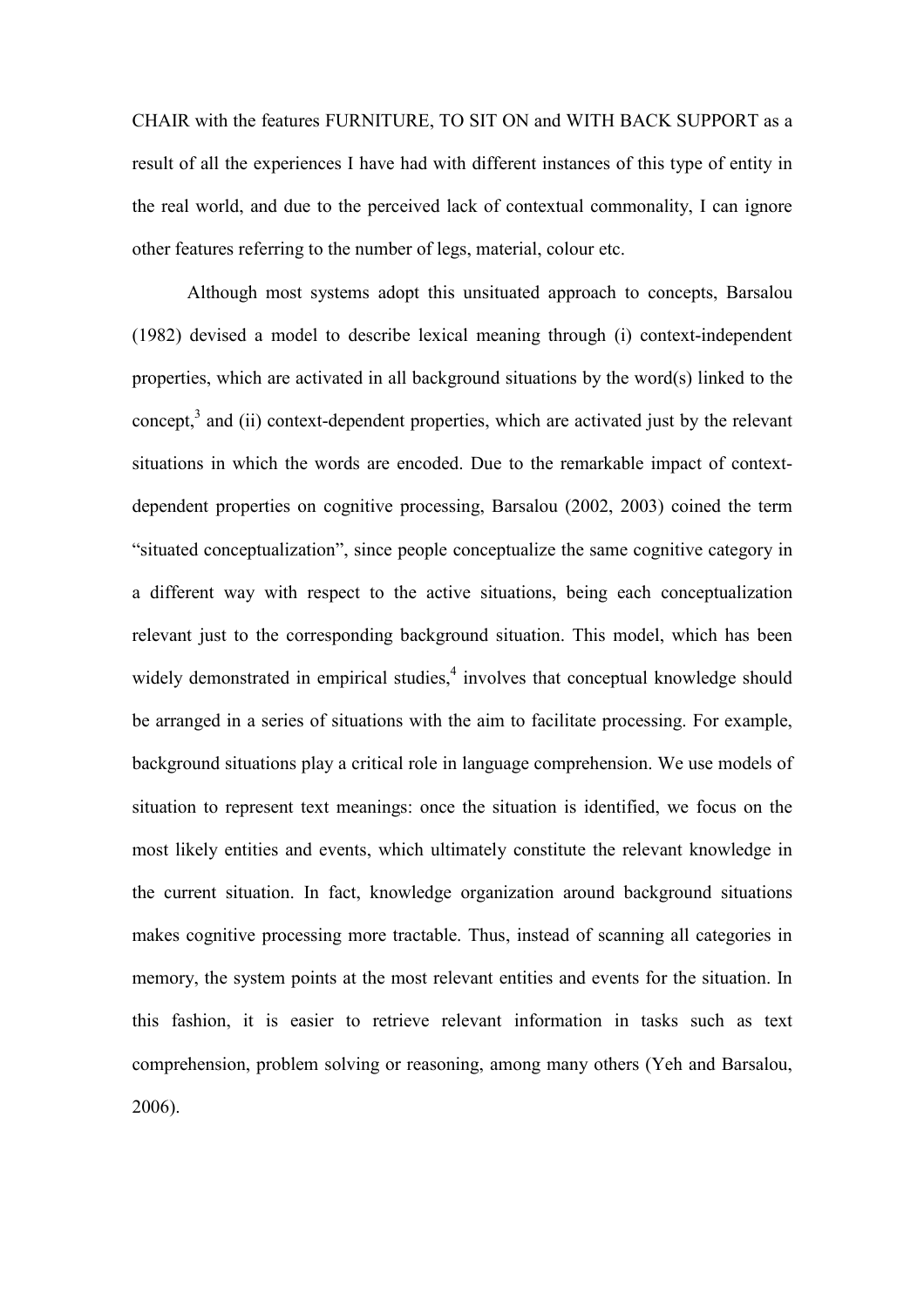CHAIR with the features FURNITURE, TO SIT ON and WITH BACK SUPPORT as a result of all the experiences I have had with different instances of this type of entity in the real world, and due to the perceived lack of contextual commonality, I can ignore other features referring to the number of legs, material, colour etc.

 Although most systems adopt this unsituated approach to concepts, Barsalou (1982) devised a model to describe lexical meaning through (i) context-independent properties, which are activated in all background situations by the word(s) linked to the concept, $3$  and (ii) context-dependent properties, which are activated just by the relevant situations in which the words are encoded. Due to the remarkable impact of contextdependent properties on cognitive processing, Barsalou (2002, 2003) coined the term "situated conceptualization", since people conceptualize the same cognitive category in a different way with respect to the active situations, being each conceptualization relevant just to the corresponding background situation. This model, which has been widely demonstrated in empirical studies,<sup>4</sup> involves that conceptual knowledge should be arranged in a series of situations with the aim to facilitate processing. For example, background situations play a critical role in language comprehension. We use models of situation to represent text meanings: once the situation is identified, we focus on the most likely entities and events, which ultimately constitute the relevant knowledge in the current situation. In fact, knowledge organization around background situations makes cognitive processing more tractable. Thus, instead of scanning all categories in memory, the system points at the most relevant entities and events for the situation. In this fashion, it is easier to retrieve relevant information in tasks such as text comprehension, problem solving or reasoning, among many others (Yeh and Barsalou, 2006).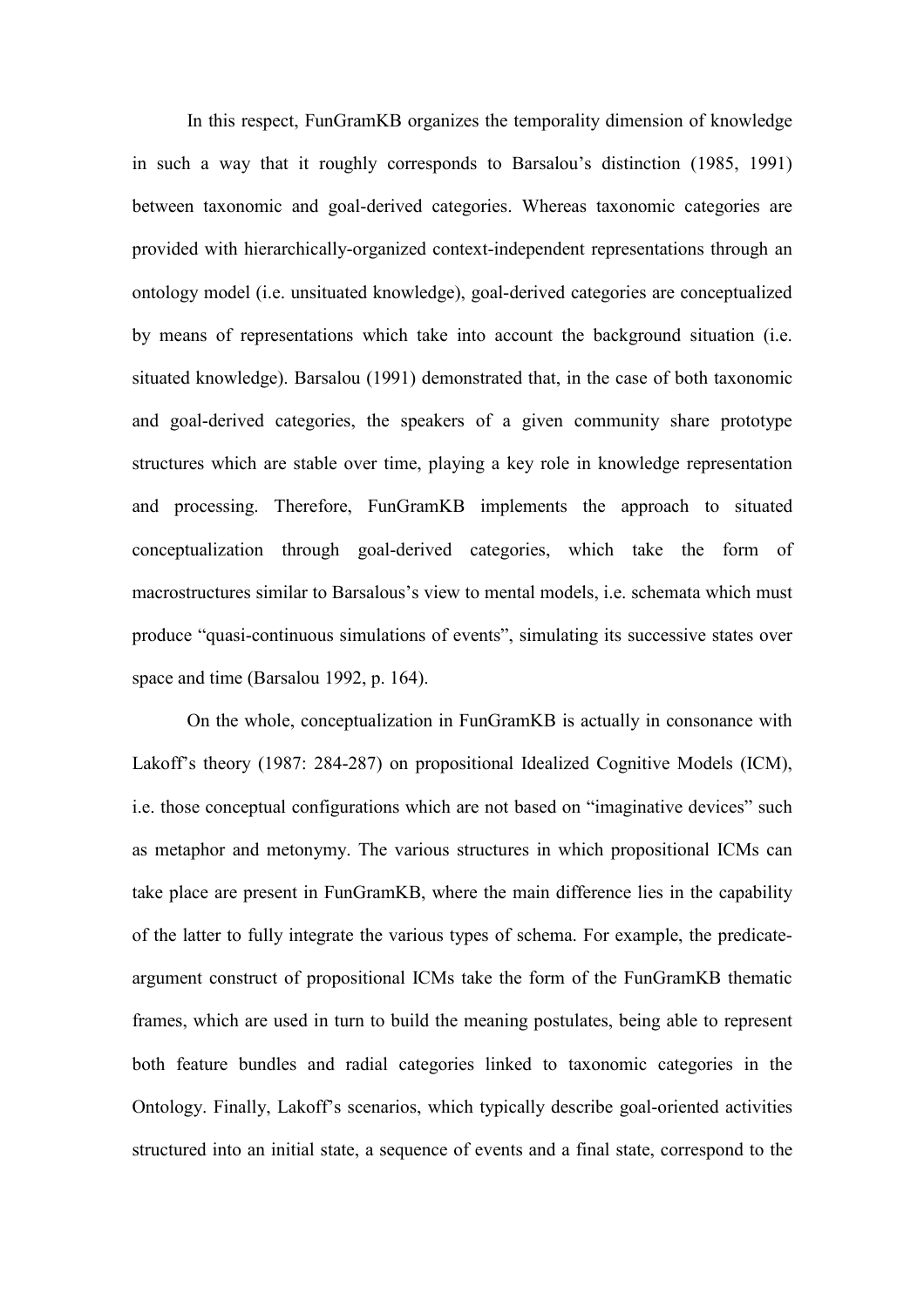In this respect, FunGramKB organizes the temporality dimension of knowledge in such a way that it roughly corresponds to Barsalou's distinction (1985, 1991) between taxonomic and goal-derived categories. Whereas taxonomic categories are provided with hierarchically-organized context-independent representations through an ontology model (i.e. unsituated knowledge), goal-derived categories are conceptualized by means of representations which take into account the background situation (i.e. situated knowledge). Barsalou (1991) demonstrated that, in the case of both taxonomic and goal-derived categories, the speakers of a given community share prototype structures which are stable over time, playing a key role in knowledge representation and processing. Therefore, FunGramKB implements the approach to situated conceptualization through goal-derived categories, which take the form of macrostructures similar to Barsalous's view to mental models, i.e. schemata which must produce "quasi-continuous simulations of events", simulating its successive states over space and time (Barsalou 1992, p. 164).

On the whole, conceptualization in FunGramKB is actually in consonance with Lakoff's theory (1987: 284-287) on propositional Idealized Cognitive Models (ICM), i.e. those conceptual configurations which are not based on "imaginative devices" such as metaphor and metonymy. The various structures in which propositional ICMs can take place are present in FunGramKB, where the main difference lies in the capability of the latter to fully integrate the various types of schema. For example, the predicateargument construct of propositional ICMs take the form of the FunGramKB thematic frames, which are used in turn to build the meaning postulates, being able to represent both feature bundles and radial categories linked to taxonomic categories in the Ontology. Finally, Lakoff's scenarios, which typically describe goal-oriented activities structured into an initial state, a sequence of events and a final state, correspond to the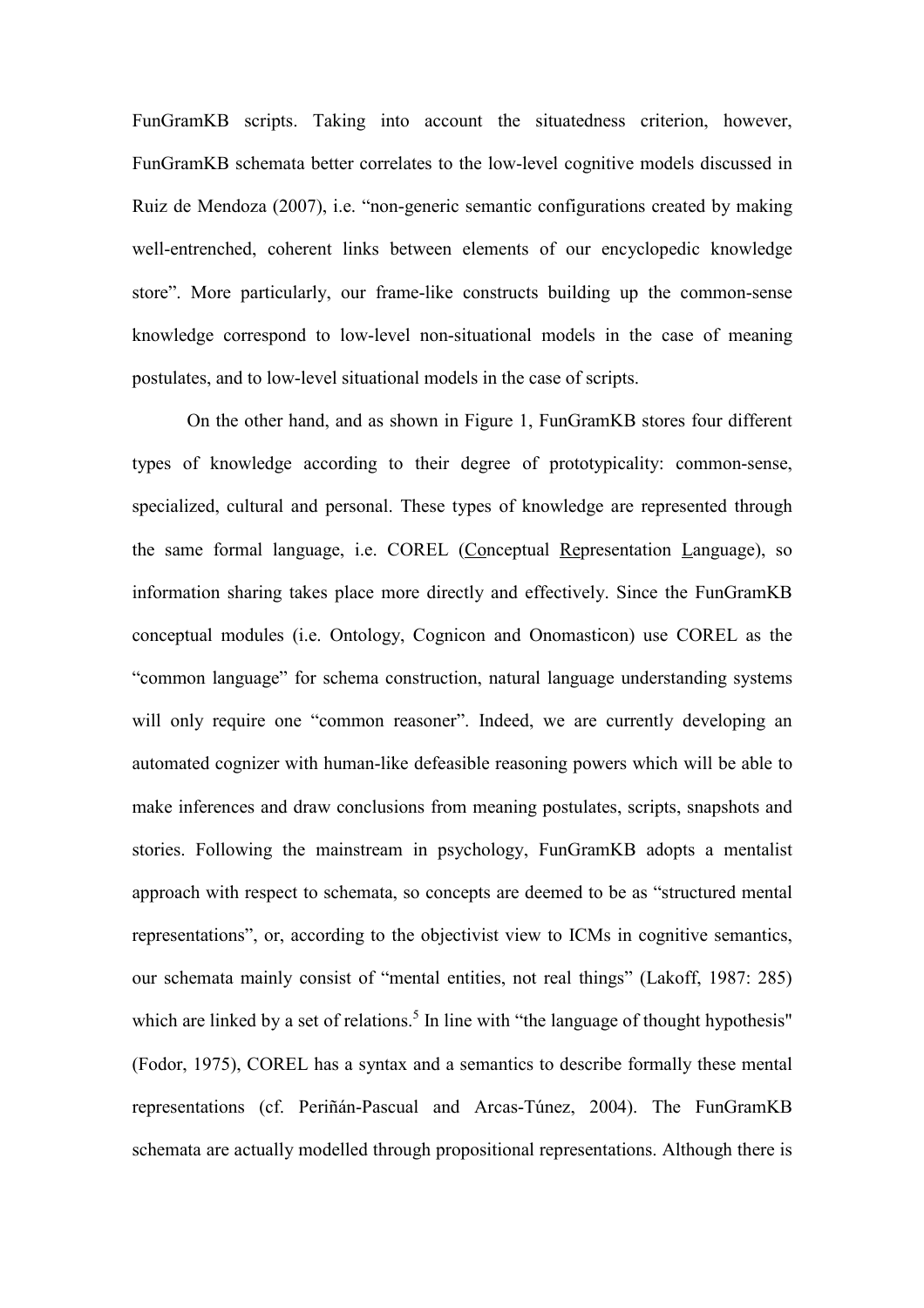FunGramKB scripts. Taking into account the situatedness criterion, however, FunGramKB schemata better correlates to the low-level cognitive models discussed in Ruiz de Mendoza (2007), i.e. "non-generic semantic configurations created by making well-entrenched, coherent links between elements of our encyclopedic knowledge store". More particularly, our frame-like constructs building up the common-sense knowledge correspond to low-level non-situational models in the case of meaning postulates, and to low-level situational models in the case of scripts.

On the other hand, and as shown in Figure 1, FunGramKB stores four different types of knowledge according to their degree of prototypicality: common-sense, specialized, cultural and personal. These types of knowledge are represented through the same formal language, i.e. COREL (Conceptual Representation Language), so information sharing takes place more directly and effectively. Since the FunGramKB conceptual modules (i.e. Ontology, Cognicon and Onomasticon) use COREL as the "common language" for schema construction, natural language understanding systems will only require one "common reasoner". Indeed, we are currently developing an automated cognizer with human-like defeasible reasoning powers which will be able to make inferences and draw conclusions from meaning postulates, scripts, snapshots and stories. Following the mainstream in psychology, FunGramKB adopts a mentalist approach with respect to schemata, so concepts are deemed to be as "structured mental representations", or, according to the objectivist view to ICMs in cognitive semantics, our schemata mainly consist of "mental entities, not real things" (Lakoff, 1987: 285) which are linked by a set of relations.<sup>5</sup> In line with "the language of thought hypothesis" (Fodor, 1975), COREL has a syntax and a semantics to describe formally these mental representations (cf. Periñán-Pascual and Arcas-Túnez, 2004). The FunGramKB schemata are actually modelled through propositional representations. Although there is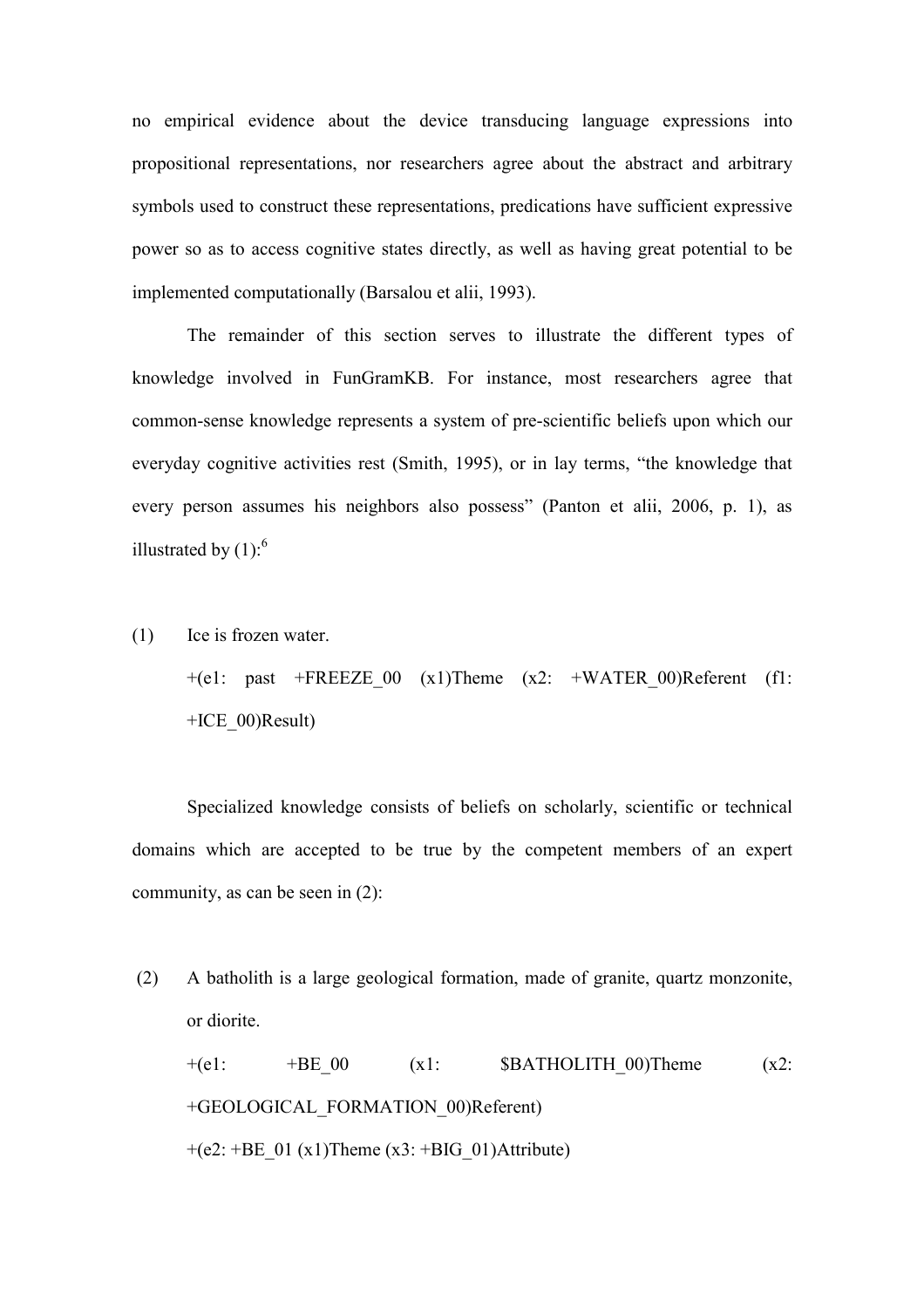no empirical evidence about the device transducing language expressions into propositional representations, nor researchers agree about the abstract and arbitrary symbols used to construct these representations, predications have sufficient expressive power so as to access cognitive states directly, as well as having great potential to be implemented computationally (Barsalou et alii, 1993).

The remainder of this section serves to illustrate the different types of knowledge involved in FunGramKB. For instance, most researchers agree that common-sense knowledge represents a system of pre-scientific beliefs upon which our everyday cognitive activities rest (Smith, 1995), or in lay terms, "the knowledge that every person assumes his neighbors also possess" (Panton et alii, 2006, p. 1), as illustrated by  $(1)$ :<sup>6</sup>

(1) Ice is frozen water.

+(e1: past +FREEZE 00 (x1)Theme (x2: +WATER 00)Referent (f1: +ICE\_00)Result)

Specialized knowledge consists of beliefs on scholarly, scientific or technical domains which are accepted to be true by the competent members of an expert community, as can be seen in (2):

(2) A batholith is a large geological formation, made of granite, quartz monzonite, or diorite.  $+(e1: +BE_00 \t (x1: SBATHOLITH 00)Then$  (x2: +GEOLOGICAL\_FORMATION\_00)Referent)  $+(e2: +BE_01 (x1)$ Theme  $(x3: +BIG_01)$ Attribute)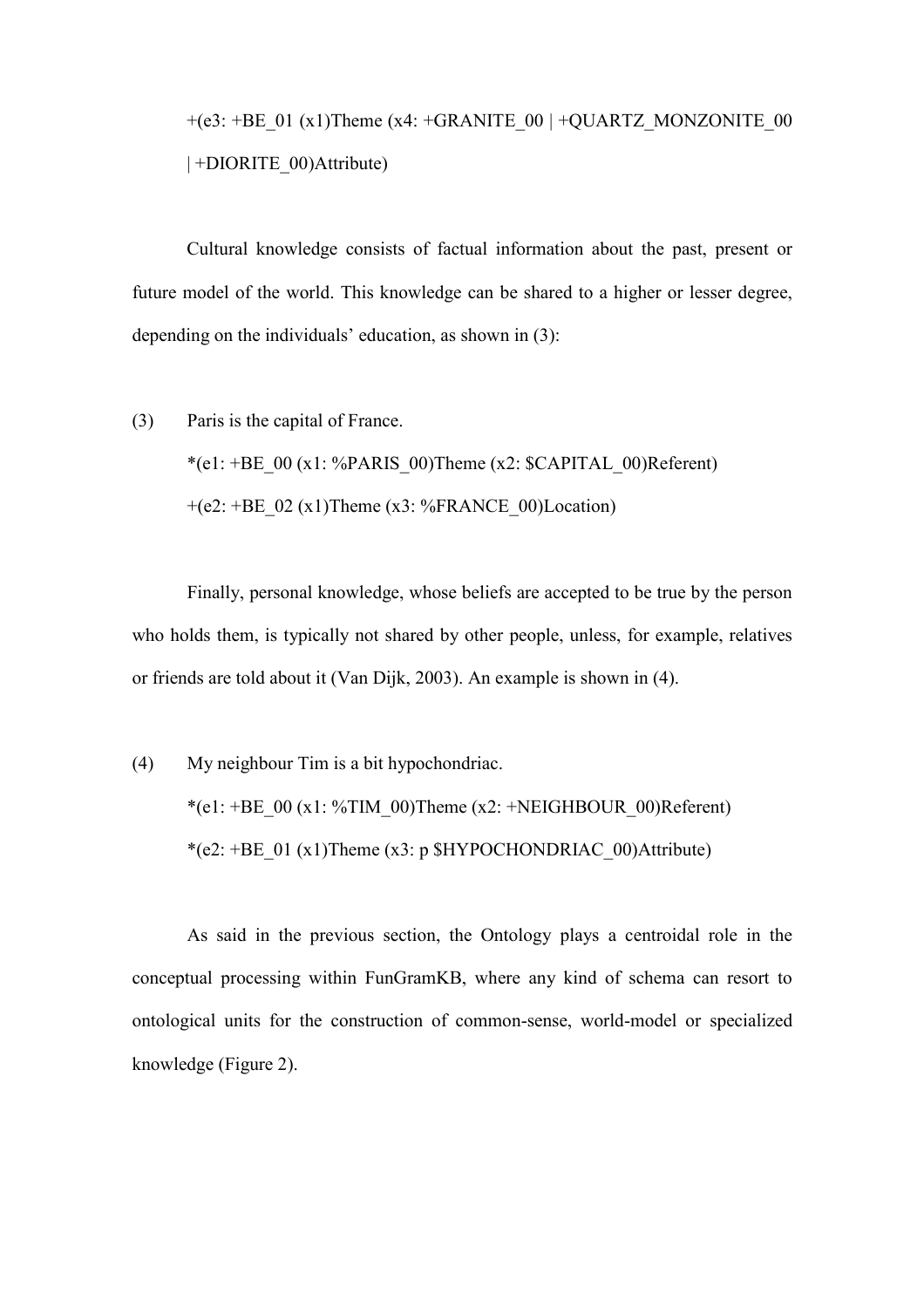$+(e3: +BE\_01 (x1)$ Theme (x4:  $+GRANITE\_00$  |  $+QUARTZ$  MONZONITE\_00 | +DIORITE\_00)Attribute)

Cultural knowledge consists of factual information about the past, present or future model of the world. This knowledge can be shared to a higher or lesser degree, depending on the individuals' education, as shown in (3):

(3) Paris is the capital of France.

\*(e1: +BE\_00 (x1: %PARIS\_00)Theme (x2: \$CAPITAL\_00)Referent)  $+(e2: +BE_02 (x1)$ Theme (x3: %FRANCE 00)Location)

Finally, personal knowledge, whose beliefs are accepted to be true by the person who holds them, is typically not shared by other people, unless, for example, relatives or friends are told about it (Van Dijk, 2003). An example is shown in (4).

(4) My neighbour Tim is a bit hypochondriac. \*(e1: +BE\_00 (x1: %TIM\_00)Theme (x2: +NEIGHBOUR\_00)Referent) \*(e2: +BE\_01 (x1)Theme (x3: p \$HYPOCHONDRIAC\_00)Attribute)

As said in the previous section, the Ontology plays a centroidal role in the conceptual processing within FunGramKB, where any kind of schema can resort to ontological units for the construction of common-sense, world-model or specialized knowledge (Figure 2).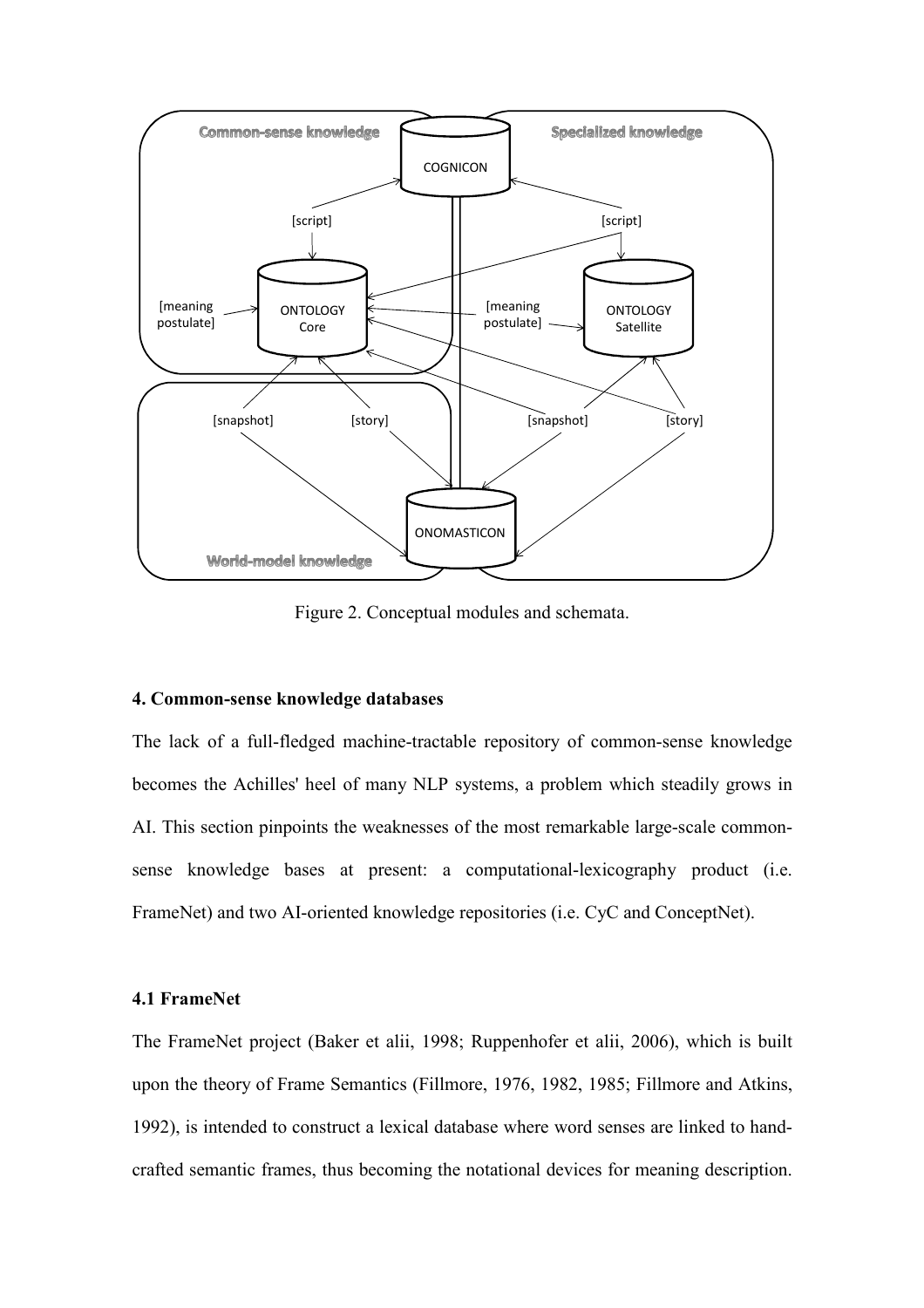

Figure 2. Conceptual modules and schemata.

### 4. Common-sense knowledge databases

The lack of a full-fledged machine-tractable repository of common-sense knowledge becomes the Achilles' heel of many NLP systems, a problem which steadily grows in AI. This section pinpoints the weaknesses of the most remarkable large-scale commonsense knowledge bases at present: a computational-lexicography product (i.e. FrameNet) and two AI-oriented knowledge repositories (i.e. CyC and ConceptNet).

# 4.1 FrameNet

The FrameNet project (Baker et alii, 1998; Ruppenhofer et alii, 2006), which is built upon the theory of Frame Semantics (Fillmore, 1976, 1982, 1985; Fillmore and Atkins, 1992), is intended to construct a lexical database where word senses are linked to handcrafted semantic frames, thus becoming the notational devices for meaning description.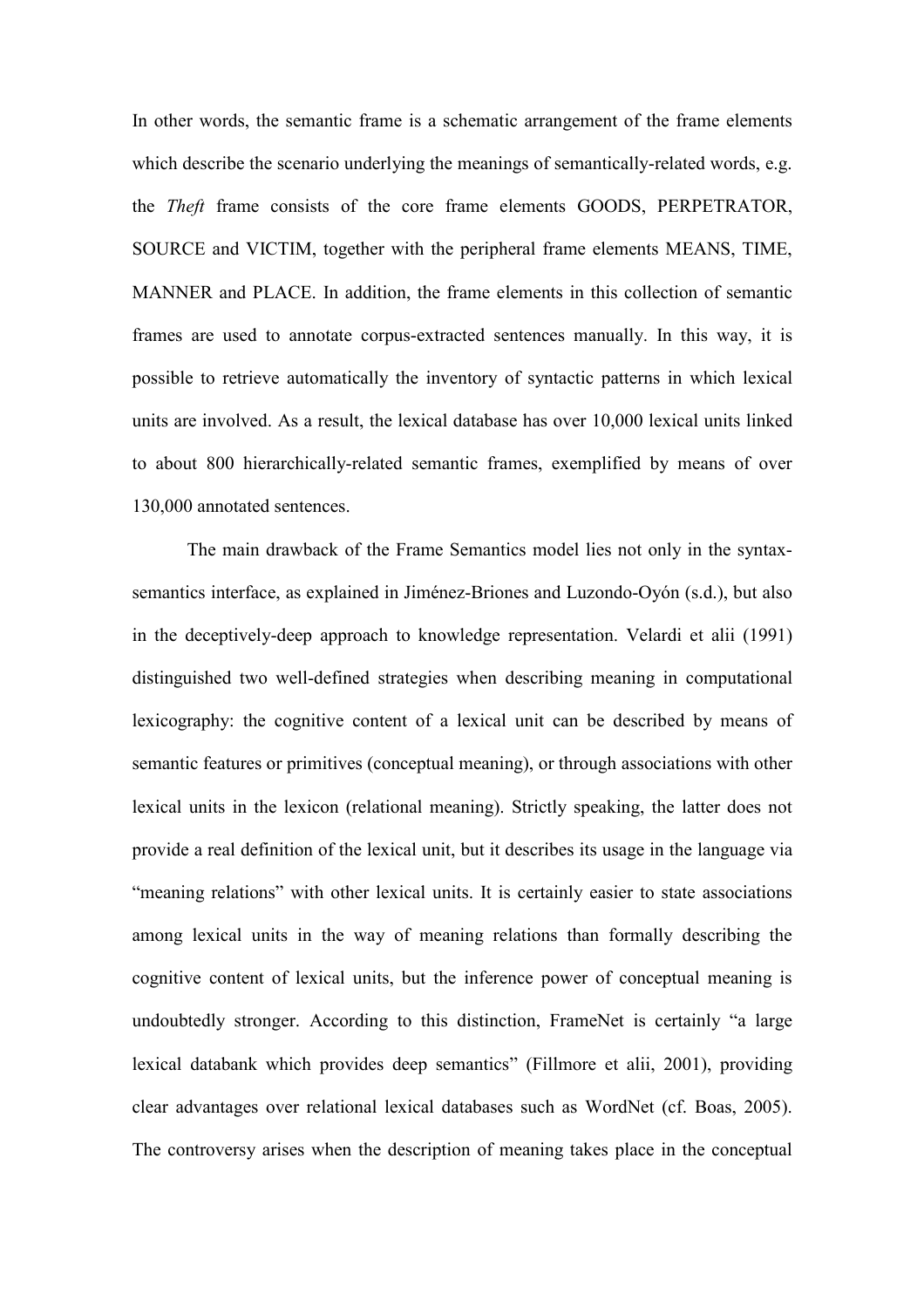In other words, the semantic frame is a schematic arrangement of the frame elements which describe the scenario underlying the meanings of semantically-related words, e.g. the Theft frame consists of the core frame elements GOODS, PERPETRATOR, SOURCE and VICTIM, together with the peripheral frame elements MEANS, TIME, MANNER and PLACE. In addition, the frame elements in this collection of semantic frames are used to annotate corpus-extracted sentences manually. In this way, it is possible to retrieve automatically the inventory of syntactic patterns in which lexical units are involved. As a result, the lexical database has over 10,000 lexical units linked to about 800 hierarchically-related semantic frames, exemplified by means of over 130,000 annotated sentences.

 The main drawback of the Frame Semantics model lies not only in the syntaxsemantics interface, as explained in Jiménez-Briones and Luzondo-Oyón (s.d.), but also in the deceptively-deep approach to knowledge representation. Velardi et alii (1991) distinguished two well-defined strategies when describing meaning in computational lexicography: the cognitive content of a lexical unit can be described by means of semantic features or primitives (conceptual meaning), or through associations with other lexical units in the lexicon (relational meaning). Strictly speaking, the latter does not provide a real definition of the lexical unit, but it describes its usage in the language via "meaning relations" with other lexical units. It is certainly easier to state associations among lexical units in the way of meaning relations than formally describing the cognitive content of lexical units, but the inference power of conceptual meaning is undoubtedly stronger. According to this distinction, FrameNet is certainly "a large lexical databank which provides deep semantics" (Fillmore et alii, 2001), providing clear advantages over relational lexical databases such as WordNet (cf. Boas, 2005). The controversy arises when the description of meaning takes place in the conceptual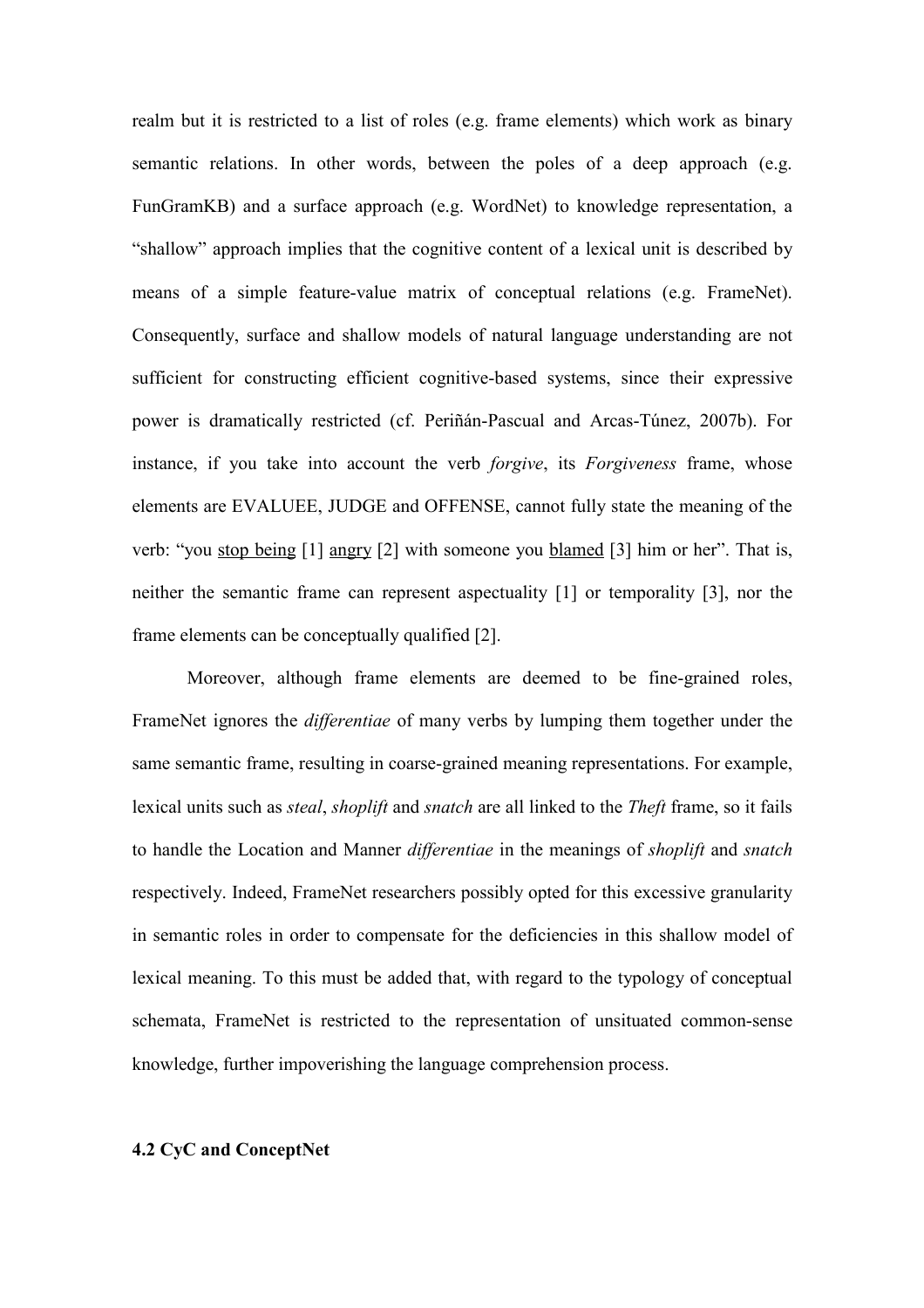realm but it is restricted to a list of roles (e.g. frame elements) which work as binary semantic relations. In other words, between the poles of a deep approach (e.g. FunGramKB) and a surface approach (e.g. WordNet) to knowledge representation, a "shallow" approach implies that the cognitive content of a lexical unit is described by means of a simple feature-value matrix of conceptual relations (e.g. FrameNet). Consequently, surface and shallow models of natural language understanding are not sufficient for constructing efficient cognitive-based systems, since their expressive power is dramatically restricted (cf. Periñán-Pascual and Arcas-Túnez, 2007b). For instance, if you take into account the verb *forgive*, its *Forgiveness* frame, whose elements are EVALUEE, JUDGE and OFFENSE, cannot fully state the meaning of the verb: "you stop being [1] angry [2] with someone you blamed [3] him or her". That is, neither the semantic frame can represent aspectuality [1] or temporality [3], nor the frame elements can be conceptually qualified [2].

 Moreover, although frame elements are deemed to be fine-grained roles, FrameNet ignores the *differentiae* of many verbs by lumping them together under the same semantic frame, resulting in coarse-grained meaning representations. For example, lexical units such as *steal, shoplift* and *snatch* are all linked to the *Theft* frame, so it fails to handle the Location and Manner differentiae in the meanings of shoplift and snatch respectively. Indeed, FrameNet researchers possibly opted for this excessive granularity in semantic roles in order to compensate for the deficiencies in this shallow model of lexical meaning. To this must be added that, with regard to the typology of conceptual schemata, FrameNet is restricted to the representation of unsituated common-sense knowledge, further impoverishing the language comprehension process.

# 4.2 CyC and ConceptNet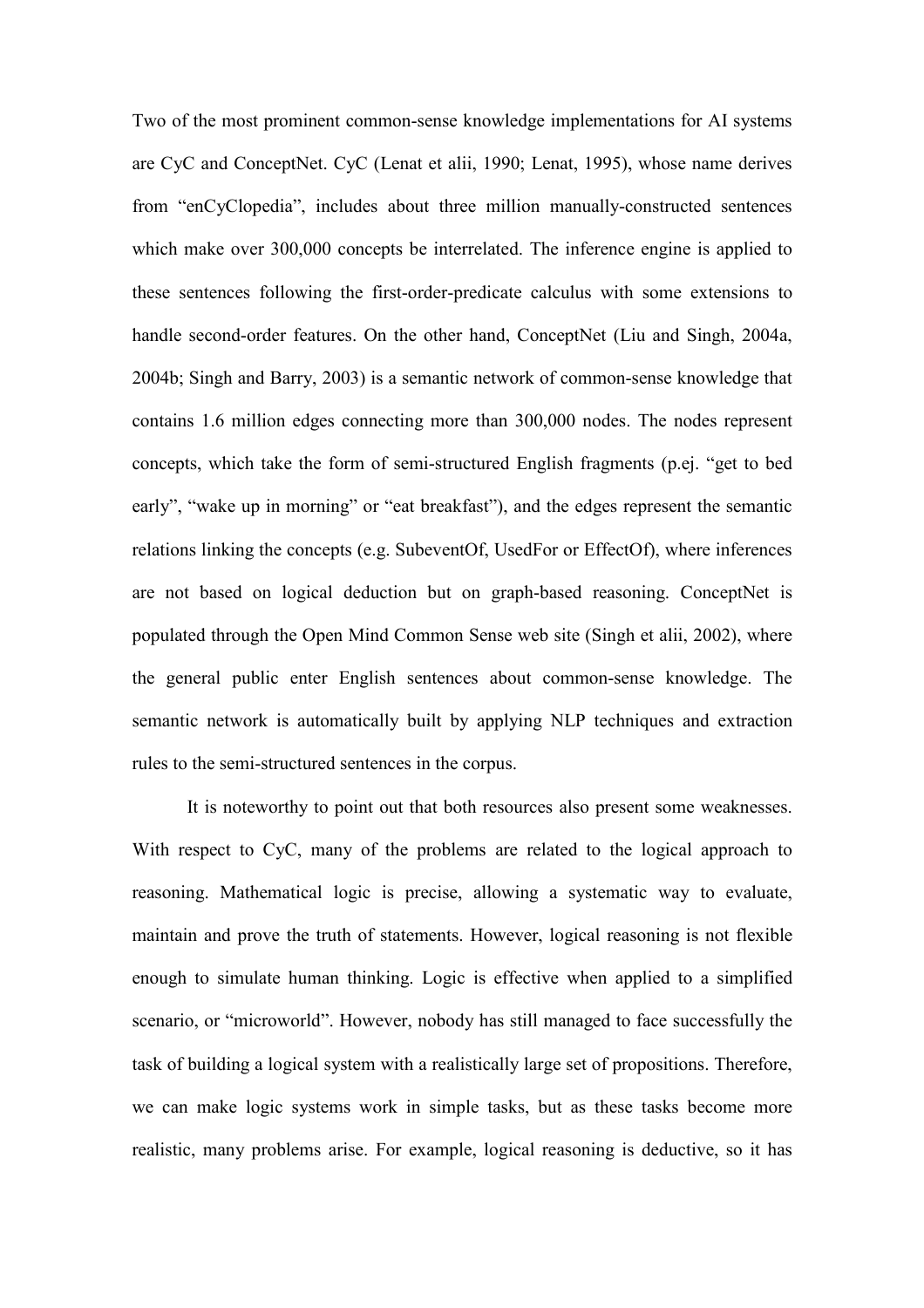Two of the most prominent common-sense knowledge implementations for AI systems are CyC and ConceptNet. CyC (Lenat et alii, 1990; Lenat, 1995), whose name derives from "enCyClopedia", includes about three million manually-constructed sentences which make over 300,000 concepts be interrelated. The inference engine is applied to these sentences following the first-order-predicate calculus with some extensions to handle second-order features. On the other hand, ConceptNet (Liu and Singh, 2004a, 2004b; Singh and Barry, 2003) is a semantic network of common-sense knowledge that contains 1.6 million edges connecting more than 300,000 nodes. The nodes represent concepts, which take the form of semi-structured English fragments (p.ej. "get to bed early", "wake up in morning" or "eat breakfast"), and the edges represent the semantic relations linking the concepts (e.g. SubeventOf, UsedFor or EffectOf), where inferences are not based on logical deduction but on graph-based reasoning. ConceptNet is populated through the Open Mind Common Sense web site (Singh et alii, 2002), where the general public enter English sentences about common-sense knowledge. The semantic network is automatically built by applying NLP techniques and extraction rules to the semi-structured sentences in the corpus.

 It is noteworthy to point out that both resources also present some weaknesses. With respect to CyC, many of the problems are related to the logical approach to reasoning. Mathematical logic is precise, allowing a systematic way to evaluate, maintain and prove the truth of statements. However, logical reasoning is not flexible enough to simulate human thinking. Logic is effective when applied to a simplified scenario, or "microworld". However, nobody has still managed to face successfully the task of building a logical system with a realistically large set of propositions. Therefore, we can make logic systems work in simple tasks, but as these tasks become more realistic, many problems arise. For example, logical reasoning is deductive, so it has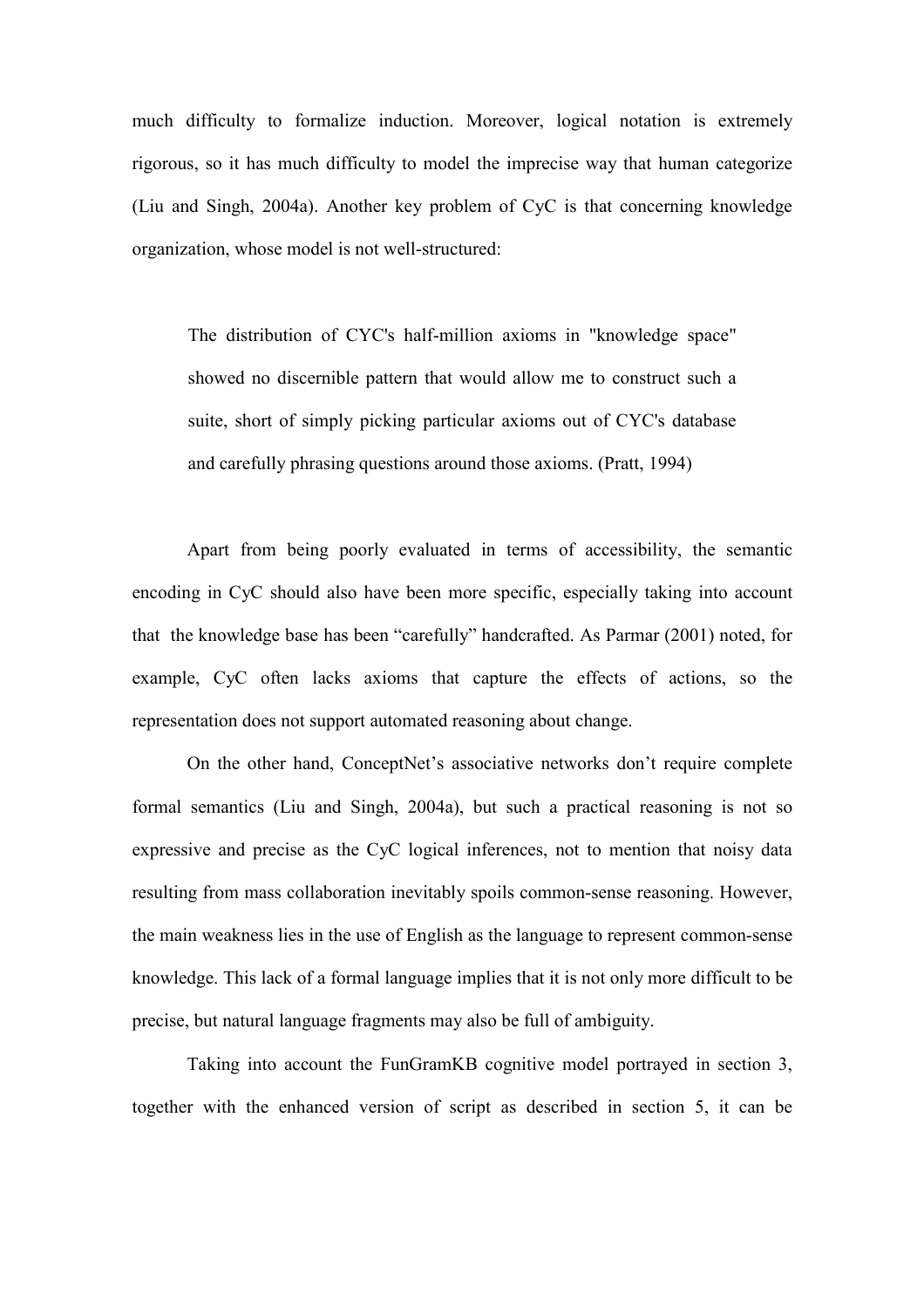much difficulty to formalize induction. Moreover, logical notation is extremely rigorous, so it has much difficulty to model the imprecise way that human categorize (Liu and Singh, 2004a). Another key problem of CyC is that concerning knowledge organization, whose model is not well-structured:

The distribution of CYC's half-million axioms in "knowledge space" showed no discernible pattern that would allow me to construct such a suite, short of simply picking particular axioms out of CYC's database and carefully phrasing questions around those axioms. (Pratt, 1994)

 Apart from being poorly evaluated in terms of accessibility, the semantic encoding in CyC should also have been more specific, especially taking into account that the knowledge base has been "carefully" handcrafted. As Parmar (2001) noted, for example, CyC often lacks axioms that capture the effects of actions, so the representation does not support automated reasoning about change.

On the other hand, ConceptNet's associative networks don't require complete formal semantics (Liu and Singh, 2004a), but such a practical reasoning is not so expressive and precise as the CyC logical inferences, not to mention that noisy data resulting from mass collaboration inevitably spoils common-sense reasoning. However, the main weakness lies in the use of English as the language to represent common-sense knowledge. This lack of a formal language implies that it is not only more difficult to be precise, but natural language fragments may also be full of ambiguity.

Taking into account the FunGramKB cognitive model portrayed in section 3, together with the enhanced version of script as described in section 5, it can be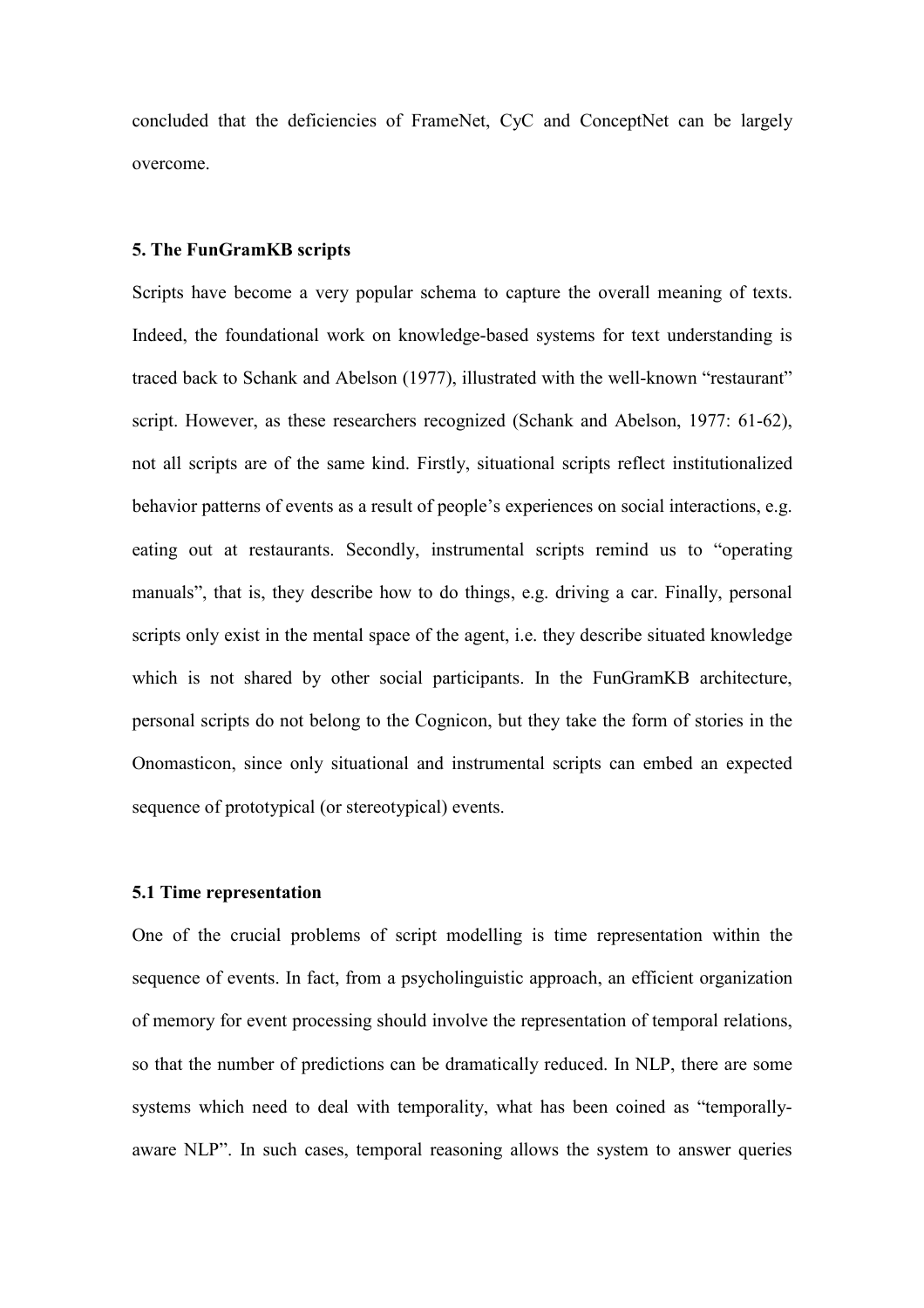concluded that the deficiencies of FrameNet, CyC and ConceptNet can be largely overcome.

# 5. The FunGramKB scripts

Scripts have become a very popular schema to capture the overall meaning of texts. Indeed, the foundational work on knowledge-based systems for text understanding is traced back to Schank and Abelson (1977), illustrated with the well-known "restaurant" script. However, as these researchers recognized (Schank and Abelson, 1977: 61-62), not all scripts are of the same kind. Firstly, situational scripts reflect institutionalized behavior patterns of events as a result of people's experiences on social interactions, e.g. eating out at restaurants. Secondly, instrumental scripts remind us to "operating manuals", that is, they describe how to do things, e.g. driving a car. Finally, personal scripts only exist in the mental space of the agent, i.e. they describe situated knowledge which is not shared by other social participants. In the FunGramKB architecture, personal scripts do not belong to the Cognicon, but they take the form of stories in the Onomasticon, since only situational and instrumental scripts can embed an expected sequence of prototypical (or stereotypical) events.

# 5.1 Time representation

One of the crucial problems of script modelling is time representation within the sequence of events. In fact, from a psycholinguistic approach, an efficient organization of memory for event processing should involve the representation of temporal relations, so that the number of predictions can be dramatically reduced. In NLP, there are some systems which need to deal with temporality, what has been coined as "temporallyaware NLP". In such cases, temporal reasoning allows the system to answer queries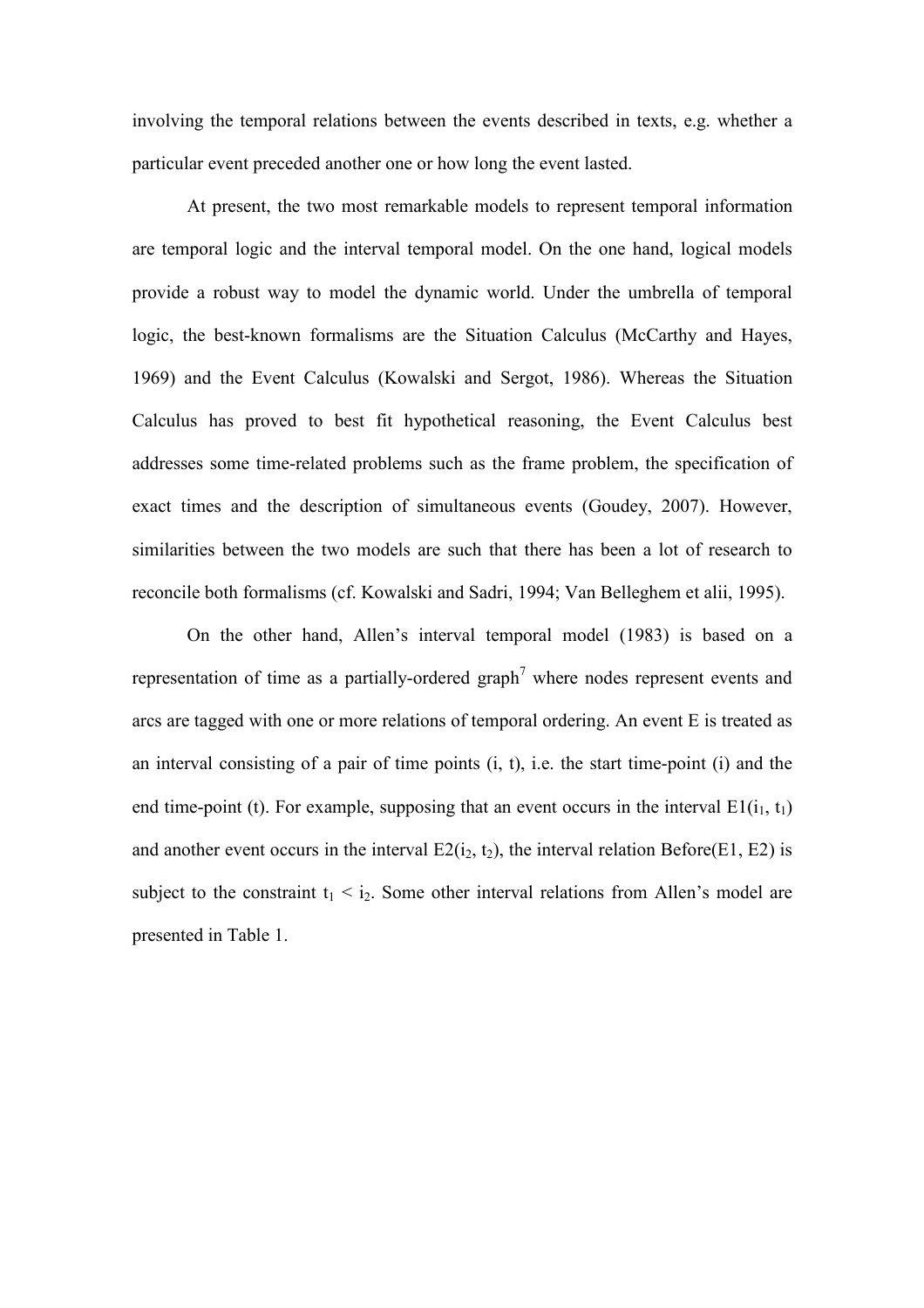involving the temporal relations between the events described in texts, e.g. whether a particular event preceded another one or how long the event lasted.

 At present, the two most remarkable models to represent temporal information are temporal logic and the interval temporal model. On the one hand, logical models provide a robust way to model the dynamic world. Under the umbrella of temporal logic, the best-known formalisms are the Situation Calculus (McCarthy and Hayes, 1969) and the Event Calculus (Kowalski and Sergot, 1986). Whereas the Situation Calculus has proved to best fit hypothetical reasoning, the Event Calculus best addresses some time-related problems such as the frame problem, the specification of exact times and the description of simultaneous events (Goudey, 2007). However, similarities between the two models are such that there has been a lot of research to reconcile both formalisms (cf. Kowalski and Sadri, 1994; Van Belleghem et alii, 1995).

On the other hand, Allen's interval temporal model (1983) is based on a representation of time as a partially-ordered graph<sup>7</sup> where nodes represent events and arcs are tagged with one or more relations of temporal ordering. An event E is treated as an interval consisting of a pair of time points (i, t), i.e. the start time-point (i) and the end time-point (t). For example, supposing that an event occurs in the interval  $E1(i_1, t_1)$ and another event occurs in the interval  $E2(i_2, t_2)$ , the interval relation Before(E1, E2) is subject to the constraint  $t_1 \le i_2$ . Some other interval relations from Allen's model are presented in Table 1.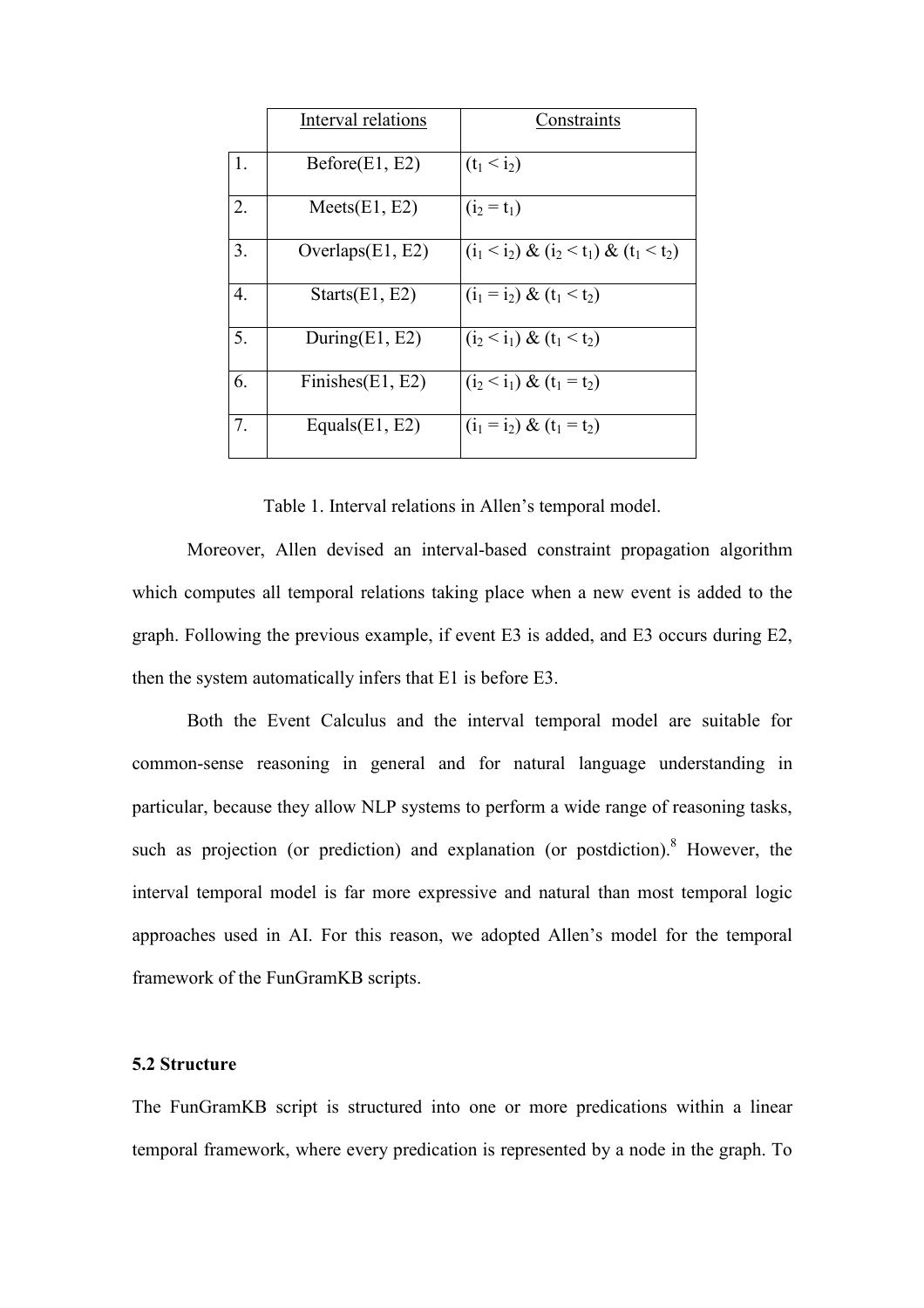|    | Interval relations  | Constraints                                 |
|----|---------------------|---------------------------------------------|
| 1. | Before(E1, E2)      | $(t_1 < i_2)$                               |
| 2. | Meets(E1, E2)       | $(i_2 = t_1)$                               |
| 3. | Overlaps $(E1, E2)$ | $(i_1 < i_2) \& (i_2 < t_1) \& (t_1 < t_2)$ |
| 4. | Starts(E1, E2)      | $(i_1 = i_2) \& (t_1 < t_2)$                |
| 5. | During $(E1, E2)$   | $(i_2 < i_1) \& (t_1 < t_2)$                |
| 6. | Finishes $(E1, E2)$ | $(i_2 < i_1) \& (t_1 = t_2)$                |
| 7. | Equals $(E1, E2)$   | $(i_1 = i_2) \& (t_1 = t_2)$                |

Table 1. Interval relations in Allen's temporal model.

Moreover, Allen devised an interval-based constraint propagation algorithm which computes all temporal relations taking place when a new event is added to the graph. Following the previous example, if event E3 is added, and E3 occurs during E2, then the system automatically infers that E1 is before E3.

 Both the Event Calculus and the interval temporal model are suitable for common-sense reasoning in general and for natural language understanding in particular, because they allow NLP systems to perform a wide range of reasoning tasks, such as projection (or prediction) and explanation (or postdiction).<sup>8</sup> However, the interval temporal model is far more expressive and natural than most temporal logic approaches used in AI. For this reason, we adopted Allen's model for the temporal framework of the FunGramKB scripts.

### 5.2 Structure

The FunGramKB script is structured into one or more predications within a linear temporal framework, where every predication is represented by a node in the graph. To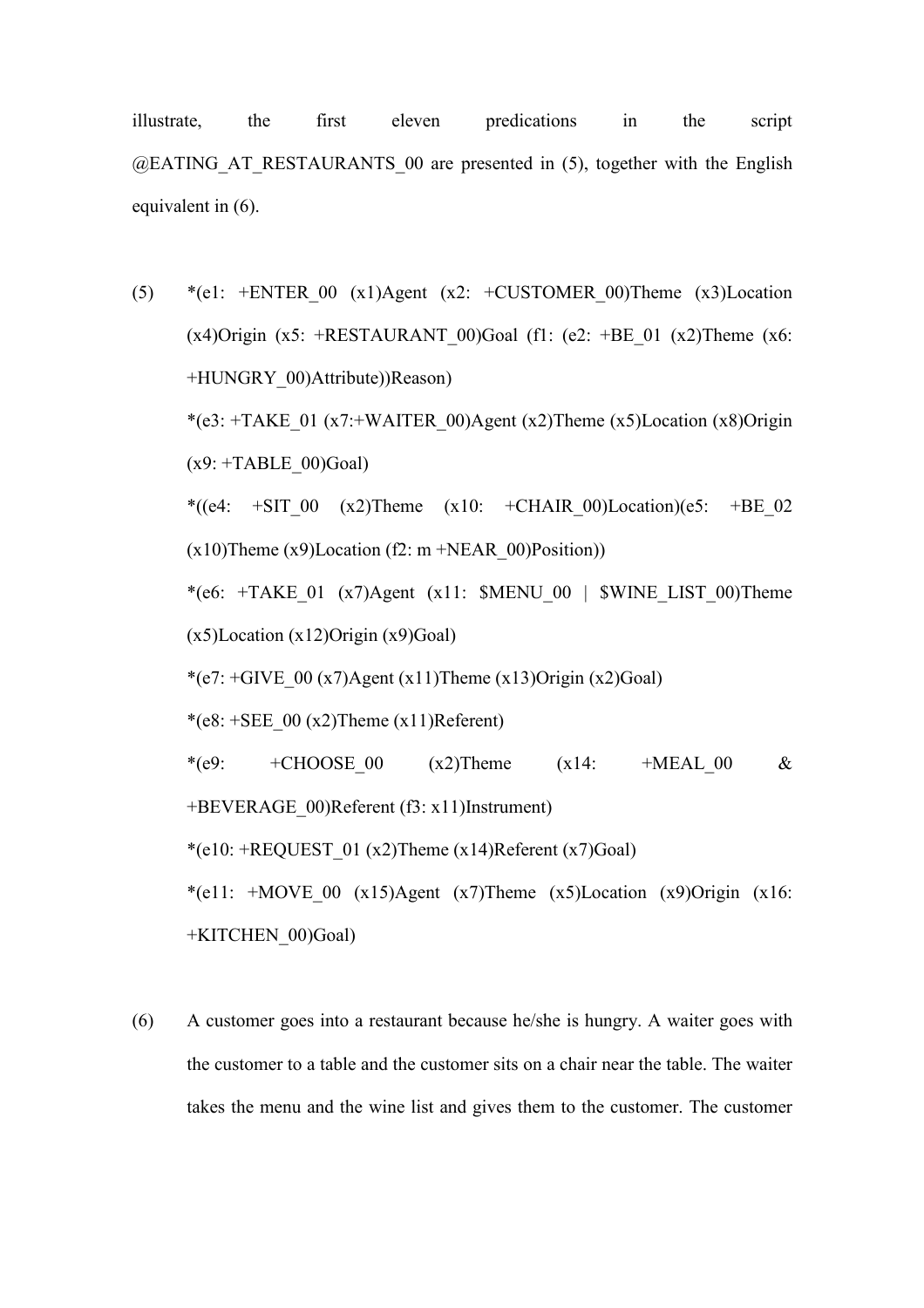illustrate, the first eleven predications in the script  $@EATING AT RESTAURANTS 00 are presented in (5), together with the English$ equivalent in (6).

- (5) \*(e1: +ENTER\_00 (x1)Agent (x2: +CUSTOMER\_00)Theme (x3)Location  $(x4)$ Origin  $(x5)$ : +RESTAURANT 00)Goal (f1: (e2: +BE 01  $(x2)$ Theme  $(x6)$ : +HUNGRY\_00)Attribute))Reason) \*(e3: +TAKE\_01 (x7:+WAITER\_00)Agent (x2)Theme (x5)Location (x8)Origin  $(x9: +TABLE~00)Goal$ \*((e4: +SIT\_00 (x2)Theme (x10: +CHAIR\_00)Location)(e5: +BE\_02  $(x10)$ Theme  $(x9)$ Location (f2: m +NEAR 00)Position)) \*(e6:  $+TAKE$  01 (x7)Agent (x11: \$MENU 00 | \$WINE LIST 00)Theme (x5)Location (x12)Origin (x9)Goal) \*(e7:  $+GIVE$  00 (x7)Agent (x11)Theme (x13)Origin (x2)Goal) \*(e8:  $+$ SEE 00 (x2)Theme (x11)Referent) \*(e9: +CHOOSE 00 (x2)Theme (x14: +MEAL 00 & +BEVERAGE\_00)Referent (f3: x11)Instrument) \*(e10: +REQUEST\_01 (x2)Theme (x14)Referent (x7)Goal) \*(e11:  $+MOVE$  00 (x15)Agent (x7)Theme (x5)Location (x9)Origin (x16: +KITCHEN\_00)Goal)
- (6) A customer goes into a restaurant because he/she is hungry. A waiter goes with the customer to a table and the customer sits on a chair near the table. The waiter takes the menu and the wine list and gives them to the customer. The customer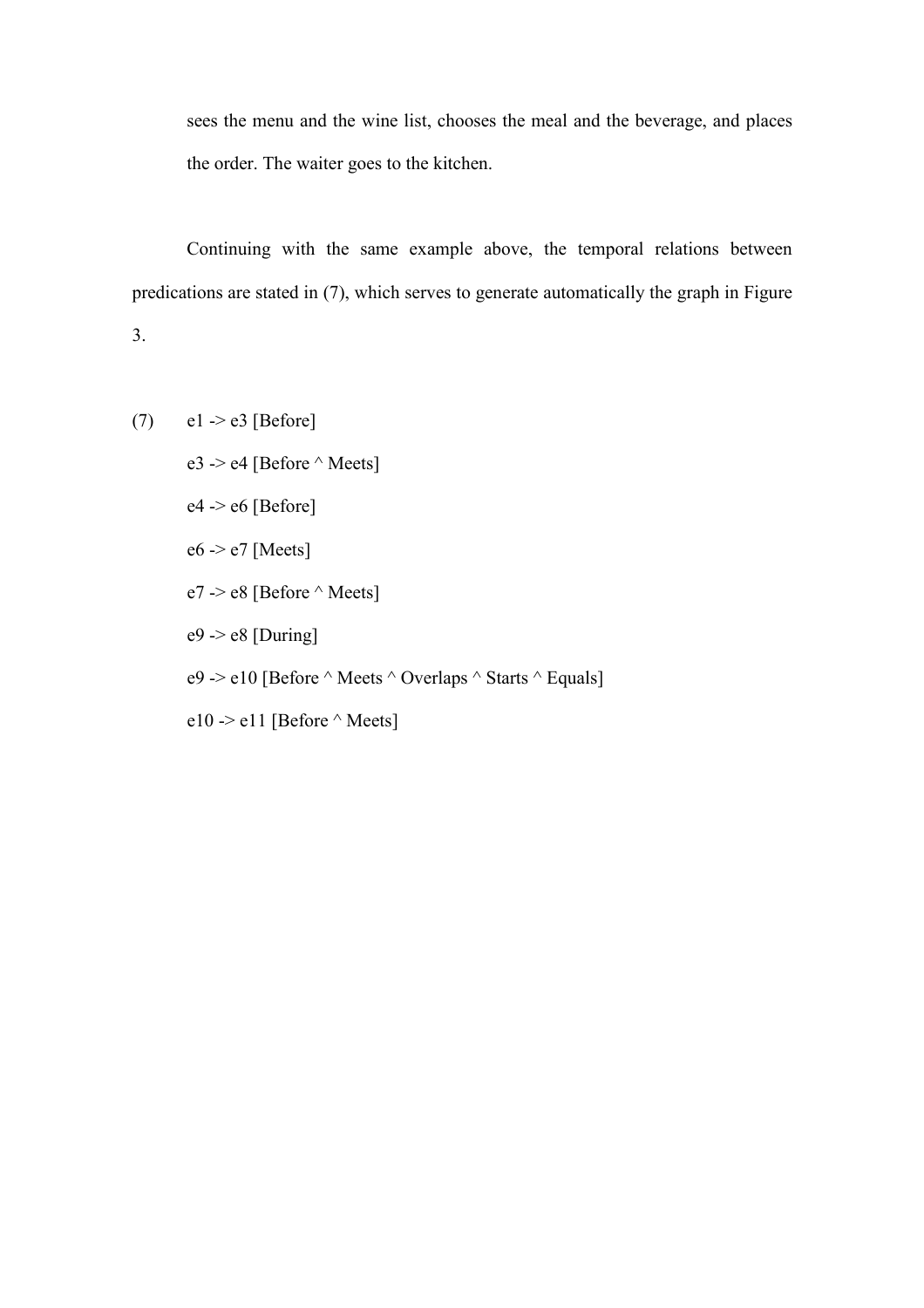sees the menu and the wine list, chooses the meal and the beverage, and places the order. The waiter goes to the kitchen.

Continuing with the same example above, the temporal relations between predications are stated in (7), which serves to generate automatically the graph in Figure 3.

- (7)  $e1 > e3$  [Before]
	- e3 -> e4 [Before  $\wedge$  Meets]
	- $e4 \rightarrow e6$  [Before]
	- e6 -> e7 [Meets]
	- e7 -> e8 [Before  $\wedge$  Meets]
	- $e9 \rightarrow e8$  [During]
	- e9 -> e10 [Before  $\land$  Meets  $\land$  Overlaps  $\land$  Starts  $\land$  Equals]
	- e10 -> e11 [Before  $\land$  Meets]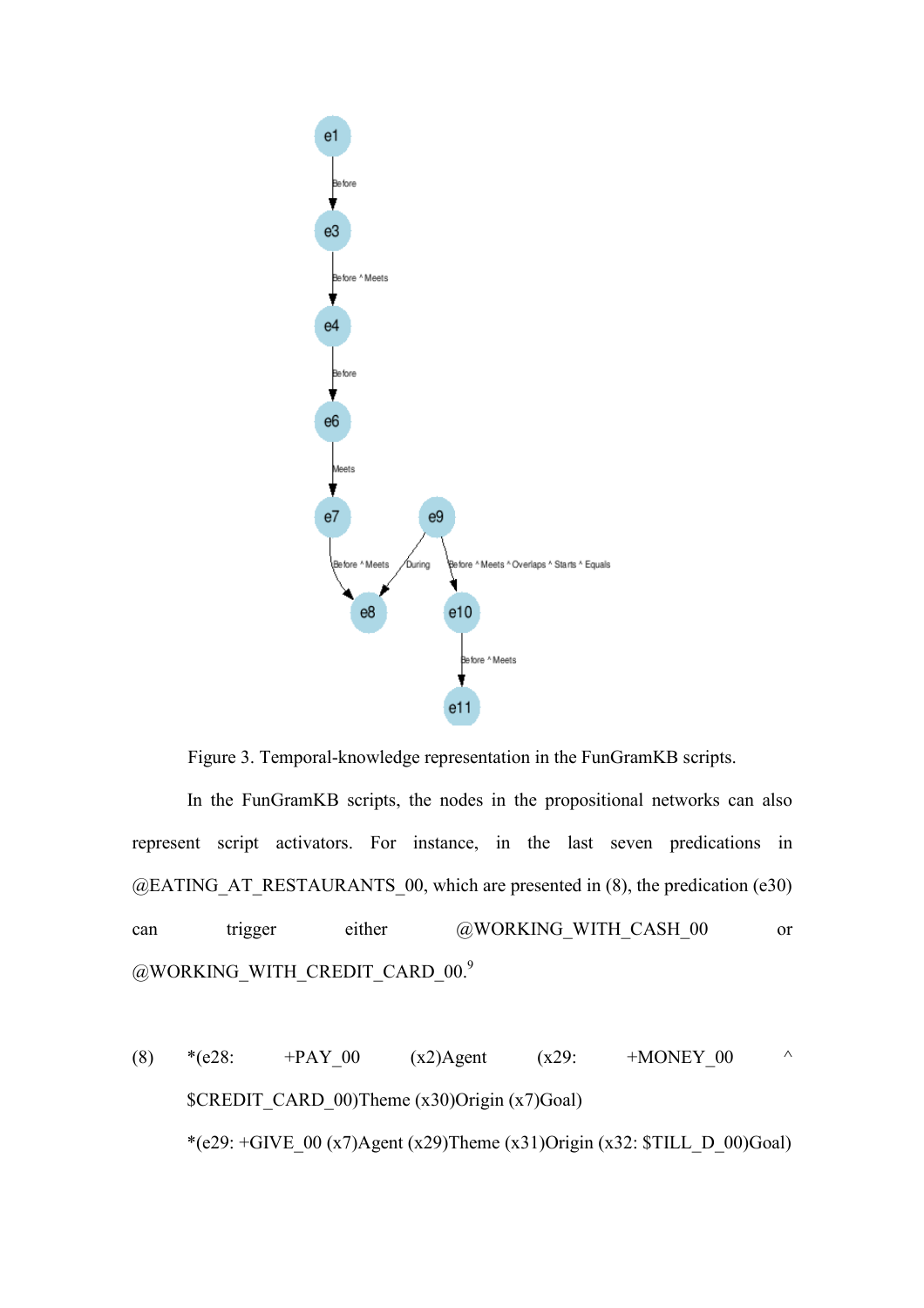

Figure 3. Temporal-knowledge representation in the FunGramKB scripts.

In the FunGramKB scripts, the nodes in the propositional networks can also represent script activators. For instance, in the last seven predications in  $@EATING AT RESTAURANTS 00, which are presented in (8), the prediction (e30)$ can trigger either @WORKING\_WITH\_CASH\_00 or @WORKING\_WITH\_CREDIT\_CARD\_00.9

(8) \*(e28: +PAY\_00 (x2)Agent (x29: +MONEY\_00 ^ \$CREDIT\_CARD\_00)Theme (x30)Origin (x7)Goal) \*(e29:  $+$ GIVE\_00 (x7)Agent (x29)Theme (x31)Origin (x32:  $$TILL_D_00)Goal$ )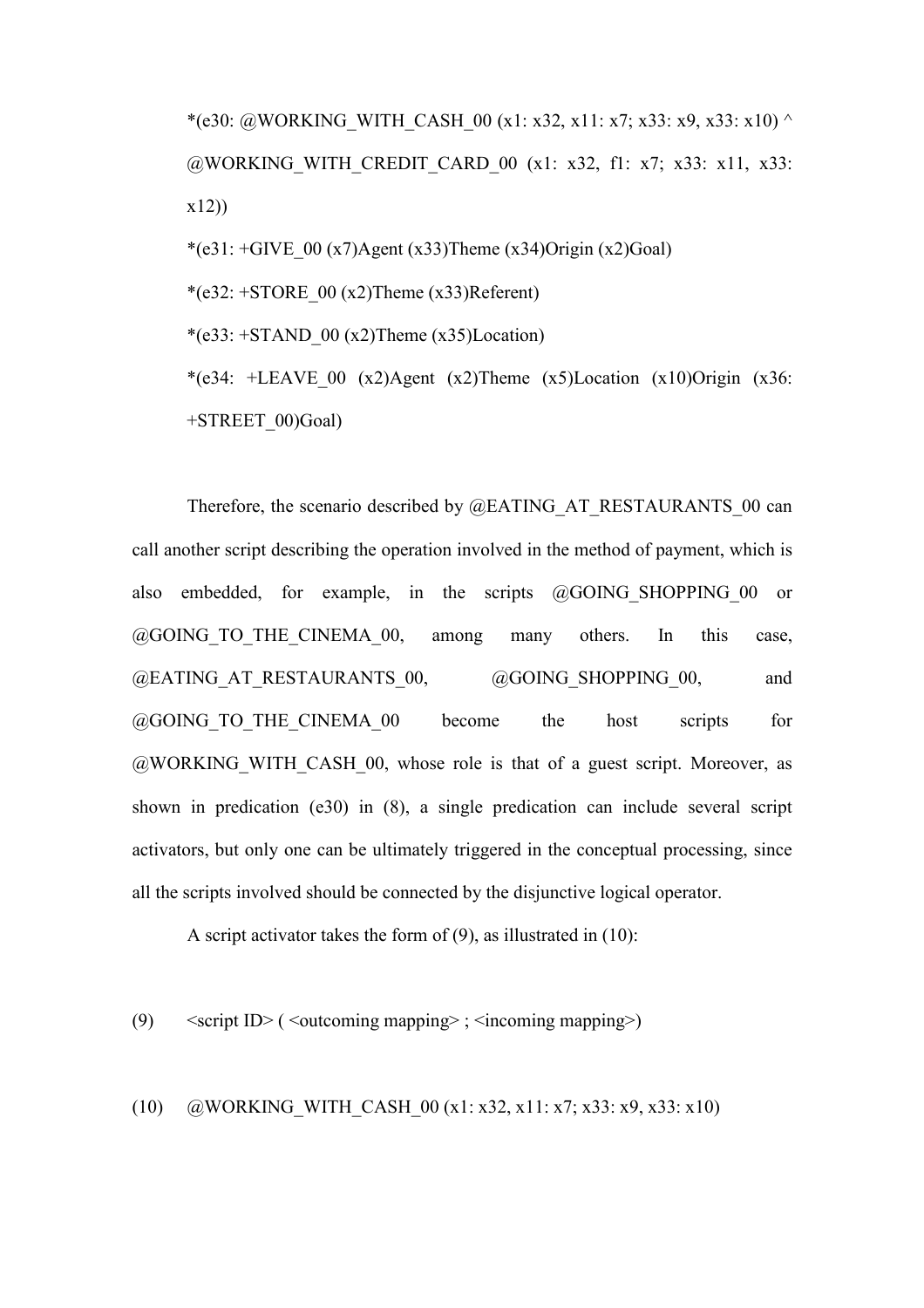\*(e30: @WORKING\_WITH\_CASH\_00 (x1: x32, x11: x7; x33: x9, x33: x10) ^ @WORKING\_WITH\_CREDIT\_CARD\_00 (x1: x32, f1: x7; x33: x11, x33: x12))

\*(e31:  $+$ GIVE 00 (x7)Agent (x33)Theme (x34)Origin (x2)Goal)

\* $(e32: +STORE 00 (x2)$ Theme  $(x33)$ Referent)

\*(e33:  $+STAND$  00 (x2)Theme (x35)Location)

\*(e34: +LEAVE 00 (x2)Agent (x2)Theme (x5)Location (x10)Origin (x36: +STREET\_00)Goal)

Therefore, the scenario described by @EATING AT\_RESTAURANTS\_00 can call another script describing the operation involved in the method of payment, which is also embedded, for example, in the scripts @GOING\_SHOPPING\_00 or @GOING\_TO\_THE\_CINEMA\_00, among many others. In this case, @EATING\_AT\_RESTAURANTS\_00, @GOING\_SHOPPING\_00, and @GOING\_TO\_THE\_CINEMA\_00 become the host scripts for  $@WORKING$  WITH CASH 00, whose role is that of a guest script. Moreover, as shown in predication (e30) in (8), a single predication can include several script activators, but only one can be ultimately triggered in the conceptual processing, since all the scripts involved should be connected by the disjunctive logical operator.

A script activator takes the form of (9), as illustrated in (10):

(9)  $\leq$   $\leq$   $\leq$   $\leq$   $\leq$   $\leq$   $\leq$   $\leq$   $\leq$   $\leq$   $\leq$   $\leq$   $\leq$   $\leq$   $\leq$   $\leq$   $\leq$   $\leq$   $\leq$   $\leq$   $\leq$   $\leq$   $\leq$   $\leq$   $\leq$   $\leq$   $\leq$   $\leq$   $\leq$   $\leq$   $\leq$   $\leq$   $\leq$   $\leq$   $\leq$   $\leq$ 

(10) @WORKING\_WITH\_CASH\_00 (x1: x32, x11: x7; x33: x9, x33: x10)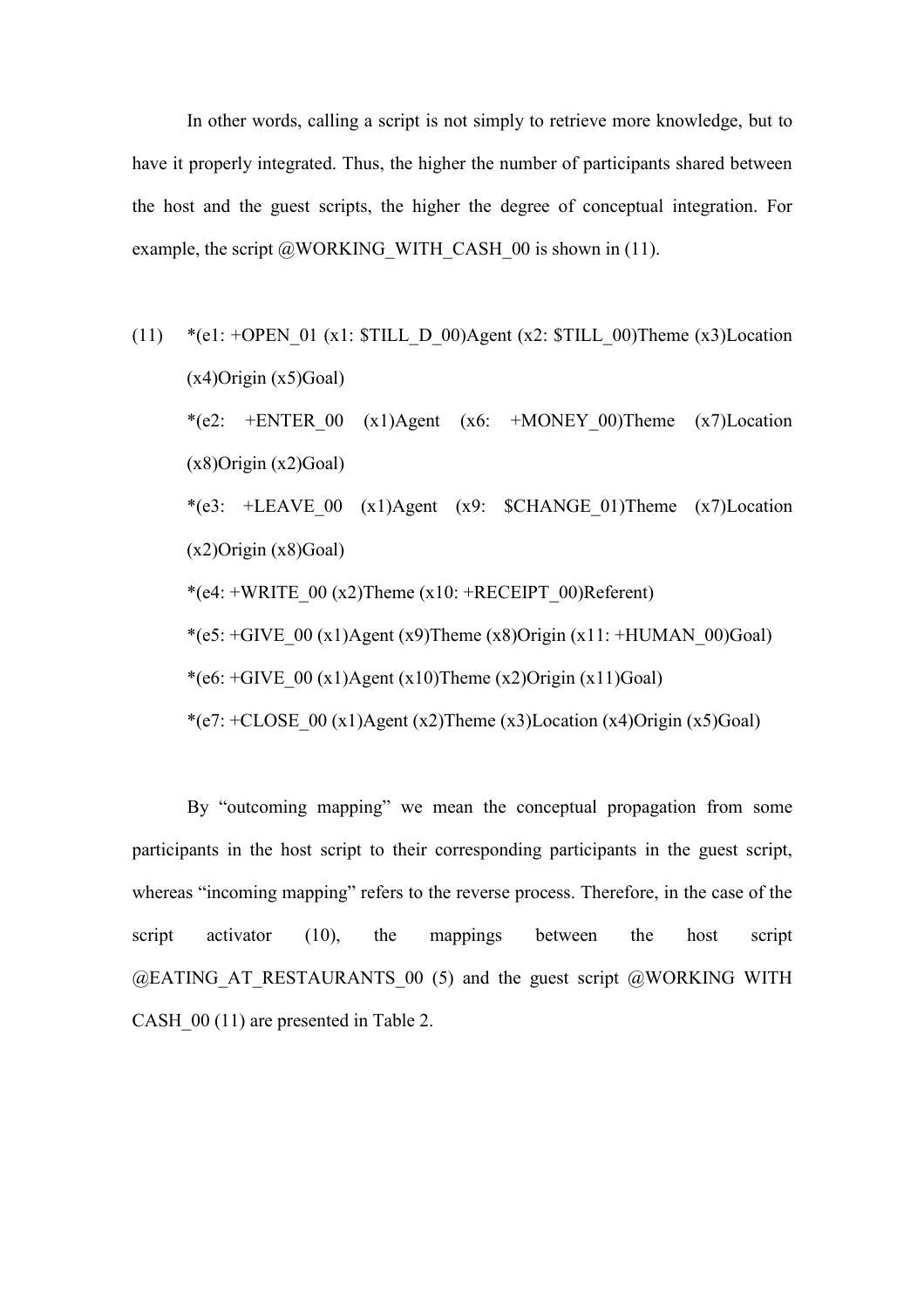In other words, calling a script is not simply to retrieve more knowledge, but to have it properly integrated. Thus, the higher the number of participants shared between the host and the guest scripts, the higher the degree of conceptual integration. For example, the script  $@WORKING$  WITH CASH 00 is shown in (11).

(11) \*(e1: +OPEN\_01 (x1:  $$TILL D_00)$ Agent (x2:  $$TILL_00)$ Theme (x3)Location  $(x4)$ Origin  $(x5)$ Goal) \*(e2:  $+ENTER$  00 (x1)Agent (x6:  $+MONEY$  00)Theme (x7)Location  $(x8)$ Origin  $(x2)$ Goal) \*(e3: +LEAVE 00 (x1)Agent (x9:  $C$ HANGE 01)Theme (x7)Location  $(x2)$ Origin  $(x8)$ Goal) \*(e4: +WRITE\_00 (x2)Theme (x10: +RECEIPT\_00)Referent) \*(e5:  $+GIVE$  00 (x1)Agent (x9)Theme (x8)Origin (x11:  $+HUMAN$  00)Goal) \*(e6:  $+GIVE$  00 (x1)Agent (x10)Theme (x2)Origin (x11)Goal) \*(e7:  $+CLOSE 00 (x1)Agent (x2)Then (x3)Location (x4)Original(x5)Goal)$ 

By "outcoming mapping" we mean the conceptual propagation from some participants in the host script to their corresponding participants in the guest script, whereas "incoming mapping" refers to the reverse process. Therefore, in the case of the script activator (10), the mappings between the host script  $@EATING AT RESTAURANTS 00 (5) and the guest script  $@WORKING WITH$$ CASH  $00$  (11) are presented in Table 2.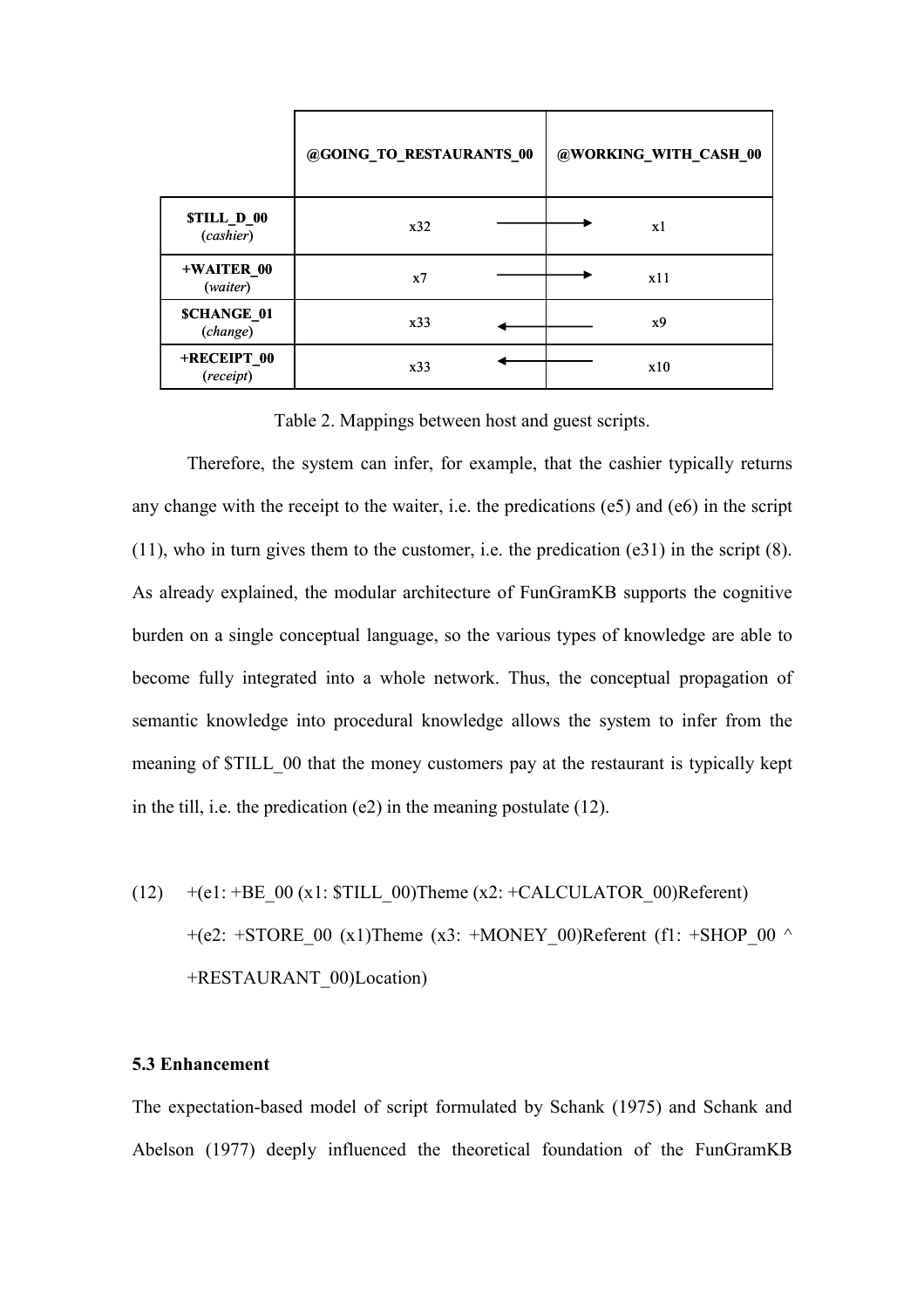|                                | @GOING_TO_RESTAURANTS_00 | @WORKING_WITH_CASH_00 |
|--------------------------------|--------------------------|-----------------------|
| <b>STILL_D_00</b><br>(cashier) | x32                      | x1                    |
| +WAITER_00<br>(waiter)         | x7                       | x11                   |
| <b>SCHANGE_01</b><br>(change)  | x33                      | x9                    |
| +RECEIPT_00<br>(receipt)       | x33                      | x10                   |

Table 2. Mappings between host and guest scripts.

Therefore, the system can infer, for example, that the cashier typically returns any change with the receipt to the waiter, i.e. the predications (e5) and (e6) in the script (11), who in turn gives them to the customer, i.e. the predication (e31) in the script (8). As already explained, the modular architecture of FunGramKB supports the cognitive burden on a single conceptual language, so the various types of knowledge are able to become fully integrated into a whole network. Thus, the conceptual propagation of semantic knowledge into procedural knowledge allows the system to infer from the meaning of \$TILL\_00 that the money customers pay at the restaurant is typically kept in the till, i.e. the predication (e2) in the meaning postulate (12).

(12)  $+(e1: +BE\_00 (x1: STILL\_00)$ Theme (x2: +CALCULATOR\_00)Referent) +(e2: +STORE 00 (x1)Theme (x3: +MONEY 00)Referent (f1: +SHOP 00  $\land$ +RESTAURANT\_00)Location)

#### 5.3 Enhancement

The expectation-based model of script formulated by Schank (1975) and Schank and Abelson (1977) deeply influenced the theoretical foundation of the FunGramKB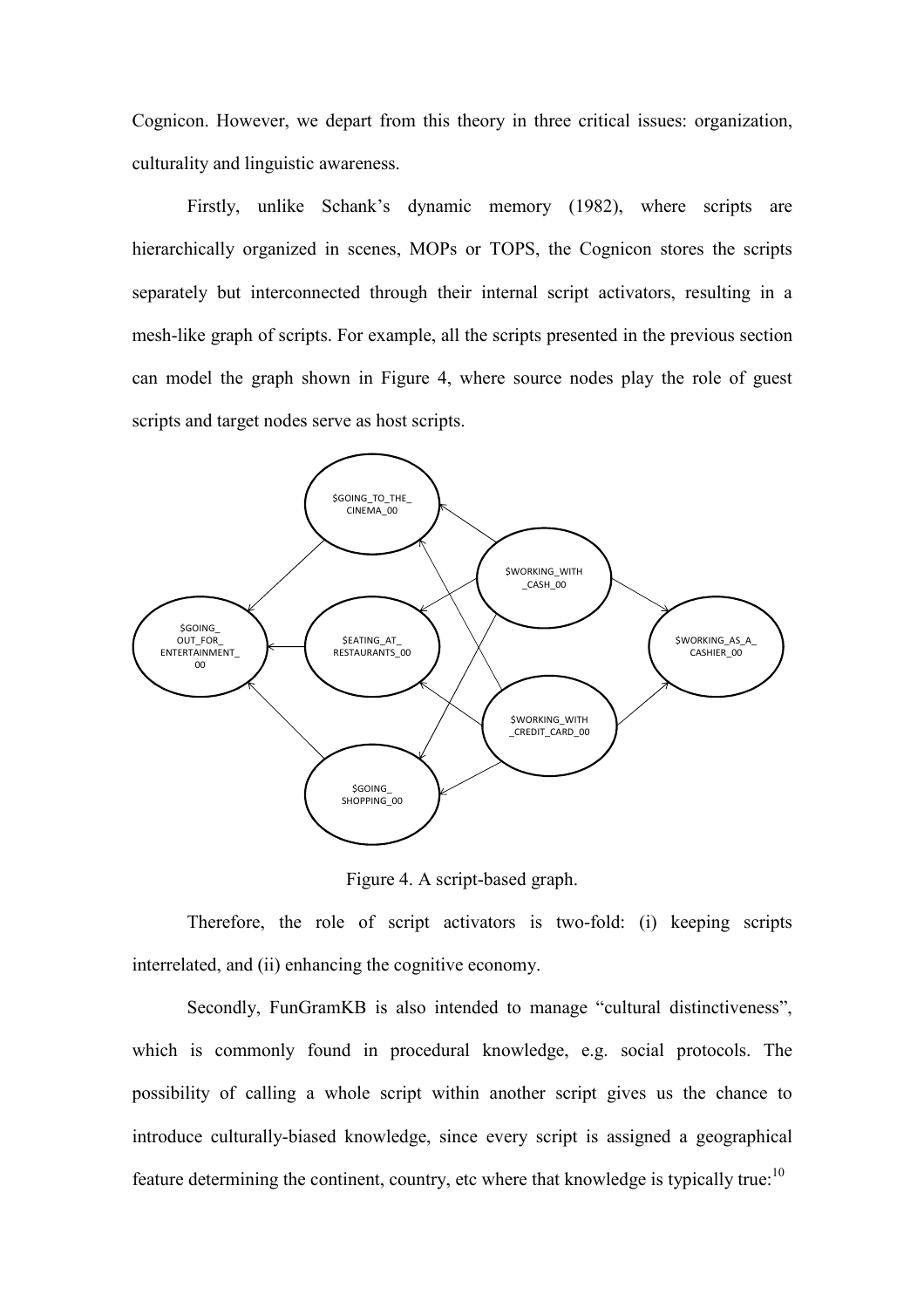Cognicon. However, we depart from this theory in three critical issues: organization, culturality and linguistic awareness.

Firstly, unlike Schank's dynamic memory (1982), where scripts are hierarchically organized in scenes, MOPs or TOPS, the Cognicon stores the scripts separately but interconnected through their internal script activators, resulting in a mesh-like graph of scripts. For example, all the scripts presented in the previous section can model the graph shown in Figure 4, where source nodes play the role of guest scripts and target nodes serve as host scripts.



Figure 4. A script-based graph.

Therefore, the role of script activators is two-fold: (i) keeping scripts interrelated, and (ii) enhancing the cognitive economy.

Secondly, FunGramKB is also intended to manage "cultural distinctiveness", which is commonly found in procedural knowledge, e.g. social protocols. The possibility of calling a whole script within another script gives us the chance to introduce culturally-biased knowledge, since every script is assigned a geographical feature determining the continent, country, etc where that knowledge is typically true: $10$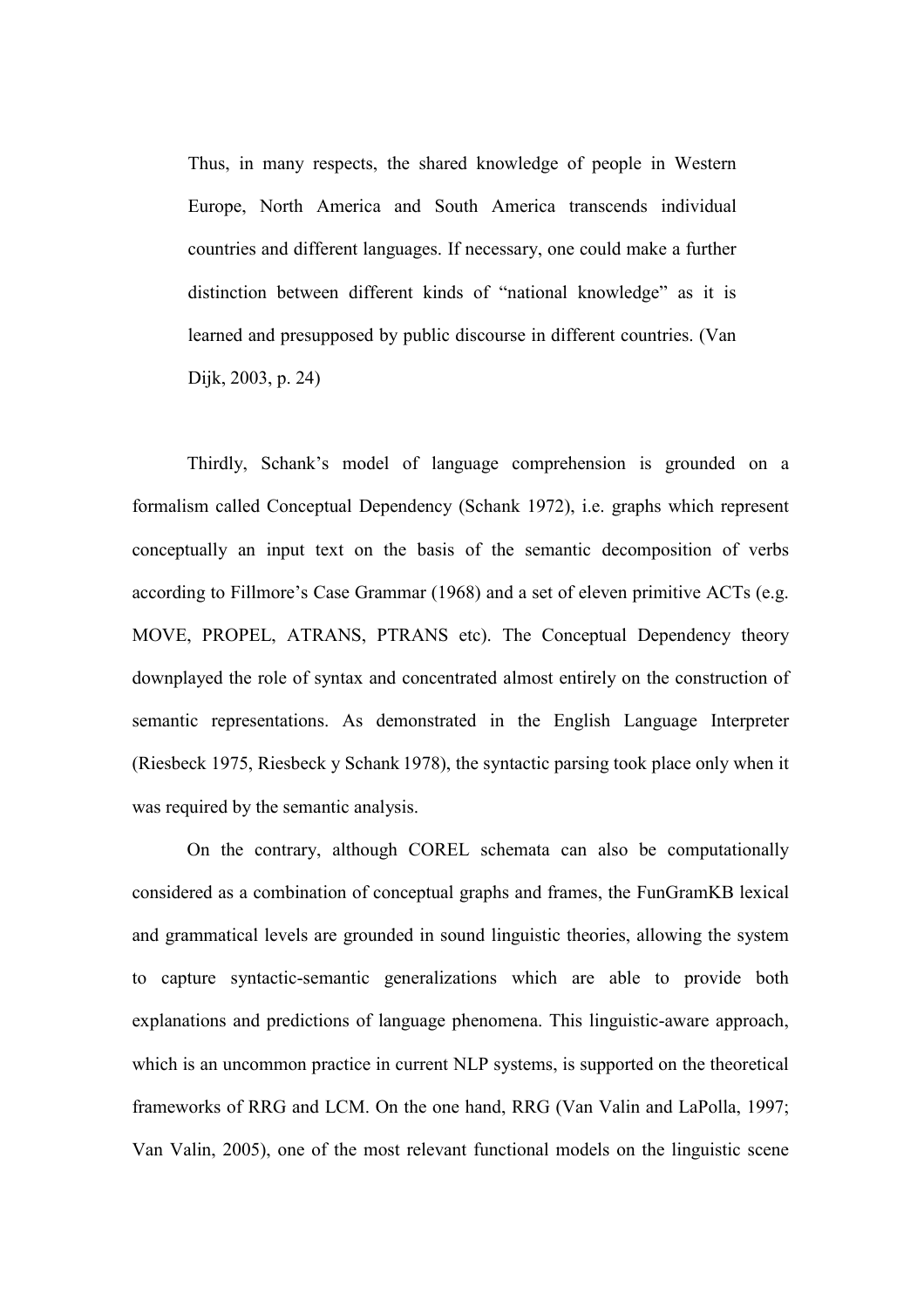Thus, in many respects, the shared knowledge of people in Western Europe, North America and South America transcends individual countries and different languages. If necessary, one could make a further distinction between different kinds of "national knowledge" as it is learned and presupposed by public discourse in different countries. (Van Dijk, 2003, p. 24)

Thirdly, Schank's model of language comprehension is grounded on a formalism called Conceptual Dependency (Schank 1972), i.e. graphs which represent conceptually an input text on the basis of the semantic decomposition of verbs according to Fillmore's Case Grammar (1968) and a set of eleven primitive ACTs (e.g. MOVE, PROPEL, ATRANS, PTRANS etc). The Conceptual Dependency theory downplayed the role of syntax and concentrated almost entirely on the construction of semantic representations. As demonstrated in the English Language Interpreter (Riesbeck 1975, Riesbeck y Schank 1978), the syntactic parsing took place only when it was required by the semantic analysis.

 On the contrary, although COREL schemata can also be computationally considered as a combination of conceptual graphs and frames, the FunGramKB lexical and grammatical levels are grounded in sound linguistic theories, allowing the system to capture syntactic-semantic generalizations which are able to provide both explanations and predictions of language phenomena. This linguistic-aware approach, which is an uncommon practice in current NLP systems, is supported on the theoretical frameworks of RRG and LCM. On the one hand, RRG (Van Valin and LaPolla, 1997; Van Valin, 2005), one of the most relevant functional models on the linguistic scene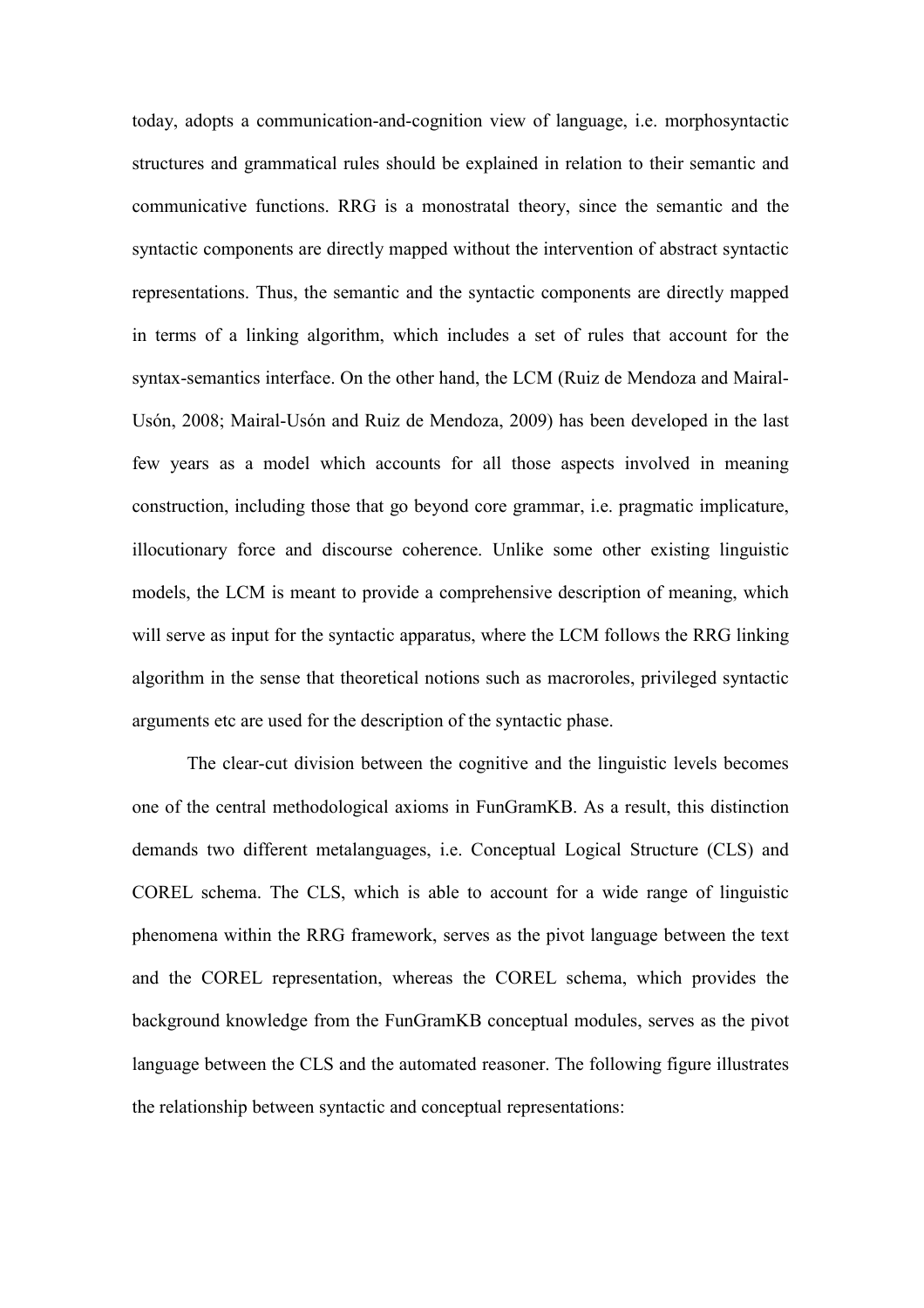today, adopts a communication-and-cognition view of language, i.e. morphosyntactic structures and grammatical rules should be explained in relation to their semantic and communicative functions. RRG is a monostratal theory, since the semantic and the syntactic components are directly mapped without the intervention of abstract syntactic representations. Thus, the semantic and the syntactic components are directly mapped in terms of a linking algorithm, which includes a set of rules that account for the syntax-semantics interface. On the other hand, the LCM (Ruiz de Mendoza and Mairal-Usón, 2008; Mairal-Usón and Ruiz de Mendoza, 2009) has been developed in the last few years as a model which accounts for all those aspects involved in meaning construction, including those that go beyond core grammar, i.e. pragmatic implicature, illocutionary force and discourse coherence. Unlike some other existing linguistic models, the LCM is meant to provide a comprehensive description of meaning, which will serve as input for the syntactic apparatus, where the LCM follows the RRG linking algorithm in the sense that theoretical notions such as macroroles, privileged syntactic arguments etc are used for the description of the syntactic phase.

The clear-cut division between the cognitive and the linguistic levels becomes one of the central methodological axioms in FunGramKB. As a result, this distinction demands two different metalanguages, i.e. Conceptual Logical Structure (CLS) and COREL schema. The CLS, which is able to account for a wide range of linguistic phenomena within the RRG framework, serves as the pivot language between the text and the COREL representation, whereas the COREL schema, which provides the background knowledge from the FunGramKB conceptual modules, serves as the pivot language between the CLS and the automated reasoner. The following figure illustrates the relationship between syntactic and conceptual representations: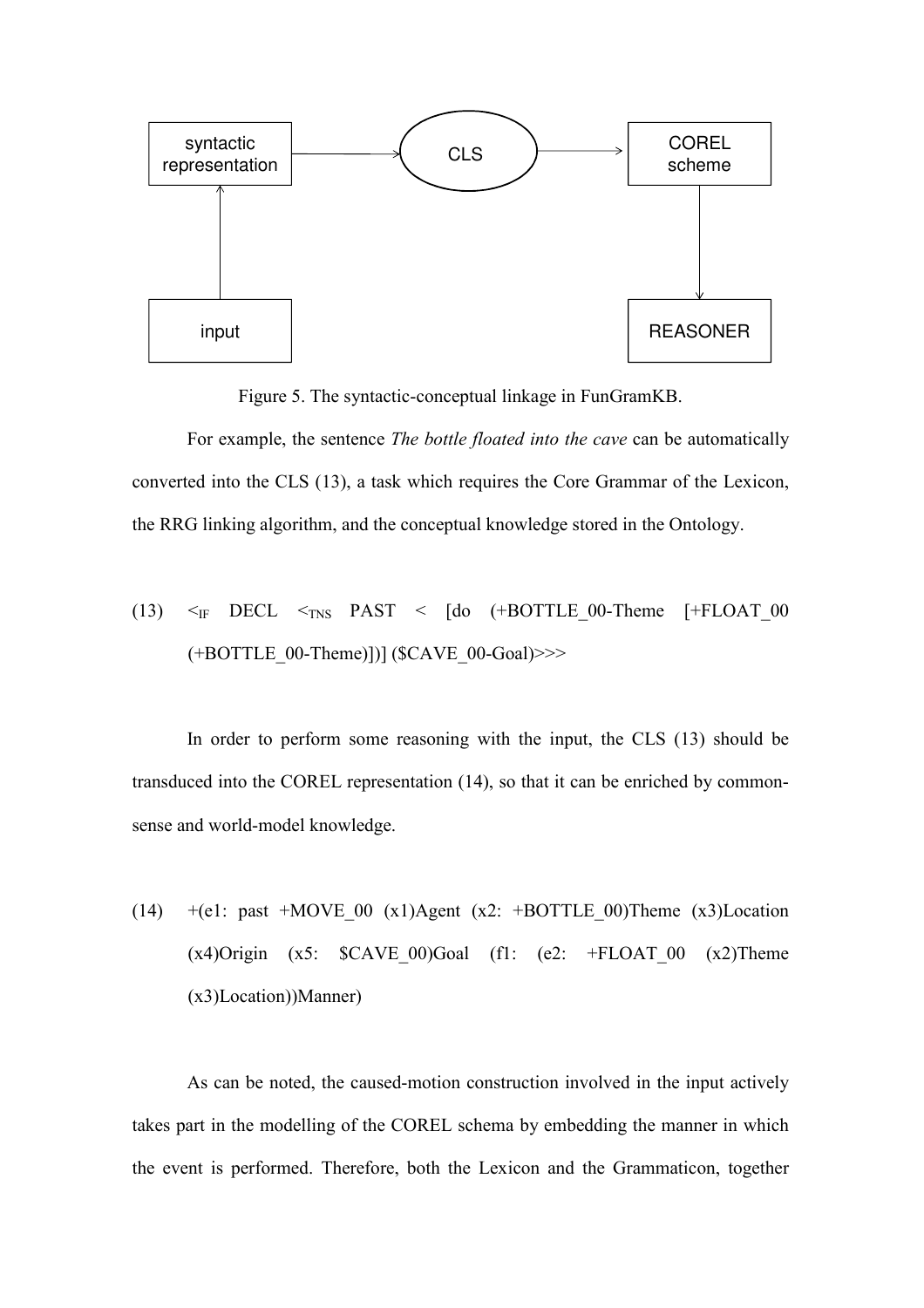

Figure 5. The syntactic-conceptual linkage in FunGramKB.

 For example, the sentence The bottle floated into the cave can be automatically converted into the CLS (13), a task which requires the Core Grammar of the Lexicon, the RRG linking algorithm, and the conceptual knowledge stored in the Ontology.

(13) 
$$
\leq_F
$$
 DECL  $\leq_{TNS}$  PAST  $\leq$  [do (+BOTTLE\_00-Then [+FLOAT\_00 (+BOTTLE\_00-Thene)])] (SCAVE\_00-Goal)>>>

In order to perform some reasoning with the input, the CLS (13) should be transduced into the COREL representation (14), so that it can be enriched by commonsense and world-model knowledge.

(14)  $+(e1: past + MOVE 00 (x1)Agent (x2: +BOTTLE 00)Then (x3)Location$  $(x4)$ Origin  $(x5:$   $SCAVE_00)Goal$   $(f1:$   $(e2:$   $+FLOAT_00 (x2)Then$ (x3)Location))Manner)

As can be noted, the caused-motion construction involved in the input actively takes part in the modelling of the COREL schema by embedding the manner in which the event is performed. Therefore, both the Lexicon and the Grammaticon, together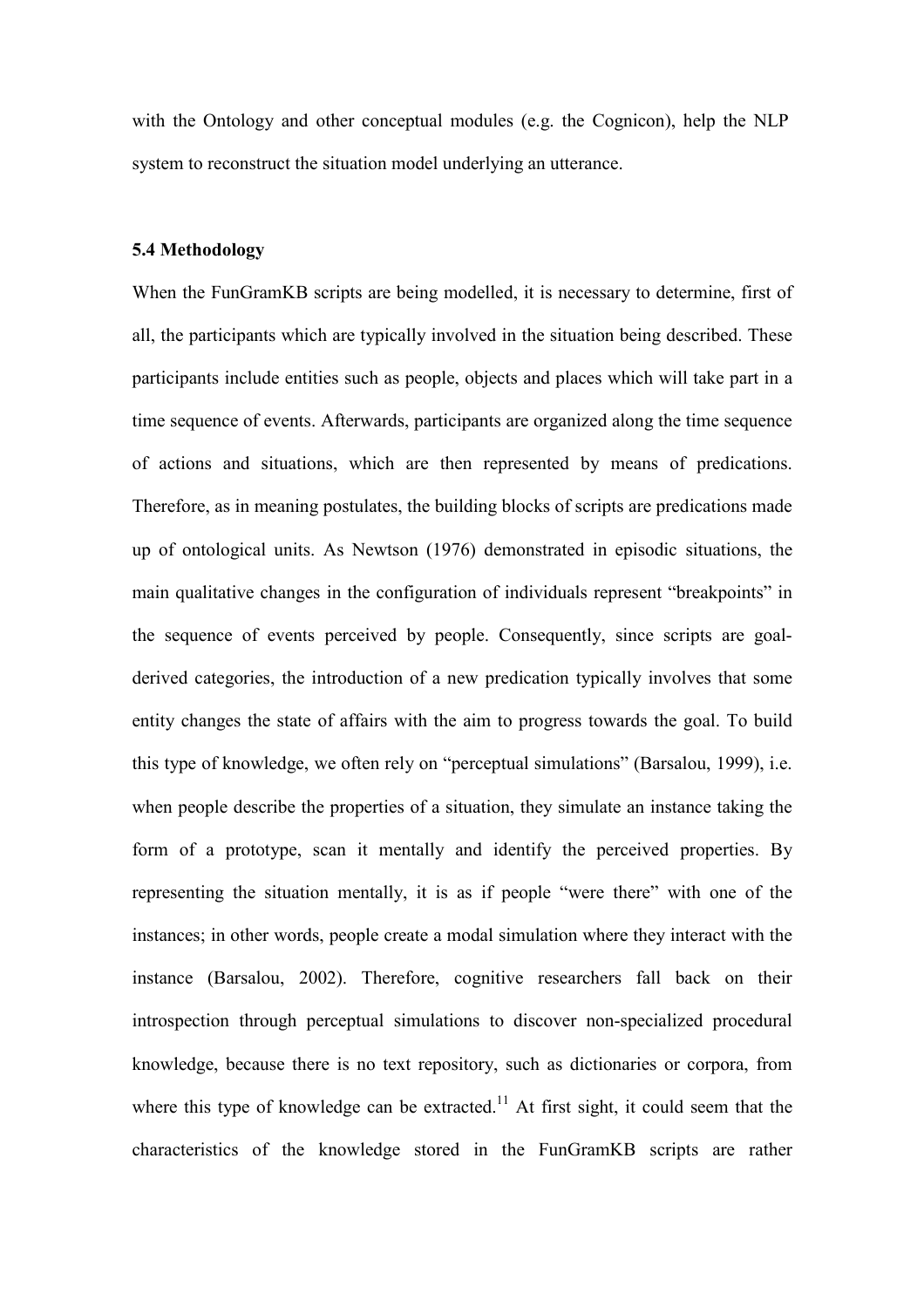with the Ontology and other conceptual modules (e.g. the Cognicon), help the NLP system to reconstruct the situation model underlying an utterance.

# 5.4 Methodology

When the FunGramKB scripts are being modelled, it is necessary to determine, first of all, the participants which are typically involved in the situation being described. These participants include entities such as people, objects and places which will take part in a time sequence of events. Afterwards, participants are organized along the time sequence of actions and situations, which are then represented by means of predications. Therefore, as in meaning postulates, the building blocks of scripts are predications made up of ontological units. As Newtson (1976) demonstrated in episodic situations, the main qualitative changes in the configuration of individuals represent "breakpoints" in the sequence of events perceived by people. Consequently, since scripts are goalderived categories, the introduction of a new predication typically involves that some entity changes the state of affairs with the aim to progress towards the goal. To build this type of knowledge, we often rely on "perceptual simulations" (Barsalou, 1999), i.e. when people describe the properties of a situation, they simulate an instance taking the form of a prototype, scan it mentally and identify the perceived properties. By representing the situation mentally, it is as if people "were there" with one of the instances; in other words, people create a modal simulation where they interact with the instance (Barsalou, 2002). Therefore, cognitive researchers fall back on their introspection through perceptual simulations to discover non-specialized procedural knowledge, because there is no text repository, such as dictionaries or corpora, from where this type of knowledge can be extracted.<sup>11</sup> At first sight, it could seem that the characteristics of the knowledge stored in the FunGramKB scripts are rather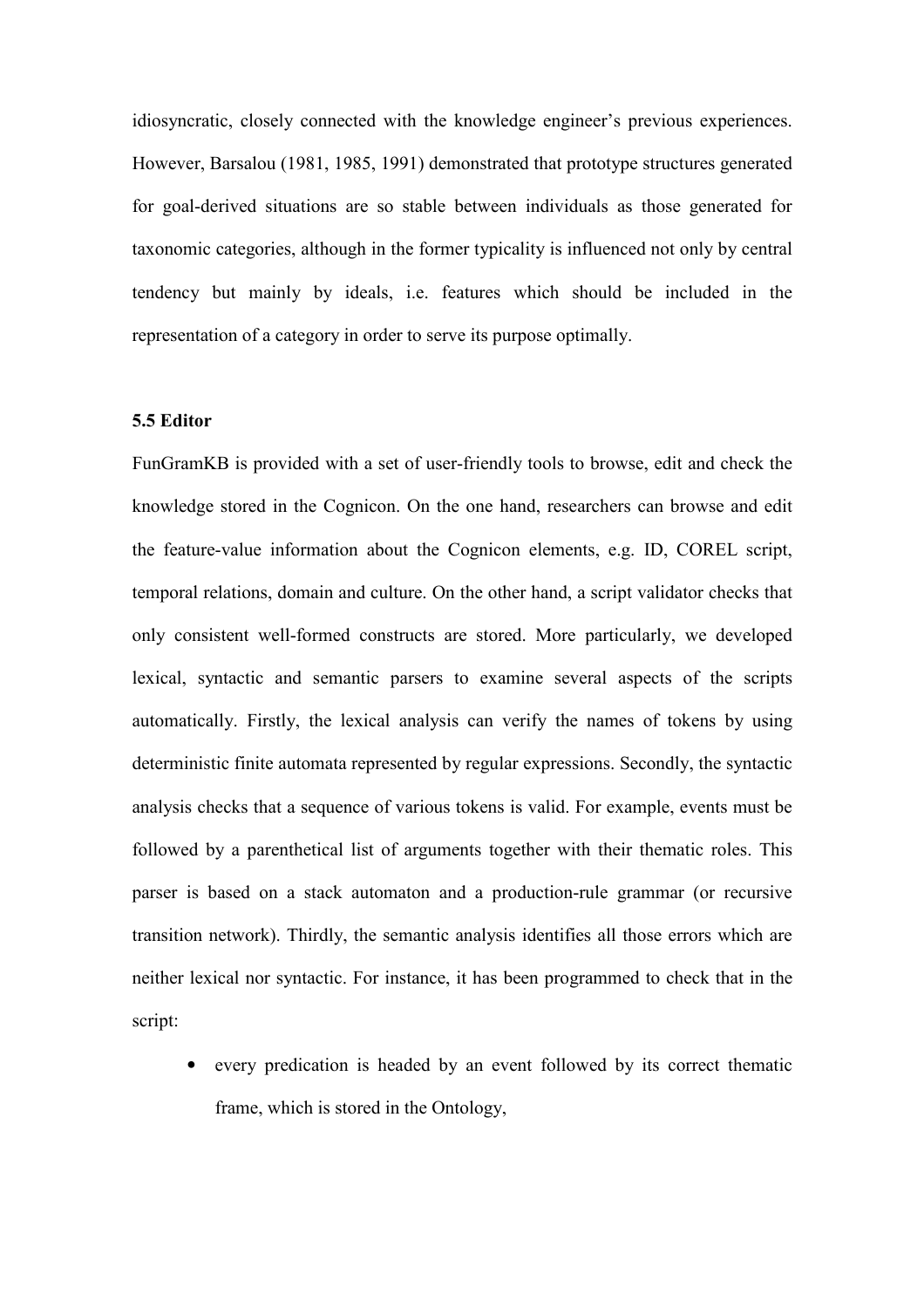idiosyncratic, closely connected with the knowledge engineer's previous experiences. However, Barsalou (1981, 1985, 1991) demonstrated that prototype structures generated for goal-derived situations are so stable between individuals as those generated for taxonomic categories, although in the former typicality is influenced not only by central tendency but mainly by ideals, i.e. features which should be included in the representation of a category in order to serve its purpose optimally.

# 5.5 Editor

FunGramKB is provided with a set of user-friendly tools to browse, edit and check the knowledge stored in the Cognicon. On the one hand, researchers can browse and edit the feature-value information about the Cognicon elements, e.g. ID, COREL script, temporal relations, domain and culture. On the other hand, a script validator checks that only consistent well-formed constructs are stored. More particularly, we developed lexical, syntactic and semantic parsers to examine several aspects of the scripts automatically. Firstly, the lexical analysis can verify the names of tokens by using deterministic finite automata represented by regular expressions. Secondly, the syntactic analysis checks that a sequence of various tokens is valid. For example, events must be followed by a parenthetical list of arguments together with their thematic roles. This parser is based on a stack automaton and a production-rule grammar (or recursive transition network). Thirdly, the semantic analysis identifies all those errors which are neither lexical nor syntactic. For instance, it has been programmed to check that in the script:

• every predication is headed by an event followed by its correct thematic frame, which is stored in the Ontology,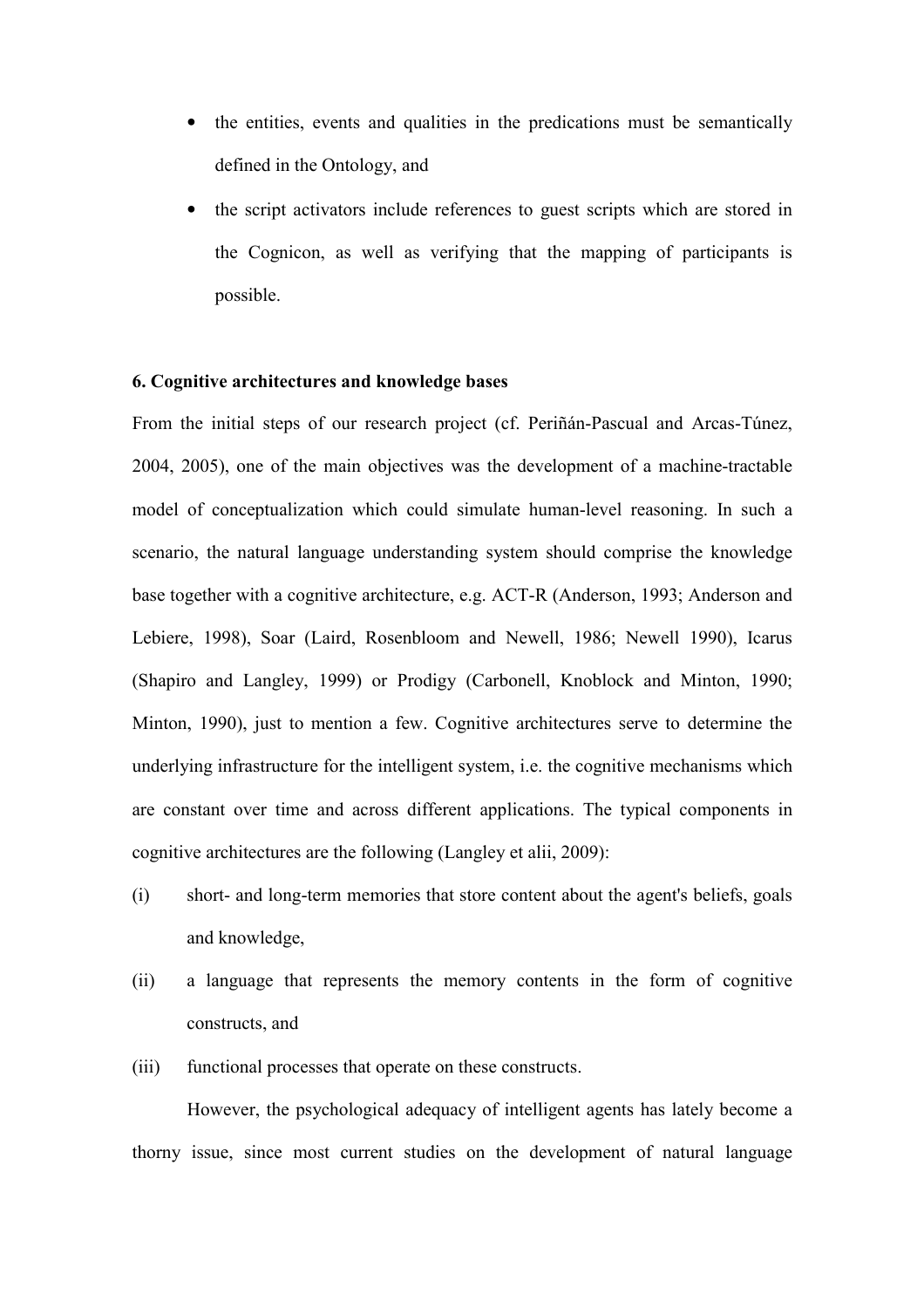- the entities, events and qualities in the predications must be semantically defined in the Ontology, and
- the script activators include references to guest scripts which are stored in the Cognicon, as well as verifying that the mapping of participants is possible.

### 6. Cognitive architectures and knowledge bases

From the initial steps of our research project (cf. Periñán-Pascual and Arcas-Túnez, 2004, 2005), one of the main objectives was the development of a machine-tractable model of conceptualization which could simulate human-level reasoning. In such a scenario, the natural language understanding system should comprise the knowledge base together with a cognitive architecture, e.g. ACT-R (Anderson, 1993; Anderson and Lebiere, 1998), Soar (Laird, Rosenbloom and Newell, 1986; Newell 1990), Icarus (Shapiro and Langley, 1999) or Prodigy (Carbonell, Knoblock and Minton, 1990; Minton, 1990), just to mention a few. Cognitive architectures serve to determine the underlying infrastructure for the intelligent system, i.e. the cognitive mechanisms which are constant over time and across different applications. The typical components in cognitive architectures are the following (Langley et alii, 2009):

- (i) short- and long-term memories that store content about the agent's beliefs, goals and knowledge,
- (ii) a language that represents the memory contents in the form of cognitive constructs, and
- (iii) functional processes that operate on these constructs.

 However, the psychological adequacy of intelligent agents has lately become a thorny issue, since most current studies on the development of natural language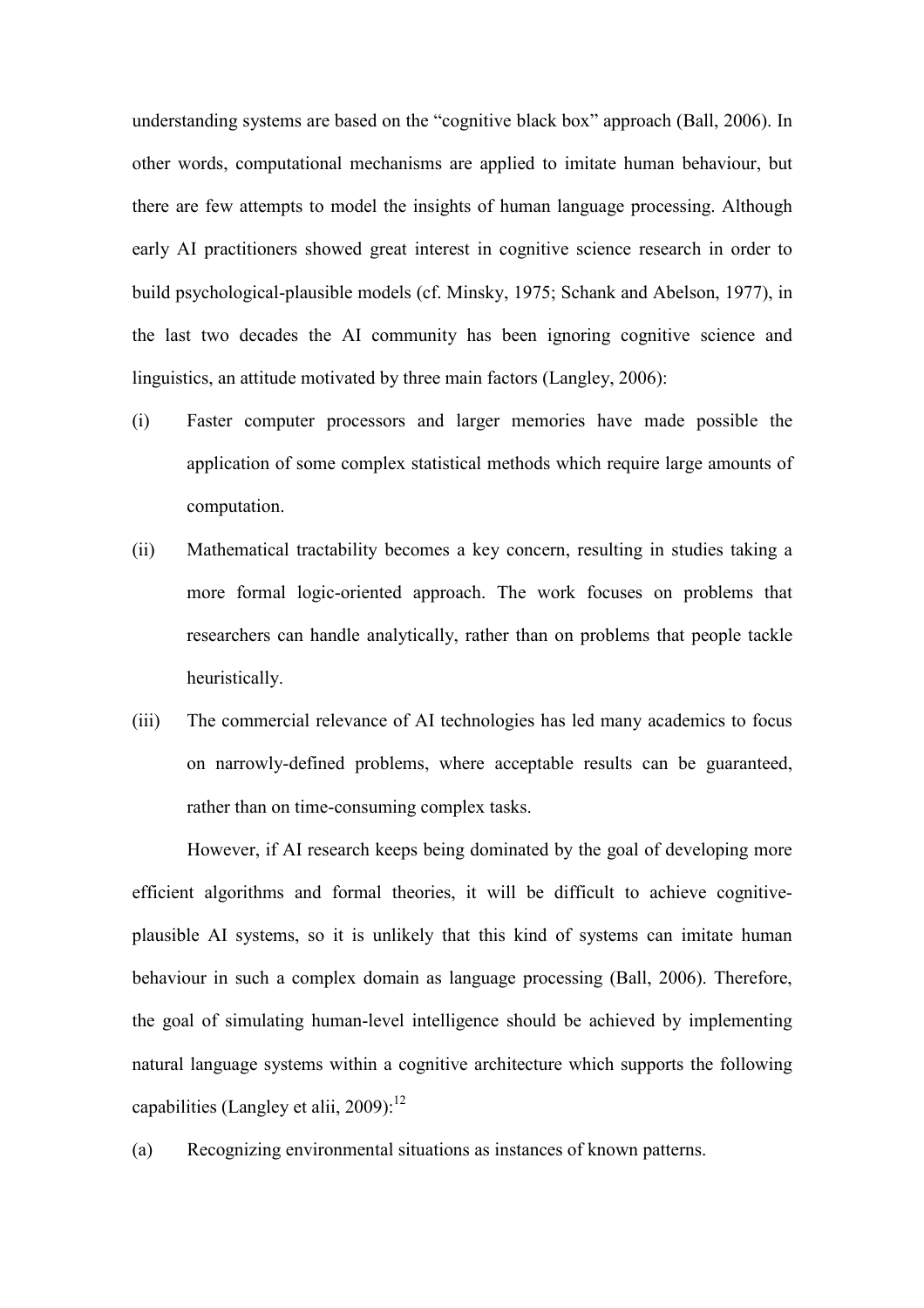understanding systems are based on the "cognitive black box" approach (Ball, 2006). In other words, computational mechanisms are applied to imitate human behaviour, but there are few attempts to model the insights of human language processing. Although early AI practitioners showed great interest in cognitive science research in order to build psychological-plausible models (cf. Minsky, 1975; Schank and Abelson, 1977), in the last two decades the AI community has been ignoring cognitive science and linguistics, an attitude motivated by three main factors (Langley, 2006):

- (i) Faster computer processors and larger memories have made possible the application of some complex statistical methods which require large amounts of computation.
- (ii) Mathematical tractability becomes a key concern, resulting in studies taking a more formal logic-oriented approach. The work focuses on problems that researchers can handle analytically, rather than on problems that people tackle heuristically.
- (iii) The commercial relevance of AI technologies has led many academics to focus on narrowly-defined problems, where acceptable results can be guaranteed, rather than on time-consuming complex tasks.

 However, if AI research keeps being dominated by the goal of developing more efficient algorithms and formal theories, it will be difficult to achieve cognitiveplausible AI systems, so it is unlikely that this kind of systems can imitate human behaviour in such a complex domain as language processing (Ball, 2006). Therefore, the goal of simulating human-level intelligence should be achieved by implementing natural language systems within a cognitive architecture which supports the following capabilities (Langley et alii,  $2009$ ):<sup>12</sup>

(a) Recognizing environmental situations as instances of known patterns.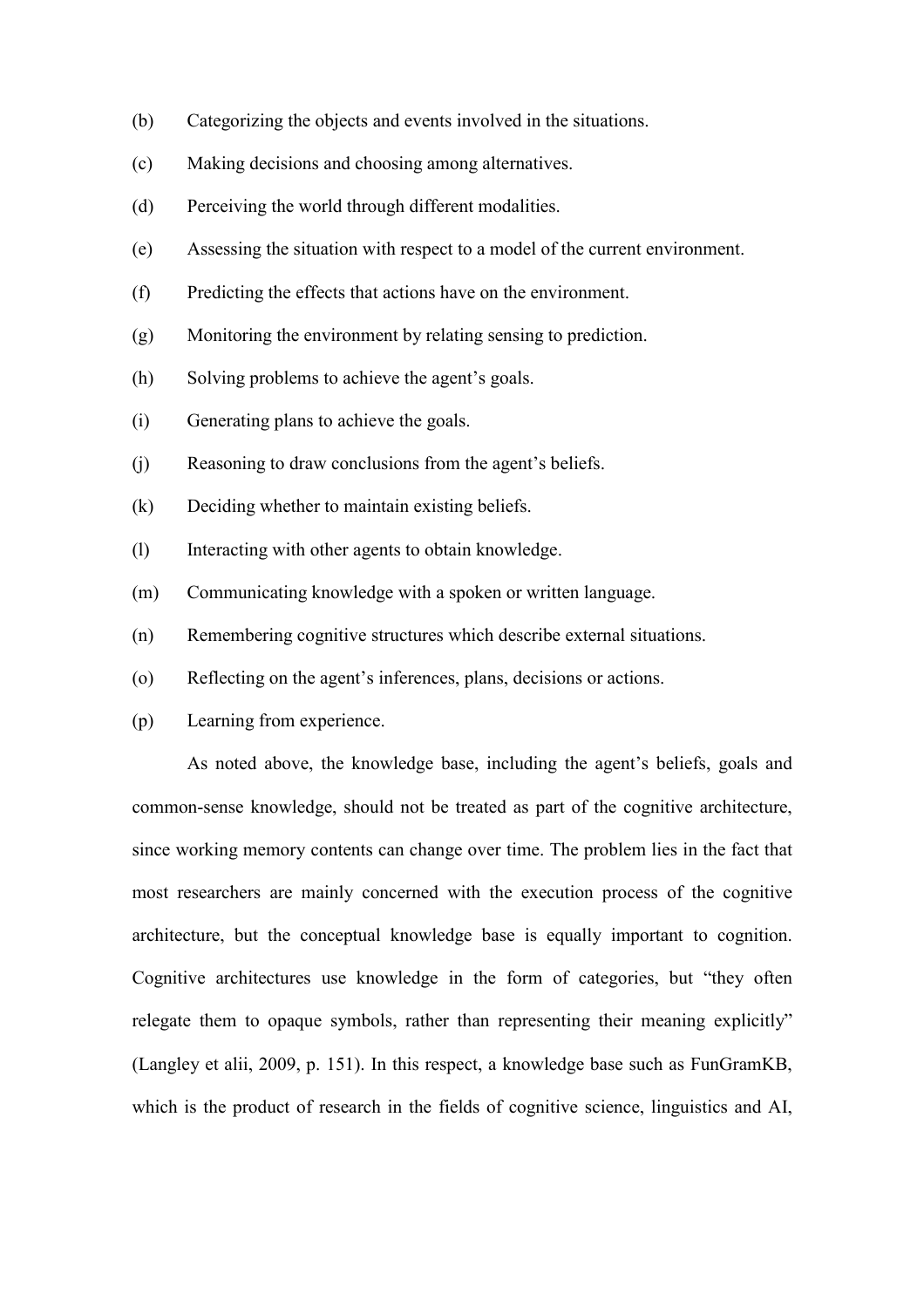- (b) Categorizing the objects and events involved in the situations.
- (c) Making decisions and choosing among alternatives.
- (d) Perceiving the world through different modalities.
- (e) Assessing the situation with respect to a model of the current environment.
- (f) Predicting the effects that actions have on the environment.
- (g) Monitoring the environment by relating sensing to prediction.
- (h) Solving problems to achieve the agent's goals.
- (i) Generating plans to achieve the goals.
- (j) Reasoning to draw conclusions from the agent's beliefs.
- (k) Deciding whether to maintain existing beliefs.
- (l) Interacting with other agents to obtain knowledge.
- (m) Communicating knowledge with a spoken or written language.
- (n) Remembering cognitive structures which describe external situations.
- (o) Reflecting on the agent's inferences, plans, decisions or actions.
- (p) Learning from experience.

As noted above, the knowledge base, including the agent's beliefs, goals and common-sense knowledge, should not be treated as part of the cognitive architecture, since working memory contents can change over time. The problem lies in the fact that most researchers are mainly concerned with the execution process of the cognitive architecture, but the conceptual knowledge base is equally important to cognition. Cognitive architectures use knowledge in the form of categories, but "they often relegate them to opaque symbols, rather than representing their meaning explicitly" (Langley et alii, 2009, p. 151). In this respect, a knowledge base such as FunGramKB, which is the product of research in the fields of cognitive science, linguistics and AI,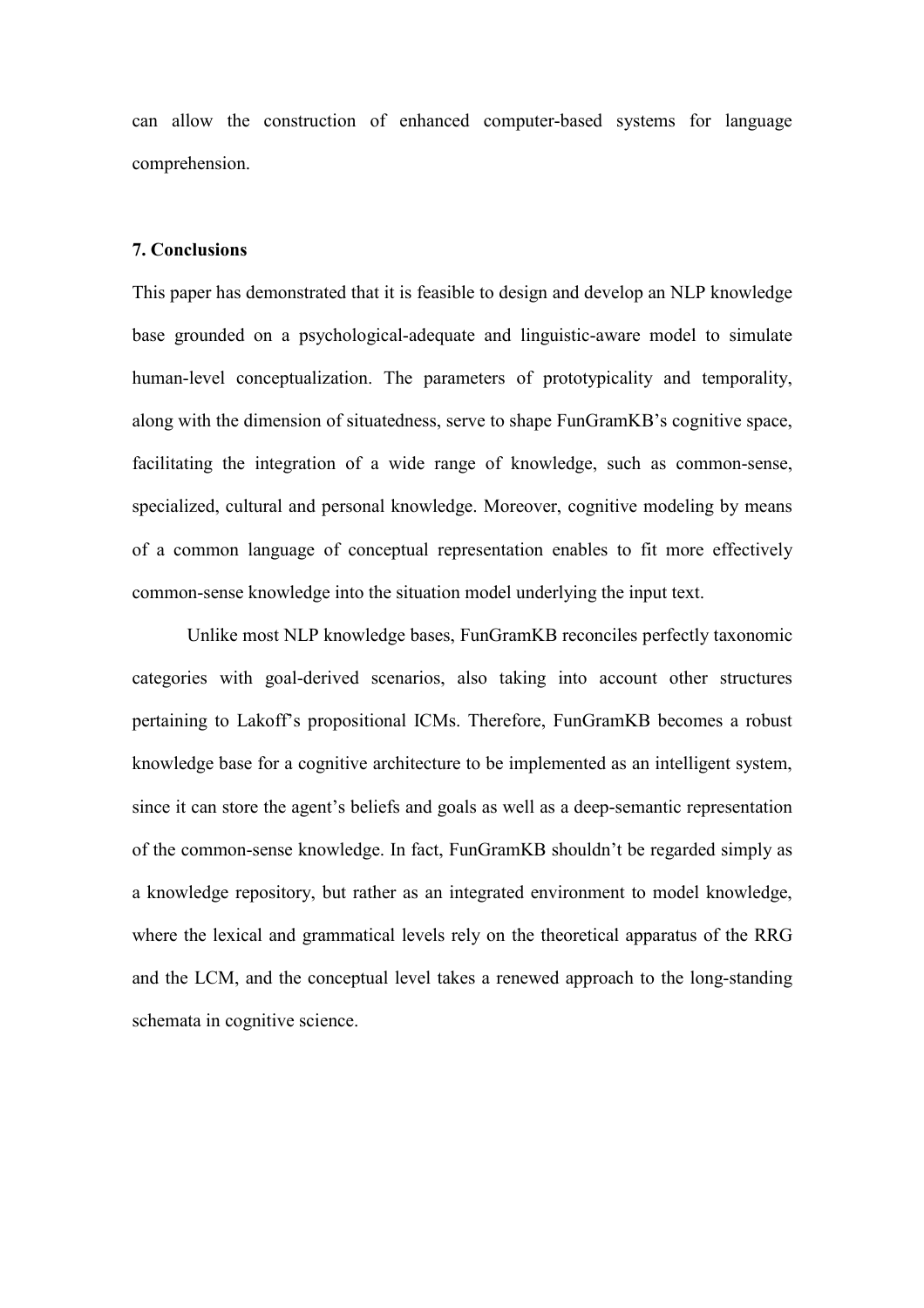can allow the construction of enhanced computer-based systems for language comprehension.

### 7. Conclusions

This paper has demonstrated that it is feasible to design and develop an NLP knowledge base grounded on a psychological-adequate and linguistic-aware model to simulate human-level conceptualization. The parameters of prototypicality and temporality, along with the dimension of situatedness, serve to shape FunGramKB's cognitive space, facilitating the integration of a wide range of knowledge, such as common-sense, specialized, cultural and personal knowledge. Moreover, cognitive modeling by means of a common language of conceptual representation enables to fit more effectively common-sense knowledge into the situation model underlying the input text.

 Unlike most NLP knowledge bases, FunGramKB reconciles perfectly taxonomic categories with goal-derived scenarios, also taking into account other structures pertaining to Lakoff's propositional ICMs. Therefore, FunGramKB becomes a robust knowledge base for a cognitive architecture to be implemented as an intelligent system, since it can store the agent's beliefs and goals as well as a deep-semantic representation of the common-sense knowledge. In fact, FunGramKB shouldn't be regarded simply as a knowledge repository, but rather as an integrated environment to model knowledge, where the lexical and grammatical levels rely on the theoretical apparatus of the RRG and the LCM, and the conceptual level takes a renewed approach to the long-standing schemata in cognitive science.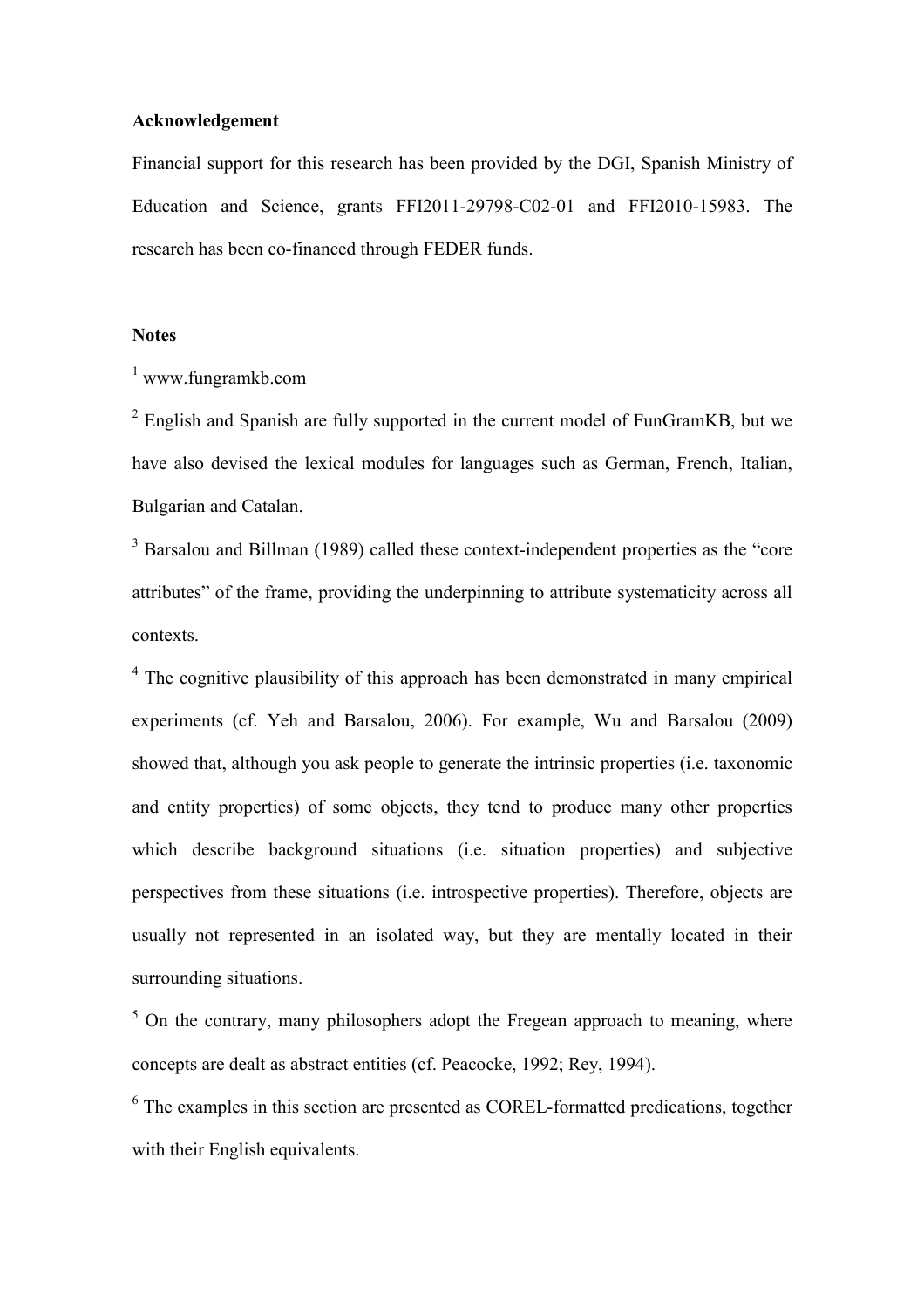# Acknowledgement

Financial support for this research has been provided by the DGI, Spanish Ministry of Education and Science, grants FFI2011-29798-C02-01 and FFI2010-15983. The research has been co-financed through FEDER funds.

### **Notes**

1 www.fungramkb.com

 $2$  English and Spanish are fully supported in the current model of FunGramKB, but we have also devised the lexical modules for languages such as German, French, Italian, Bulgarian and Catalan.

<sup>3</sup> Barsalou and Billman (1989) called these context-independent properties as the "core attributes" of the frame, providing the underpinning to attribute systematicity across all contexts.

<sup>4</sup> The cognitive plausibility of this approach has been demonstrated in many empirical experiments (cf. Yeh and Barsalou, 2006). For example, Wu and Barsalou (2009) showed that, although you ask people to generate the intrinsic properties (i.e. taxonomic and entity properties) of some objects, they tend to produce many other properties which describe background situations (i.e. situation properties) and subjective perspectives from these situations (i.e. introspective properties). Therefore, objects are usually not represented in an isolated way, but they are mentally located in their surrounding situations.

 $5$  On the contrary, many philosophers adopt the Fregean approach to meaning, where concepts are dealt as abstract entities (cf. Peacocke, 1992; Rey, 1994).

<sup>6</sup> The examples in this section are presented as COREL-formatted predications, together with their English equivalents.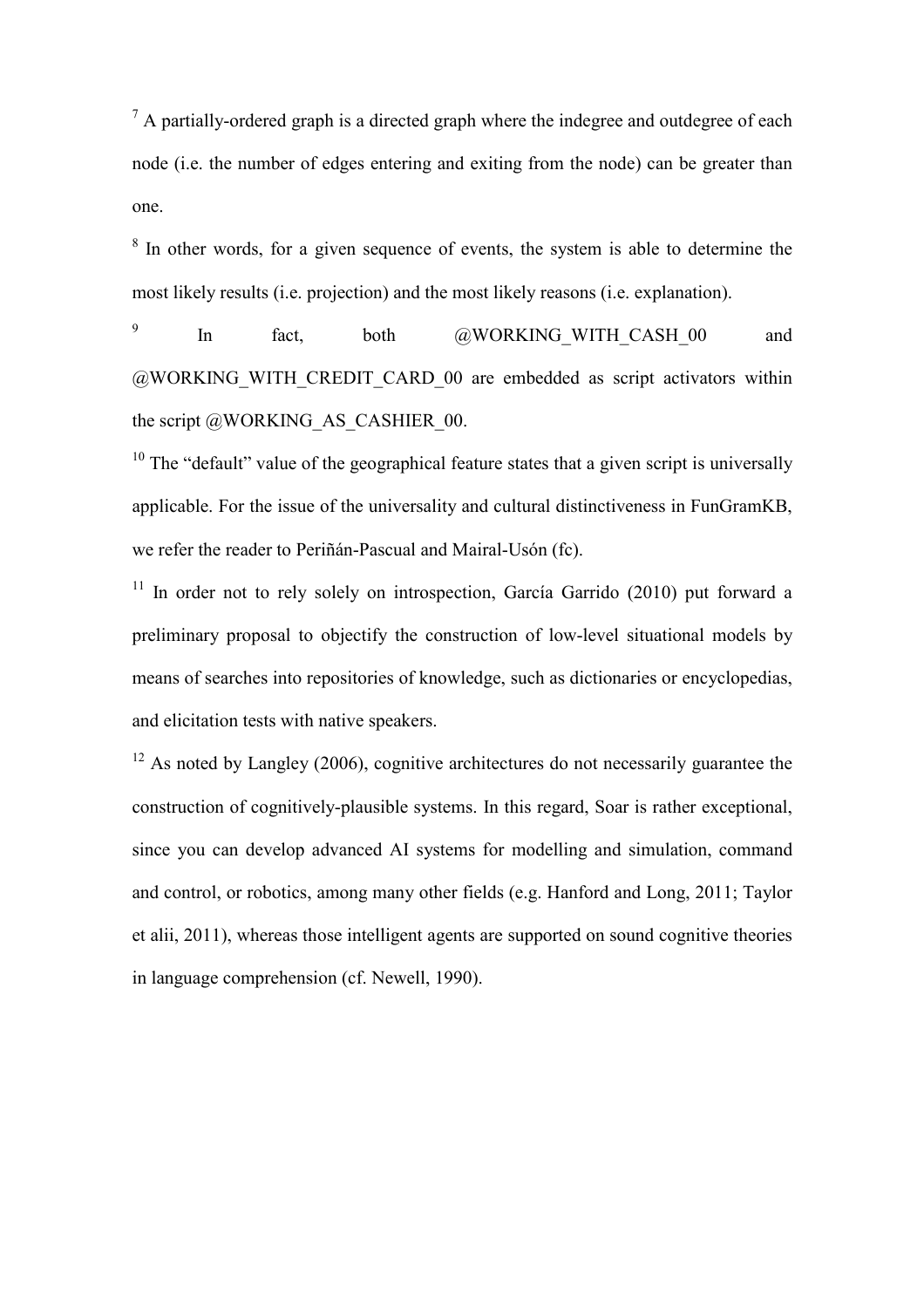$<sup>7</sup>$  A partially-ordered graph is a directed graph where the indegree and outdegree of each</sup> node (i.e. the number of edges entering and exiting from the node) can be greater than one.

 $8$  In other words, for a given sequence of events, the system is able to determine the most likely results (i.e. projection) and the most likely reasons (i.e. explanation).

9 In fact, both @WORKING\_WITH\_CASH\_00 and @WORKING\_WITH\_CREDIT\_CARD\_00 are embedded as script activators within the script  $@WORKING$  AS CASHIER 00.

 $10$  The "default" value of the geographical feature states that a given script is universally applicable. For the issue of the universality and cultural distinctiveness in FunGramKB, we refer the reader to Periñán-Pascual and Mairal-Usón (fc).

 $11$  In order not to rely solely on introspection. García Garrido (2010) put forward a preliminary proposal to objectify the construction of low-level situational models by means of searches into repositories of knowledge, such as dictionaries or encyclopedias, and elicitation tests with native speakers.

 $12$  As noted by Langley (2006), cognitive architectures do not necessarily guarantee the construction of cognitively-plausible systems. In this regard, Soar is rather exceptional, since you can develop advanced AI systems for modelling and simulation, command and control, or robotics, among many other fields (e.g. Hanford and Long, 2011; Taylor et alii, 2011), whereas those intelligent agents are supported on sound cognitive theories in language comprehension (cf. Newell, 1990).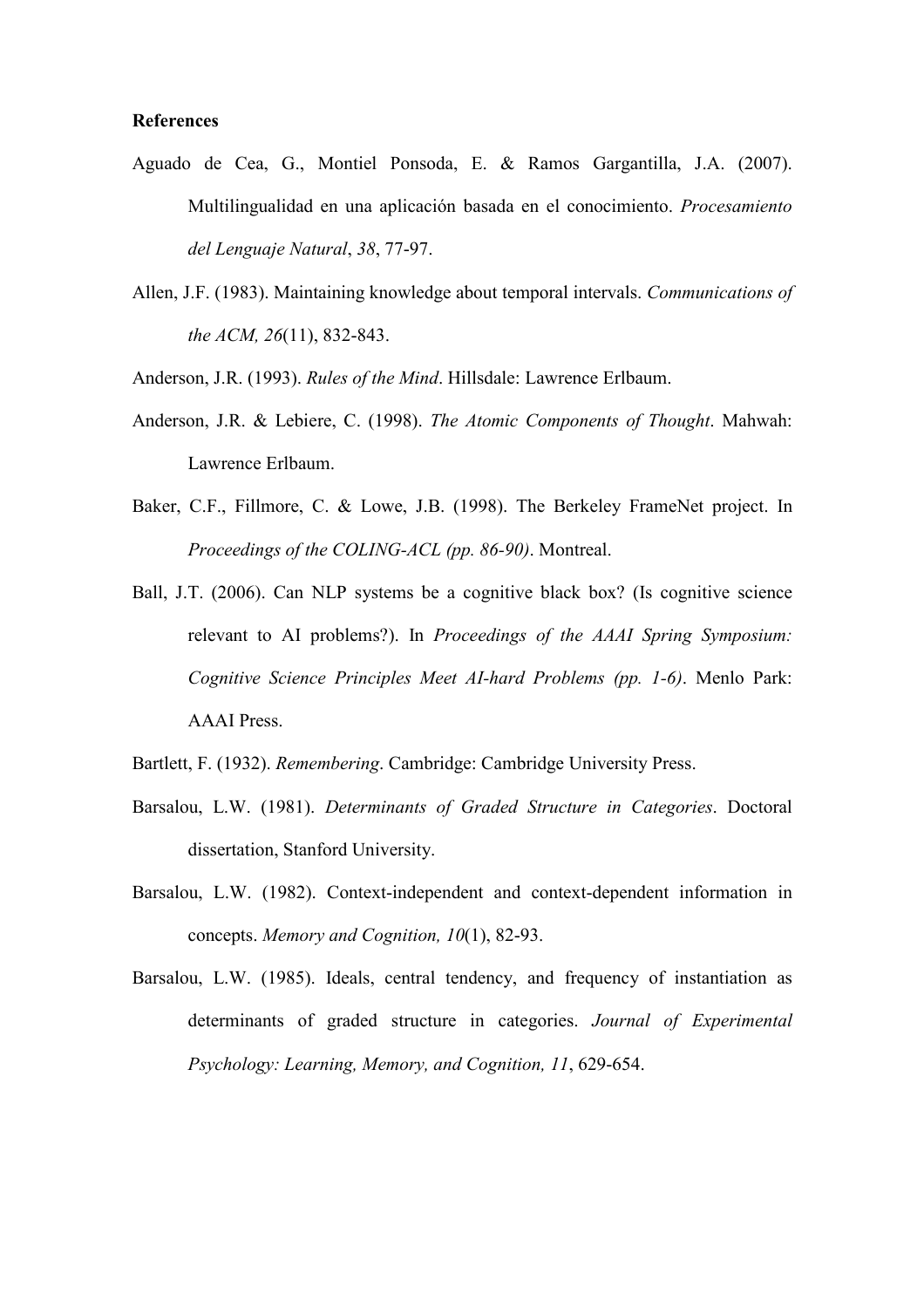### **References**

- Aguado de Cea, G., Montiel Ponsoda, E. & Ramos Gargantilla, J.A. (2007). Multilingualidad en una aplicación basada en el conocimiento. Procesamiento del Lenguaje Natural, 38, 77-97.
- Allen, J.F. (1983). Maintaining knowledge about temporal intervals. Communications of the ACM, 26(11), 832-843.
- Anderson, J.R. (1993). Rules of the Mind. Hillsdale: Lawrence Erlbaum.
- Anderson, J.R. & Lebiere, C. (1998). The Atomic Components of Thought. Mahwah: Lawrence Erlbaum.
- Baker, C.F., Fillmore, C. & Lowe, J.B. (1998). The Berkeley FrameNet project. In Proceedings of the COLING-ACL (pp. 86-90). Montreal.
- Ball, J.T. (2006). Can NLP systems be a cognitive black box? (Is cognitive science relevant to AI problems?). In Proceedings of the AAAI Spring Symposium: Cognitive Science Principles Meet AI-hard Problems (pp. 1-6). Menlo Park: AAAI Press.
- Bartlett, F. (1932). Remembering. Cambridge: Cambridge University Press.
- Barsalou, L.W. (1981). Determinants of Graded Structure in Categories. Doctoral dissertation, Stanford University.
- Barsalou, L.W. (1982). Context-independent and context-dependent information in concepts. Memory and Cognition, 10(1), 82-93.
- Barsalou, L.W. (1985). Ideals, central tendency, and frequency of instantiation as determinants of graded structure in categories. Journal of Experimental Psychology: Learning, Memory, and Cognition, 11, 629-654.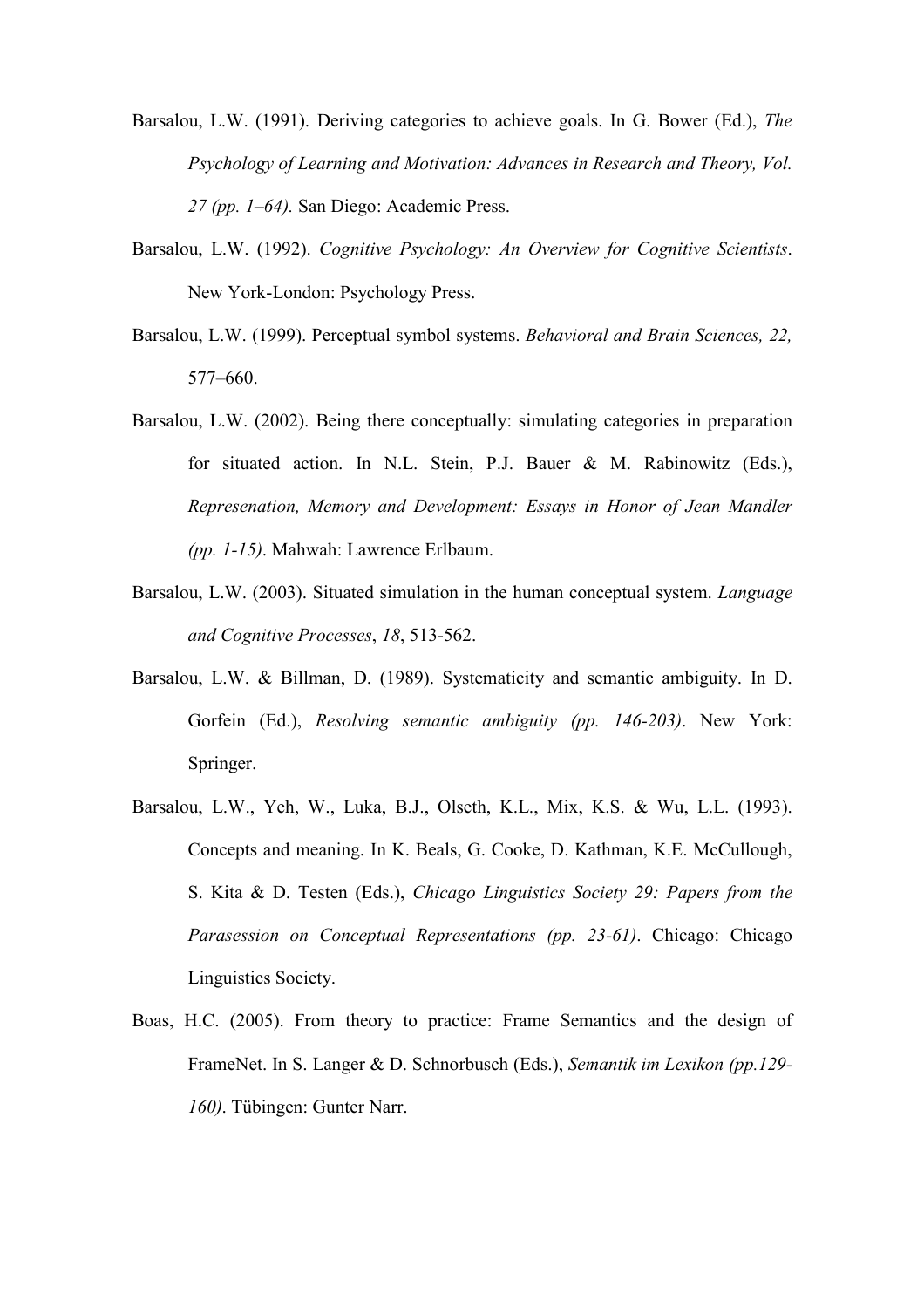Barsalou, L.W. (1991). Deriving categories to achieve goals. In G. Bower (Ed.), The Psychology of Learning and Motivation: Advances in Research and Theory, Vol. 27 (pp. 1–64). San Diego: Academic Press.

- Barsalou, L.W. (1992). Cognitive Psychology: An Overview for Cognitive Scientists. New York-London: Psychology Press.
- Barsalou, L.W. (1999). Perceptual symbol systems. Behavioral and Brain Sciences, 22, 577–660.
- Barsalou, L.W. (2002). Being there conceptually: simulating categories in preparation for situated action. In N.L. Stein, P.J. Bauer & M. Rabinowitz (Eds.), Represenation, Memory and Development: Essays in Honor of Jean Mandler (pp. 1-15). Mahwah: Lawrence Erlbaum.
- Barsalou, L.W. (2003). Situated simulation in the human conceptual system. Language and Cognitive Processes, 18, 513-562.
- Barsalou, L.W. & Billman, D. (1989). Systematicity and semantic ambiguity. In D. Gorfein (Ed.), Resolving semantic ambiguity (pp. 146-203). New York: Springer.
- Barsalou, L.W., Yeh, W., Luka, B.J., Olseth, K.L., Mix, K.S. & Wu, L.L. (1993). Concepts and meaning. In K. Beals, G. Cooke, D. Kathman, K.E. McCullough, S. Kita & D. Testen (Eds.), Chicago Linguistics Society 29: Papers from the Parasession on Conceptual Representations (pp. 23-61). Chicago: Chicago Linguistics Society.
- Boas, H.C. (2005). From theory to practice: Frame Semantics and the design of FrameNet. In S. Langer & D. Schnorbusch (Eds.), Semantik im Lexikon (pp.129- 160). Tübingen: Gunter Narr.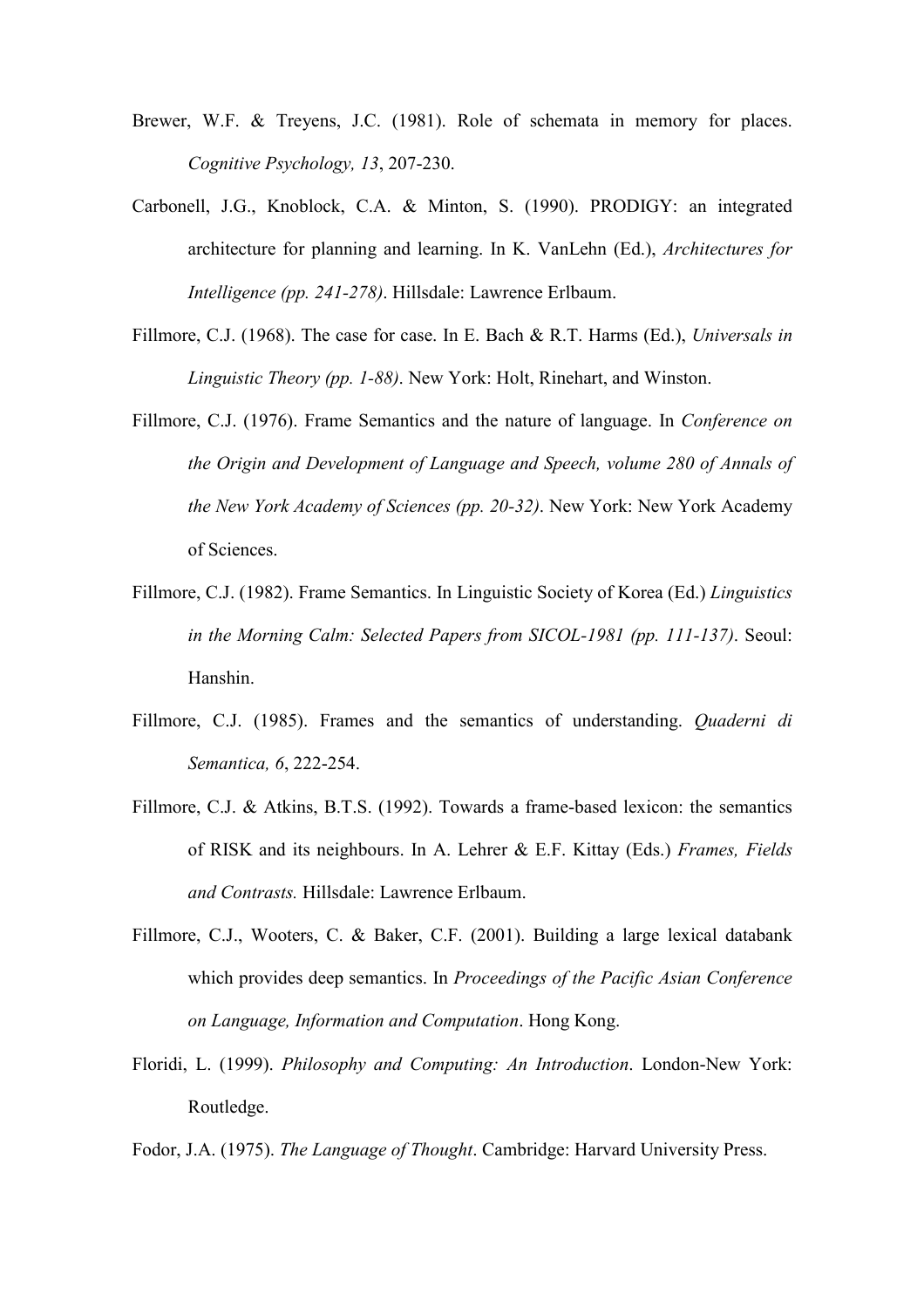- Brewer, W.F. & Treyens, J.C. (1981). Role of schemata in memory for places. Cognitive Psychology, 13, 207-230.
- Carbonell, J.G., Knoblock, C.A. & Minton, S. (1990). PRODIGY: an integrated architecture for planning and learning. In K. VanLehn (Ed.), Architectures for Intelligence (pp. 241-278). Hillsdale: Lawrence Erlbaum.
- Fillmore, C.J. (1968). The case for case. In E. Bach & R.T. Harms (Ed.), Universals in Linguistic Theory (pp. 1-88). New York: Holt, Rinehart, and Winston.
- Fillmore, C.J. (1976). Frame Semantics and the nature of language. In Conference on the Origin and Development of Language and Speech, volume 280 of Annals of the New York Academy of Sciences (pp. 20-32). New York: New York Academy of Sciences.
- Fillmore, C.J. (1982). Frame Semantics. In Linguistic Society of Korea (Ed.) Linguistics in the Morning Calm: Selected Papers from SICOL-1981 (pp. 111-137). Seoul: Hanshin.
- Fillmore, C.J. (1985). Frames and the semantics of understanding. Quaderni di Semantica, 6, 222-254.
- Fillmore, C.J. & Atkins, B.T.S. (1992). Towards a frame-based lexicon: the semantics of RISK and its neighbours. In A. Lehrer & E.F. Kittay (Eds.) Frames, Fields and Contrasts. Hillsdale: Lawrence Erlbaum.
- Fillmore, C.J., Wooters, C. & Baker, C.F. (2001). Building a large lexical databank which provides deep semantics. In *Proceedings of the Pacific Asian Conference* on Language, Information and Computation. Hong Kong.
- Floridi, L. (1999). Philosophy and Computing: An Introduction. London-New York: Routledge.
- Fodor, J.A. (1975). The Language of Thought. Cambridge: Harvard University Press.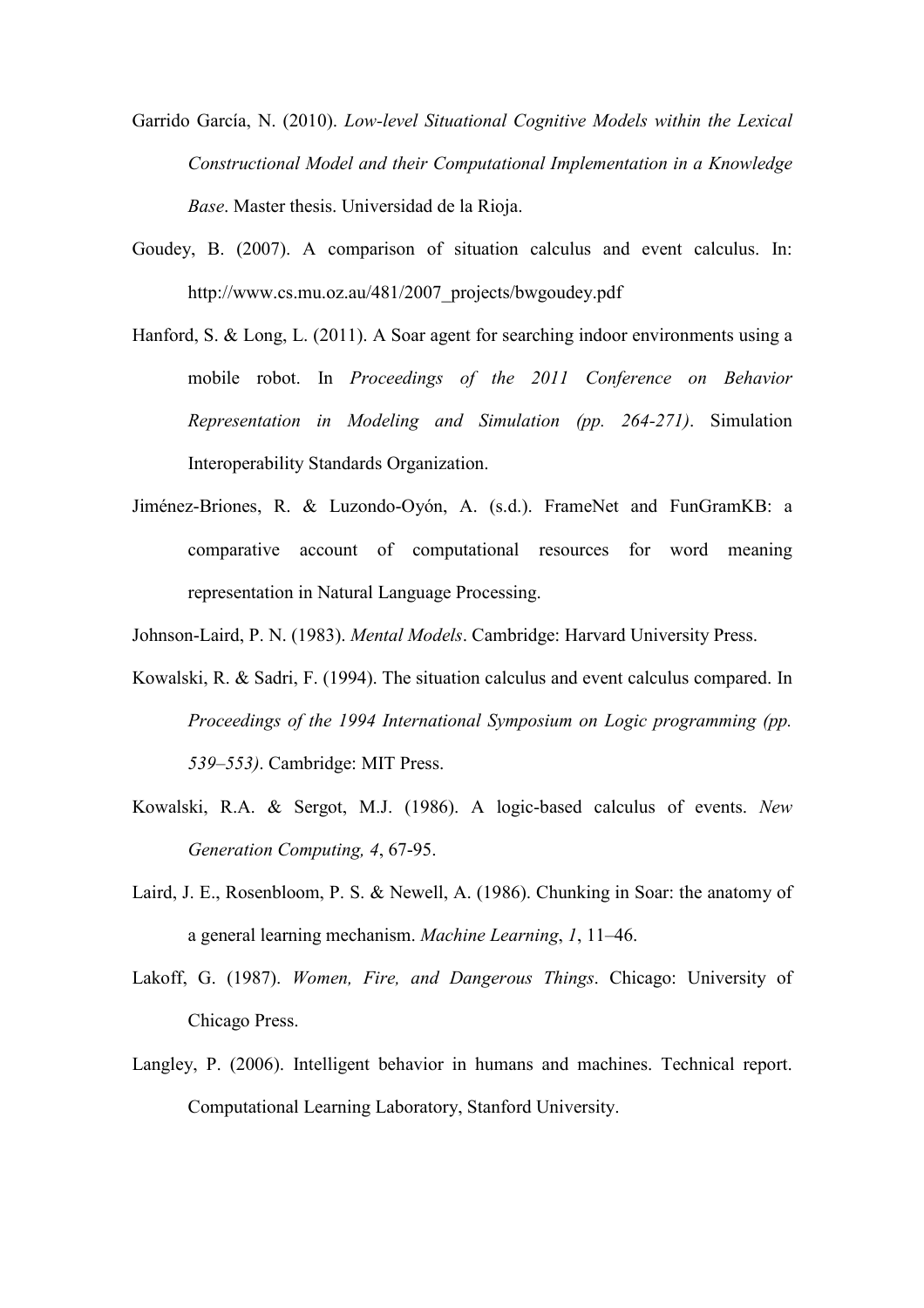- Garrido García, N. (2010). Low-level Situational Cognitive Models within the Lexical Constructional Model and their Computational Implementation in a Knowledge Base. Master thesis. Universidad de la Rioja.
- Goudey, B. (2007). A comparison of situation calculus and event calculus. In: http://www.cs.mu.oz.au/481/2007\_projects/bwgoudey.pdf
- Hanford, S. & Long, L. (2011). A Soar agent for searching indoor environments using a mobile robot. In Proceedings of the 2011 Conference on Behavior Representation in Modeling and Simulation (pp. 264-271). Simulation Interoperability Standards Organization.
- Jiménez-Briones, R. & Luzondo-Oyón, A. (s.d.). FrameNet and FunGramKB: a comparative account of computational resources for word meaning representation in Natural Language Processing.

Johnson-Laird, P. N. (1983). Mental Models. Cambridge: Harvard University Press.

- Kowalski, R. & Sadri, F. (1994). The situation calculus and event calculus compared. In Proceedings of the 1994 International Symposium on Logic programming (pp. 539–553). Cambridge: MIT Press.
- Kowalski, R.A. & Sergot, M.J. (1986). A logic-based calculus of events. New Generation Computing, 4, 67-95.
- Laird, J. E., Rosenbloom, P. S. & Newell, A. (1986). Chunking in Soar: the anatomy of a general learning mechanism. Machine Learning, 1, 11–46.
- Lakoff, G. (1987). Women, Fire, and Dangerous Things. Chicago: University of Chicago Press.
- Langley, P. (2006). Intelligent behavior in humans and machines. Technical report. Computational Learning Laboratory, Stanford University.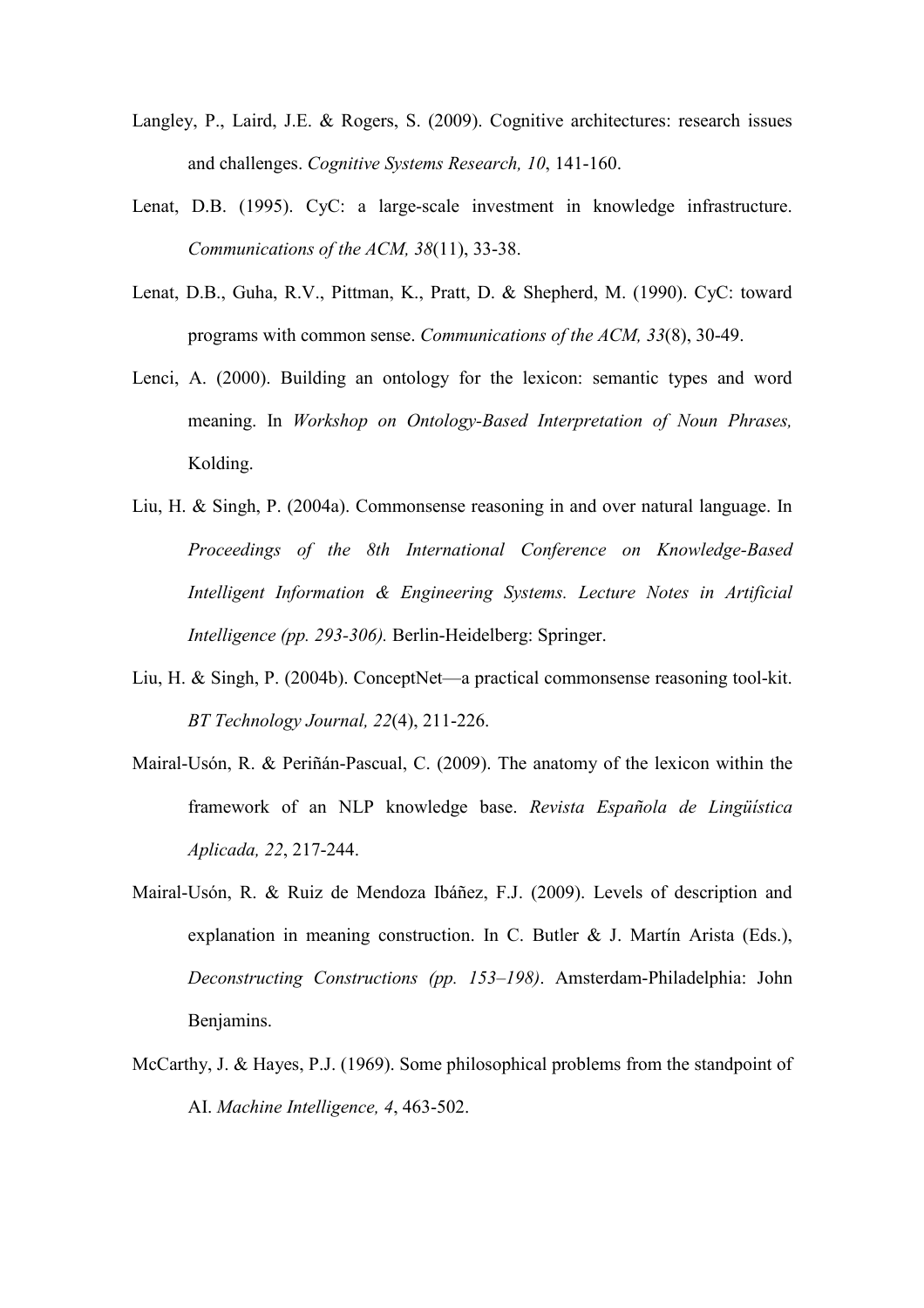- Langley, P., Laird, J.E. & Rogers, S. (2009). Cognitive architectures: research issues and challenges. Cognitive Systems Research, 10, 141-160.
- Lenat, D.B. (1995). CyC: a large-scale investment in knowledge infrastructure. Communications of the ACM, 38(11), 33-38.
- Lenat, D.B., Guha, R.V., Pittman, K., Pratt, D. & Shepherd, M. (1990). CyC: toward programs with common sense. Communications of the ACM, 33(8), 30-49.
- Lenci, A. (2000). Building an ontology for the lexicon: semantic types and word meaning. In Workshop on Ontology-Based Interpretation of Noun Phrases, Kolding.
- Liu, H. & Singh, P. (2004a). Commonsense reasoning in and over natural language. In Proceedings of the 8th International Conference on Knowledge-Based Intelligent Information & Engineering Systems. Lecture Notes in Artificial Intelligence (pp. 293-306). Berlin-Heidelberg: Springer.
- Liu, H. & Singh, P. (2004b). ConceptNet—a practical commonsense reasoning tool-kit. BT Technology Journal, 22(4), 211-226.
- Mairal-Usón, R. & Periñán-Pascual, C. (2009). The anatomy of the lexicon within the framework of an NLP knowledge base. Revista Española de Lingüística Aplicada, 22, 217-244.
- Mairal-Usón, R. & Ruiz de Mendoza Ibáñez, F.J. (2009). Levels of description and explanation in meaning construction. In C. Butler & J. Martín Arista (Eds.), Deconstructing Constructions (pp. 153–198). Amsterdam-Philadelphia: John Benjamins.
- McCarthy, J. & Hayes, P.J. (1969). Some philosophical problems from the standpoint of AI. Machine Intelligence, 4, 463-502.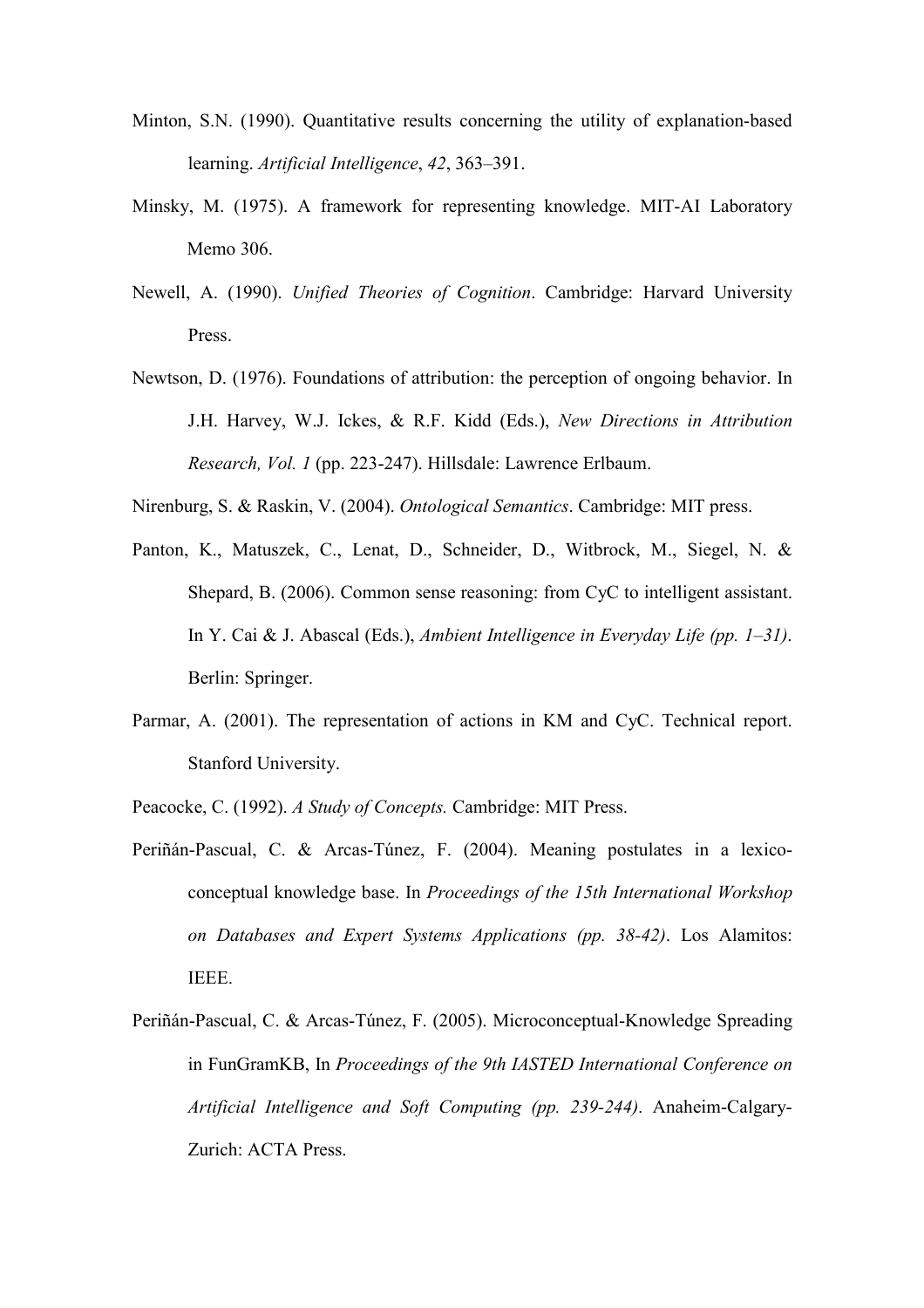- Minton, S.N. (1990). Quantitative results concerning the utility of explanation-based learning. Artificial Intelligence, 42, 363–391.
- Minsky, M. (1975). A framework for representing knowledge. MIT-AI Laboratory Memo 306.
- Newell, A. (1990). Unified Theories of Cognition. Cambridge: Harvard University Press.
- Newtson, D. (1976). Foundations of attribution: the perception of ongoing behavior. In J.H. Harvey, W.J. Ickes, & R.F. Kidd (Eds.), New Directions in Attribution Research, Vol. 1 (pp. 223-247). Hillsdale: Lawrence Erlbaum.
- Nirenburg, S. & Raskin, V. (2004). Ontological Semantics. Cambridge: MIT press.
- Panton, K., Matuszek, C., Lenat, D., Schneider, D., Witbrock, M., Siegel, N. & Shepard, B. (2006). Common sense reasoning: from CyC to intelligent assistant. In Y. Cai & J. Abascal (Eds.), Ambient Intelligence in Everyday Life (pp. 1–31). Berlin: Springer.
- Parmar, A. (2001). The representation of actions in KM and CyC. Technical report. Stanford University.
- Peacocke, C. (1992). A Study of Concepts. Cambridge: MIT Press.
- Periñán-Pascual, C. & Arcas-Túnez, F. (2004). Meaning postulates in a lexicoconceptual knowledge base. In Proceedings of the 15th International Workshop on Databases and Expert Systems Applications (pp. 38-42). Los Alamitos: IEEE.
- Periñán-Pascual, C. & Arcas-Túnez, F. (2005). Microconceptual-Knowledge Spreading in FunGramKB, In Proceedings of the 9th IASTED International Conference on Artificial Intelligence and Soft Computing (pp. 239-244). Anaheim-Calgary-Zurich: ACTA Press.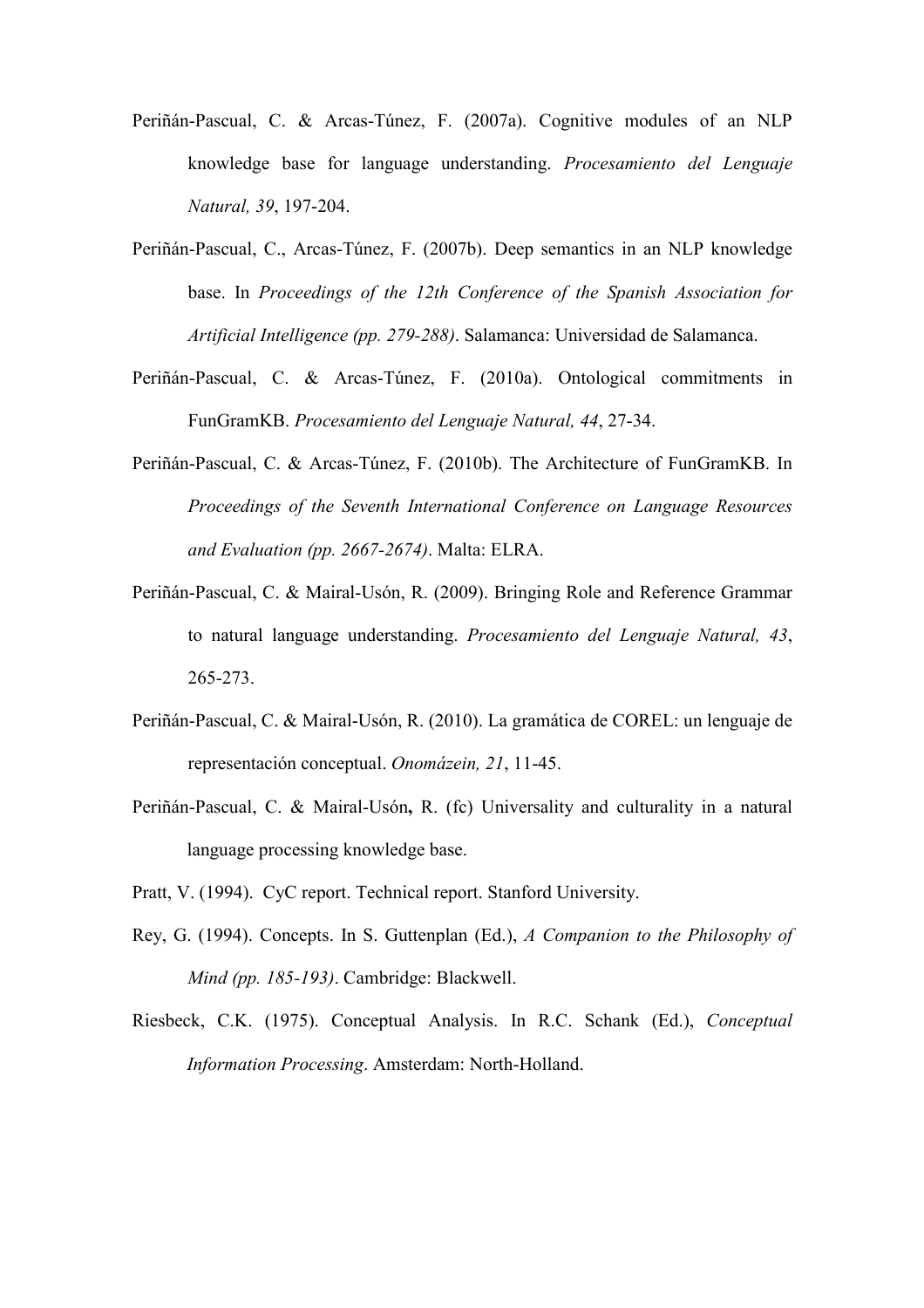- Periñán-Pascual, C. & Arcas-Túnez, F. (2007a). Cognitive modules of an NLP knowledge base for language understanding. Procesamiento del Lenguaje Natural, 39, 197-204.
- Periñán-Pascual, C., Arcas-Túnez, F. (2007b). Deep semantics in an NLP knowledge base. In Proceedings of the 12th Conference of the Spanish Association for Artificial Intelligence (pp. 279-288). Salamanca: Universidad de Salamanca.
- Periñán-Pascual, C. & Arcas-Túnez, F. (2010a). Ontological commitments in FunGramKB. Procesamiento del Lenguaje Natural, 44, 27-34.
- Periñán-Pascual, C. & Arcas-Túnez, F. (2010b). The Architecture of FunGramKB. In Proceedings of the Seventh International Conference on Language Resources and Evaluation (pp. 2667-2674). Malta: ELRA.
- Periñán-Pascual, C. & Mairal-Usón, R. (2009). Bringing Role and Reference Grammar to natural language understanding. Procesamiento del Lenguaje Natural, 43, 265-273.
- Periñán-Pascual, C. & Mairal-Usón, R. (2010). La gramática de COREL: un lenguaje de representación conceptual. Onomázein, 21, 11-45.
- Periñán-Pascual, C. & Mairal-Usón, R. (fc) Universality and culturality in a natural language processing knowledge base.
- Pratt, V. (1994). CyC report. Technical report. Stanford University.
- Rey, G. (1994). Concepts. In S. Guttenplan (Ed.), A Companion to the Philosophy of Mind (pp. 185-193). Cambridge: Blackwell.
- Riesbeck, C.K. (1975). Conceptual Analysis. In R.C. Schank (Ed.), Conceptual Information Processing. Amsterdam: North-Holland.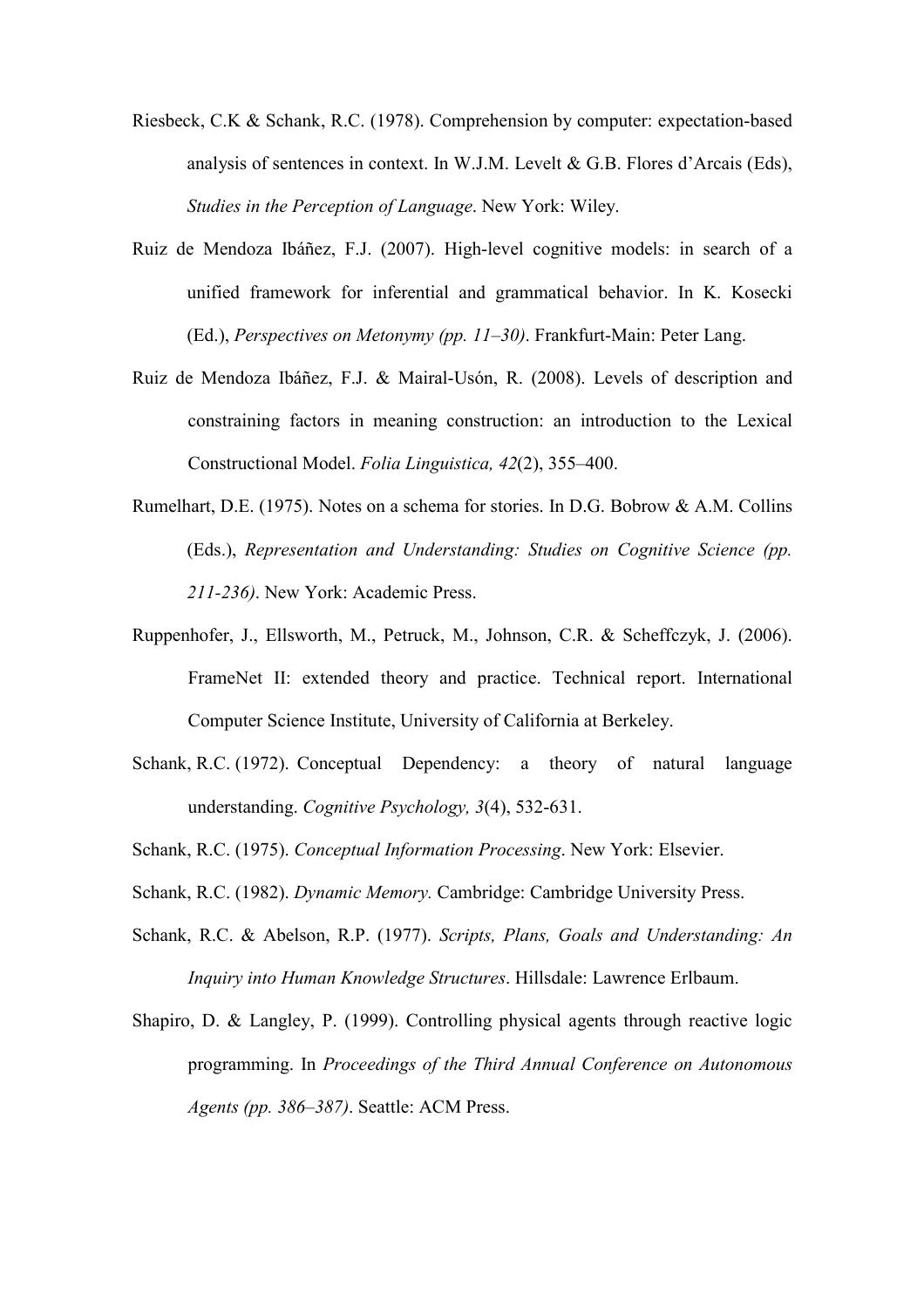- Riesbeck, C.K & Schank, R.C. (1978). Comprehension by computer: expectation-based analysis of sentences in context. In W.J.M. Levelt & G.B. Flores d'Arcais (Eds), Studies in the Perception of Language. New York: Wiley.
- Ruiz de Mendoza Ibáñez, F.J. (2007). High-level cognitive models: in search of a unified framework for inferential and grammatical behavior. In K. Kosecki (Ed.), Perspectives on Metonymy (pp. 11–30). Frankfurt-Main: Peter Lang.
- Ruiz de Mendoza Ibáñez, F.J. & Mairal-Usón, R. (2008). Levels of description and constraining factors in meaning construction: an introduction to the Lexical Constructional Model. Folia Linguistica, 42(2), 355–400.
- Rumelhart, D.E. (1975). Notes on a schema for stories. In D.G. Bobrow & A.M. Collins (Eds.), Representation and Understanding: Studies on Cognitive Science (pp. 211-236). New York: Academic Press.
- Ruppenhofer, J., Ellsworth, M., Petruck, M., Johnson, C.R. & Scheffczyk, J. (2006). FrameNet II: extended theory and practice. Technical report. International Computer Science Institute, University of California at Berkeley.
- Schank, R.C. (1972). Conceptual Dependency: a theory of natural language understanding. Cognitive Psychology, 3(4), 532-631.
- Schank, R.C. (1975). Conceptual Information Processing. New York: Elsevier.
- Schank, R.C. (1982). *Dynamic Memory*. Cambridge: Cambridge University Press.
- Schank, R.C. & Abelson, R.P. (1977). Scripts, Plans, Goals and Understanding: An Inquiry into Human Knowledge Structures. Hillsdale: Lawrence Erlbaum.
- Shapiro, D. & Langley, P. (1999). Controlling physical agents through reactive logic programming. In Proceedings of the Third Annual Conference on Autonomous Agents (pp. 386–387). Seattle: ACM Press.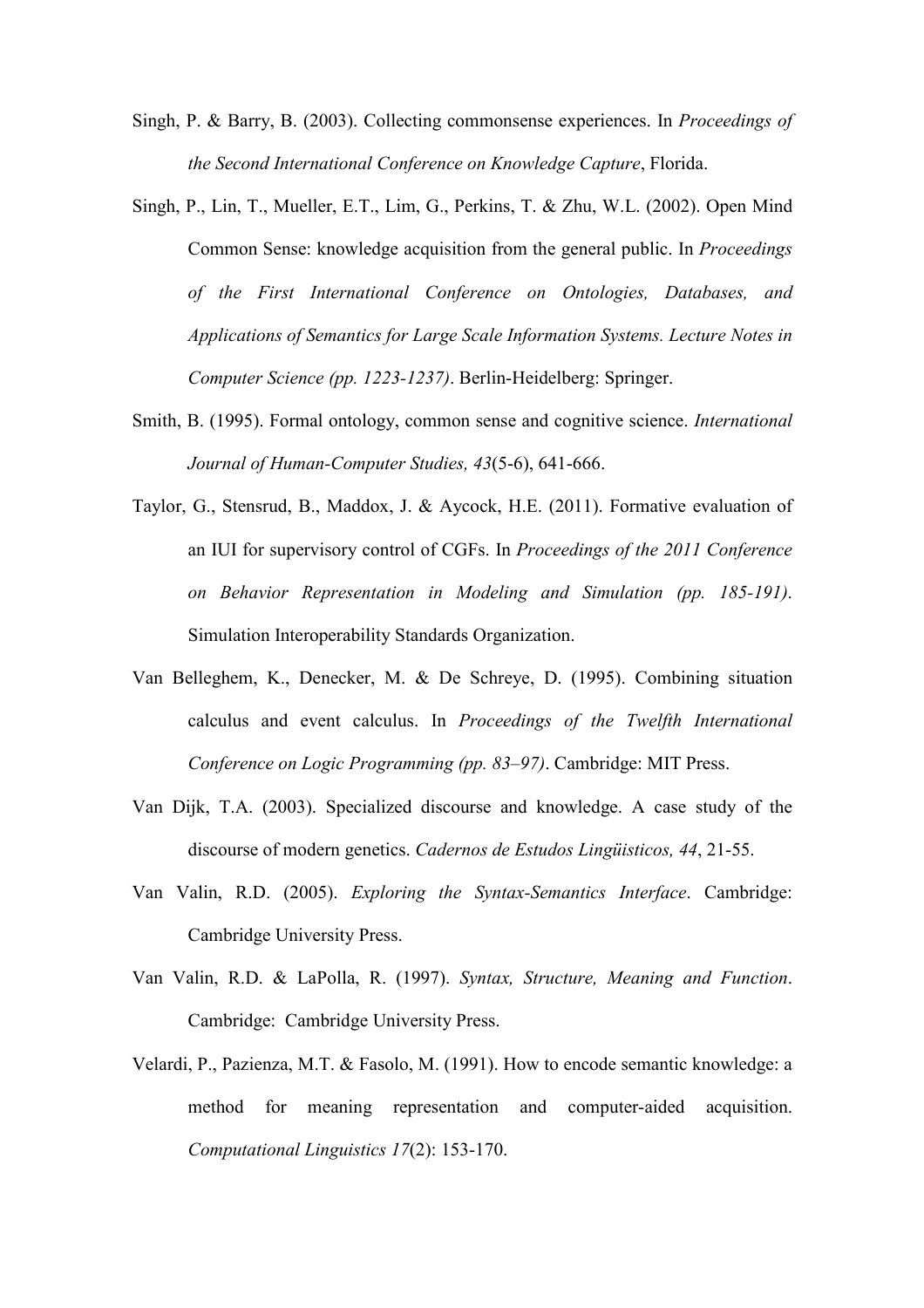- Singh, P. & Barry, B. (2003). Collecting commonsense experiences. In Proceedings of the Second International Conference on Knowledge Capture, Florida.
- Singh, P., Lin, T., Mueller, E.T., Lim, G., Perkins, T. & Zhu, W.L. (2002). Open Mind Common Sense: knowledge acquisition from the general public. In Proceedings of the First International Conference on Ontologies, Databases, and Applications of Semantics for Large Scale Information Systems. Lecture Notes in Computer Science (pp. 1223-1237). Berlin-Heidelberg: Springer.
- Smith, B. (1995). Formal ontology, common sense and cognitive science. International Journal of Human-Computer Studies, 43(5-6), 641-666.
- Taylor, G., Stensrud, B., Maddox, J. & Aycock, H.E. (2011). Formative evaluation of an IUI for supervisory control of CGFs. In Proceedings of the 2011 Conference on Behavior Representation in Modeling and Simulation (pp. 185-191). Simulation Interoperability Standards Organization.
- Van Belleghem, K., Denecker, M. & De Schreye, D. (1995). Combining situation calculus and event calculus. In Proceedings of the Twelfth International Conference on Logic Programming (pp. 83–97). Cambridge: MIT Press.
- Van Dijk, T.A. (2003). Specialized discourse and knowledge. A case study of the discourse of modern genetics. Cadernos de Estudos Lingüisticos, 44, 21-55.
- Van Valin, R.D. (2005). Exploring the Syntax-Semantics Interface. Cambridge: Cambridge University Press.
- Van Valin, R.D. & LaPolla, R. (1997). Syntax, Structure, Meaning and Function. Cambridge: Cambridge University Press.
- Velardi, P., Pazienza, M.T. & Fasolo, M. (1991). How to encode semantic knowledge: a method for meaning representation and computer-aided acquisition. Computational Linguistics 17(2): 153-170.